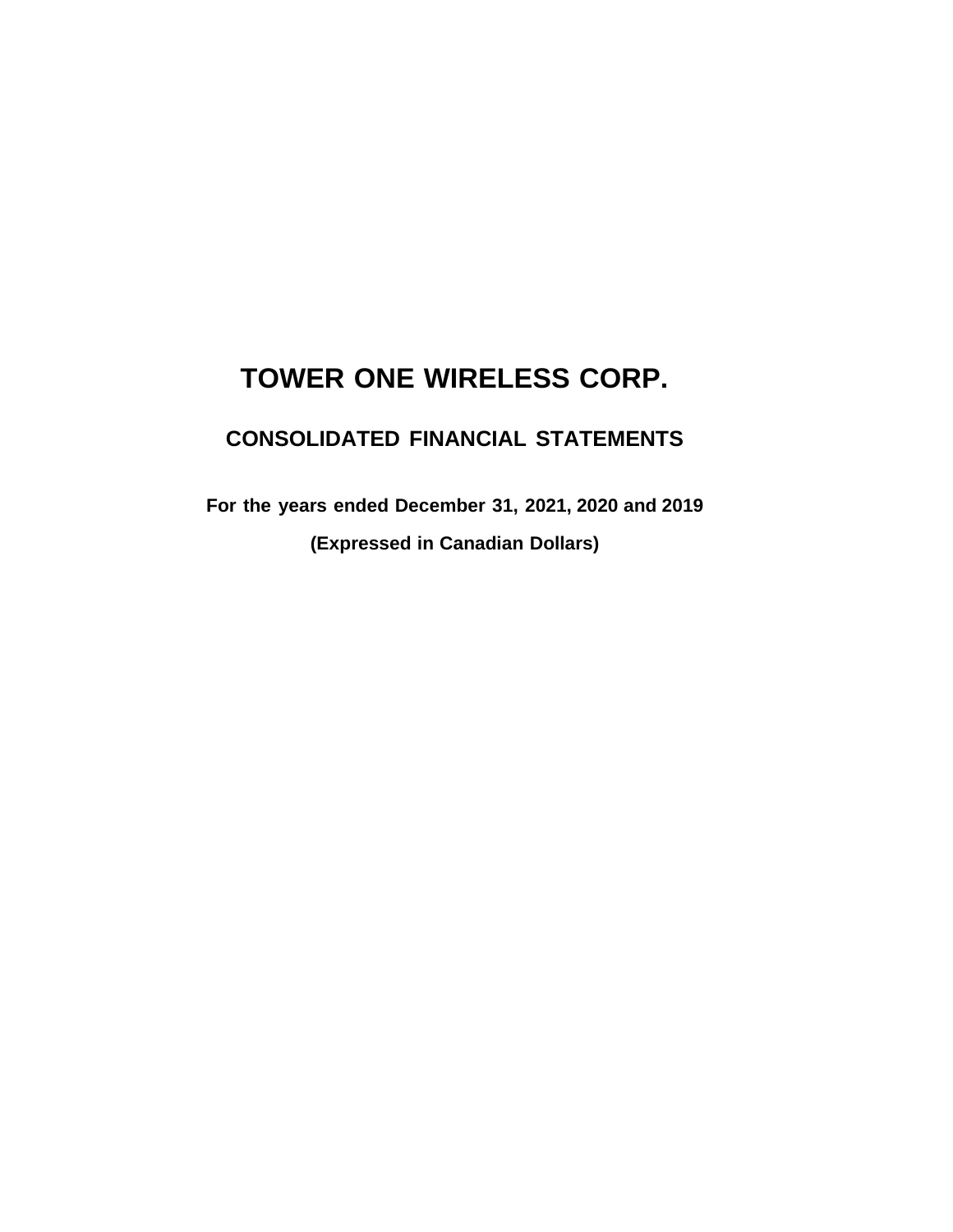## **CONSOLIDATED FINANCIAL STATEMENTS**

**For the years ended December 31, 2021, 2020 and 2019 (Expressed in Canadian Dollars)**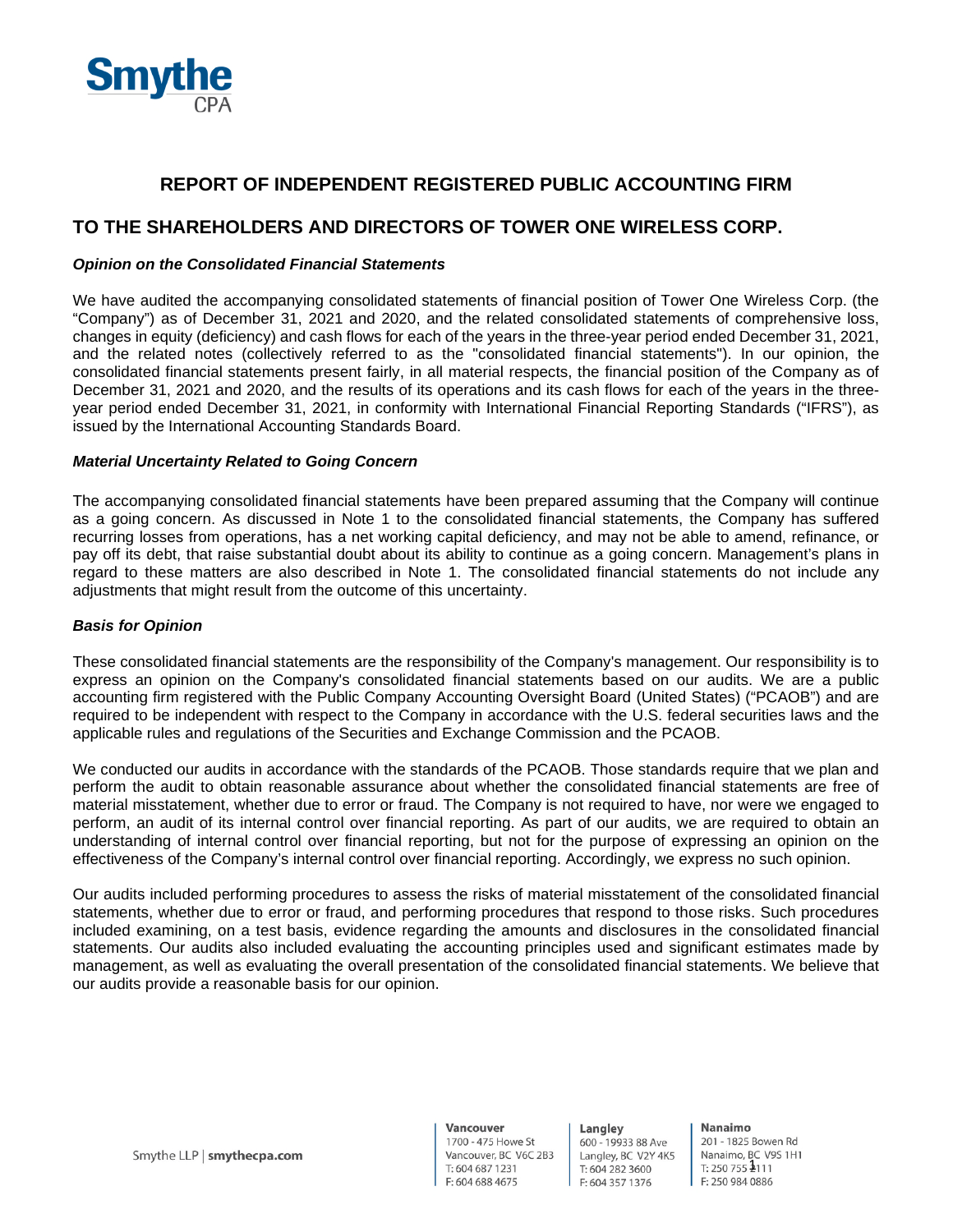

## **REPORT OF INDEPENDENT REGISTERED PUBLIC ACCOUNTING FIRM**

## **TO THE SHAREHOLDERS AND DIRECTORS OF TOWER ONE WIRELESS CORP.**

#### *Opinion on the Consolidated Financial Statements*

We have audited the accompanying consolidated statements of financial position of Tower One Wireless Corp. (the "Company") as of December 31, 2021 and 2020, and the related consolidated statements of comprehensive loss, changes in equity (deficiency) and cash flows for each of the years in the three-year period ended December 31, 2021, and the related notes (collectively referred to as the "consolidated financial statements"). In our opinion, the consolidated financial statements present fairly, in all material respects, the financial position of the Company as of December 31, 2021 and 2020, and the results of its operations and its cash flows for each of the years in the threeyear period ended December 31, 2021, in conformity with International Financial Reporting Standards ("IFRS"), as issued by the International Accounting Standards Board.

#### *Material Uncertainty Related to Going Concern*

The accompanying consolidated financial statements have been prepared assuming that the Company will continue as a going concern. As discussed in Note 1 to the consolidated financial statements, the Company has suffered recurring losses from operations, has a net working capital deficiency, and may not be able to amend, refinance, or pay off its debt, that raise substantial doubt about its ability to continue as a going concern. Management's plans in regard to these matters are also described in Note 1. The consolidated financial statements do not include any adjustments that might result from the outcome of this uncertainty.

#### *Basis for Opinion*

These consolidated financial statements are the responsibility of the Company's management. Our responsibility is to express an opinion on the Company's consolidated financial statements based on our audits. We are a public accounting firm registered with the Public Company Accounting Oversight Board (United States) ("PCAOB") and are required to be independent with respect to the Company in accordance with the U.S. federal securities laws and the applicable rules and regulations of the Securities and Exchange Commission and the PCAOB.

We conducted our audits in accordance with the standards of the PCAOB. Those standards require that we plan and perform the audit to obtain reasonable assurance about whether the consolidated financial statements are free of material misstatement, whether due to error or fraud. The Company is not required to have, nor were we engaged to perform, an audit of its internal control over financial reporting. As part of our audits, we are required to obtain an understanding of internal control over financial reporting, but not for the purpose of expressing an opinion on the effectiveness of the Company's internal control over financial reporting. Accordingly, we express no such opinion.

Our audits included performing procedures to assess the risks of material misstatement of the consolidated financial statements, whether due to error or fraud, and performing procedures that respond to those risks. Such procedures included examining, on a test basis, evidence regarding the amounts and disclosures in the consolidated financial statements. Our audits also included evaluating the accounting principles used and significant estimates made by management, as well as evaluating the overall presentation of the consolidated financial statements. We believe that our audits provide a reasonable basis for our opinion.

Vancouver 1700 - 475 Howe St Vancouver, BC V6C 2B3 T: 604 687 1231  $F: 6046884675$ 

Langley 600 - 19933 88 Ave Langley, BC V2Y 4K5 T: 604 282 3600 F: 604 357 1376

Nanaimo 201 - 1825 Bowen Rd Nanaimo, BC V9S 1H1<br>T: 250 755 2111 F: 250 984 0886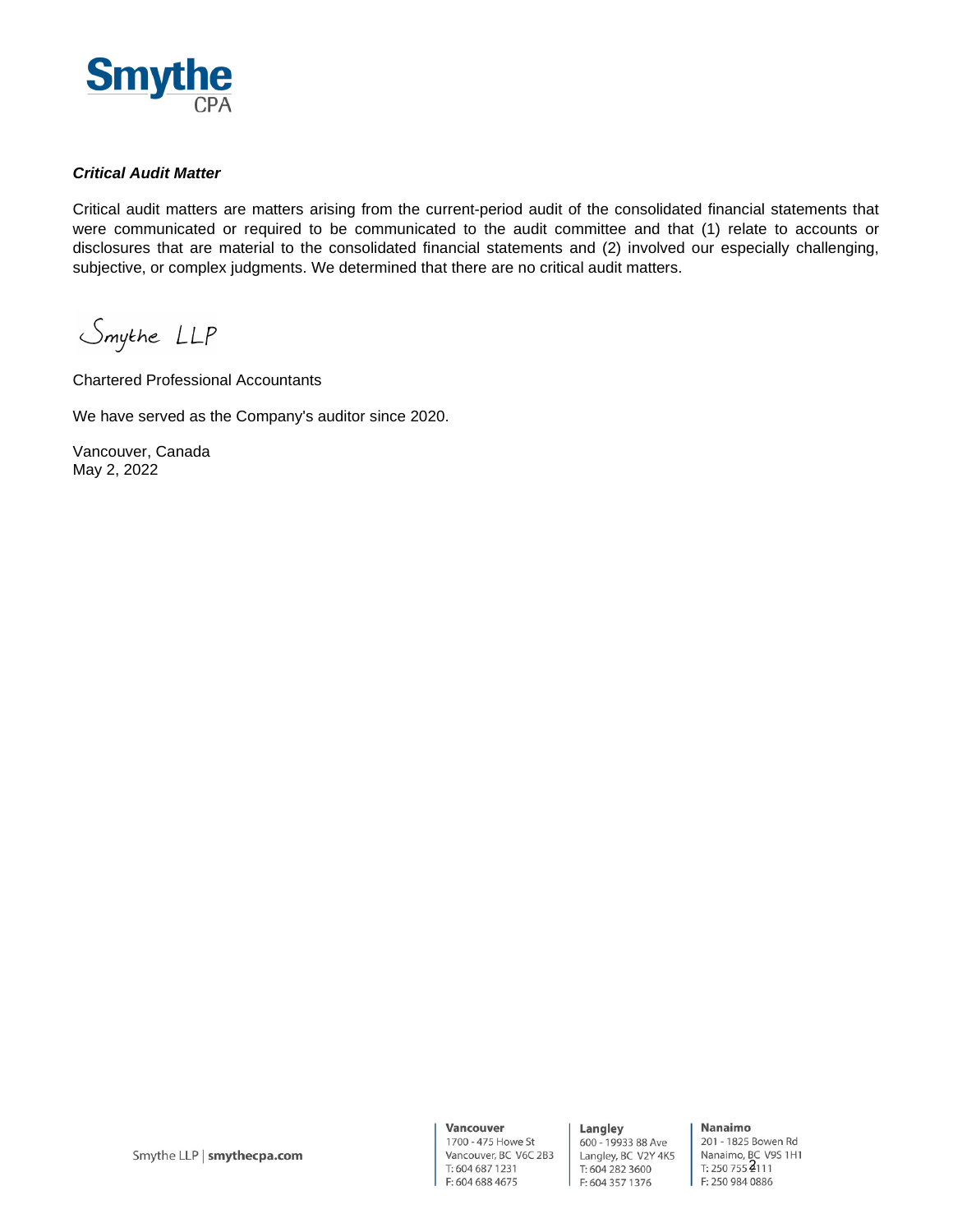

#### *Critical Audit Matter*

Critical audit matters are matters arising from the current-period audit of the consolidated financial statements that were communicated or required to be communicated to the audit committee and that (1) relate to accounts or disclosures that are material to the consolidated financial statements and (2) involved our especially challenging, subjective, or complex judgments. We determined that there are no critical audit matters.

Smythe LLP

Chartered Professional Accountants

We have served as the Company's auditor since 2020.

Vancouver, Canada May 2, 2022

Vancouver 1700 - 475 Howe St Vancouver, BC V6C 2B3 T: 604 687 1231 F: 604 688 4675

Langley 600 - 19933 88 Ave Langley, BC V2Y 4K5 T: 604 282 3600 F: 604 357 1376

Nanaimo 201 - 1825 Bowen Rd Nanaimo, BC V9S 1H1<br>T: 250 755 2111 F: 250 984 0886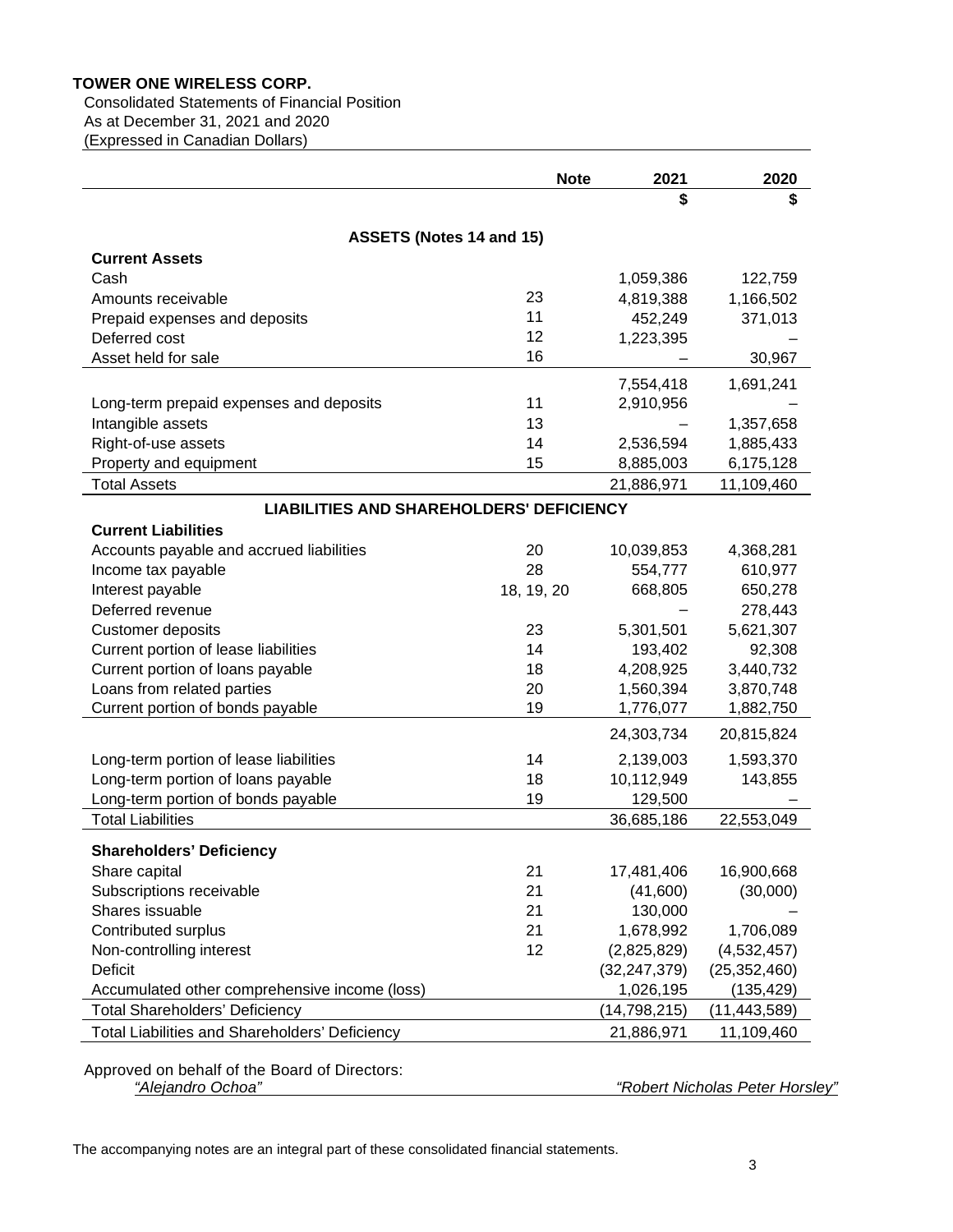Consolidated Statements of Financial Position As at December 31, 2021 and 2020 (Expressed in Canadian Dollars)

|                                                       | <b>Note</b> | 2021           | 2020           |
|-------------------------------------------------------|-------------|----------------|----------------|
|                                                       |             | \$             | \$             |
| ASSETS (Notes 14 and 15)                              |             |                |                |
| <b>Current Assets</b>                                 |             |                |                |
| Cash                                                  |             | 1,059,386      | 122,759        |
| Amounts receivable                                    | 23          | 4,819,388      | 1,166,502      |
| Prepaid expenses and deposits                         | 11          | 452,249        | 371,013        |
| Deferred cost                                         | 12          | 1,223,395      |                |
| Asset held for sale                                   | 16          |                | 30,967         |
|                                                       |             | 7,554,418      | 1,691,241      |
| Long-term prepaid expenses and deposits               | 11          | 2,910,956      |                |
| Intangible assets                                     | 13          |                | 1,357,658      |
| Right-of-use assets                                   | 14          | 2,536,594      | 1,885,433      |
| Property and equipment                                | 15          | 8,885,003      | 6,175,128      |
| <b>Total Assets</b>                                   |             | 21,886,971     | 11,109,460     |
| <b>LIABILITIES AND SHAREHOLDERS' DEFICIENCY</b>       |             |                |                |
| <b>Current Liabilities</b>                            |             |                |                |
| Accounts payable and accrued liabilities              | 20          | 10,039,853     | 4,368,281      |
| Income tax payable                                    | 28          | 554,777        | 610,977        |
| Interest payable                                      | 18, 19, 20  | 668,805        | 650,278        |
| Deferred revenue                                      |             |                | 278,443        |
| <b>Customer deposits</b>                              | 23          | 5,301,501      | 5,621,307      |
| Current portion of lease liabilities                  | 14          | 193,402        | 92,308         |
| Current portion of loans payable                      | 18          | 4,208,925      | 3,440,732      |
| Loans from related parties                            | 20          | 1,560,394      | 3,870,748      |
| Current portion of bonds payable                      | 19          | 1,776,077      | 1,882,750      |
|                                                       |             | 24,303,734     | 20,815,824     |
| Long-term portion of lease liabilities                | 14          | 2,139,003      | 1,593,370      |
| Long-term portion of loans payable                    | 18          | 10,112,949     | 143,855        |
| Long-term portion of bonds payable                    | 19          | 129,500        |                |
| <b>Total Liabilities</b>                              |             | 36,685,186     | 22,553,049     |
| <b>Shareholders' Deficiency</b>                       |             |                |                |
| Share capital                                         | 21          | 17,481,406     | 16,900,668     |
| Subscriptions receivable                              | 21          | (41,600)       | (30,000)       |
| Shares issuable                                       | 21          | 130,000        |                |
| Contributed surplus                                   | 21          | 1,678,992      | 1,706,089      |
| Non-controlling interest                              | 12          | (2,825,829)    | (4,532,457)    |
| Deficit                                               |             | (32, 247, 379) | (25, 352, 460) |
| Accumulated other comprehensive income (loss)         |             | 1,026,195      | (135, 429)     |
| <b>Total Shareholders' Deficiency</b>                 |             | (14,798,215)   | (11,443,589)   |
| <b>Total Liabilities and Shareholders' Deficiency</b> |             | 21,886,971     | 11,109,460     |
|                                                       |             |                |                |

Approved on behalf of the Board of Directors:<br>"Alejandro Ochoa"

*"Alejandro Ochoa" "Robert Nicholas Peter Horsley"*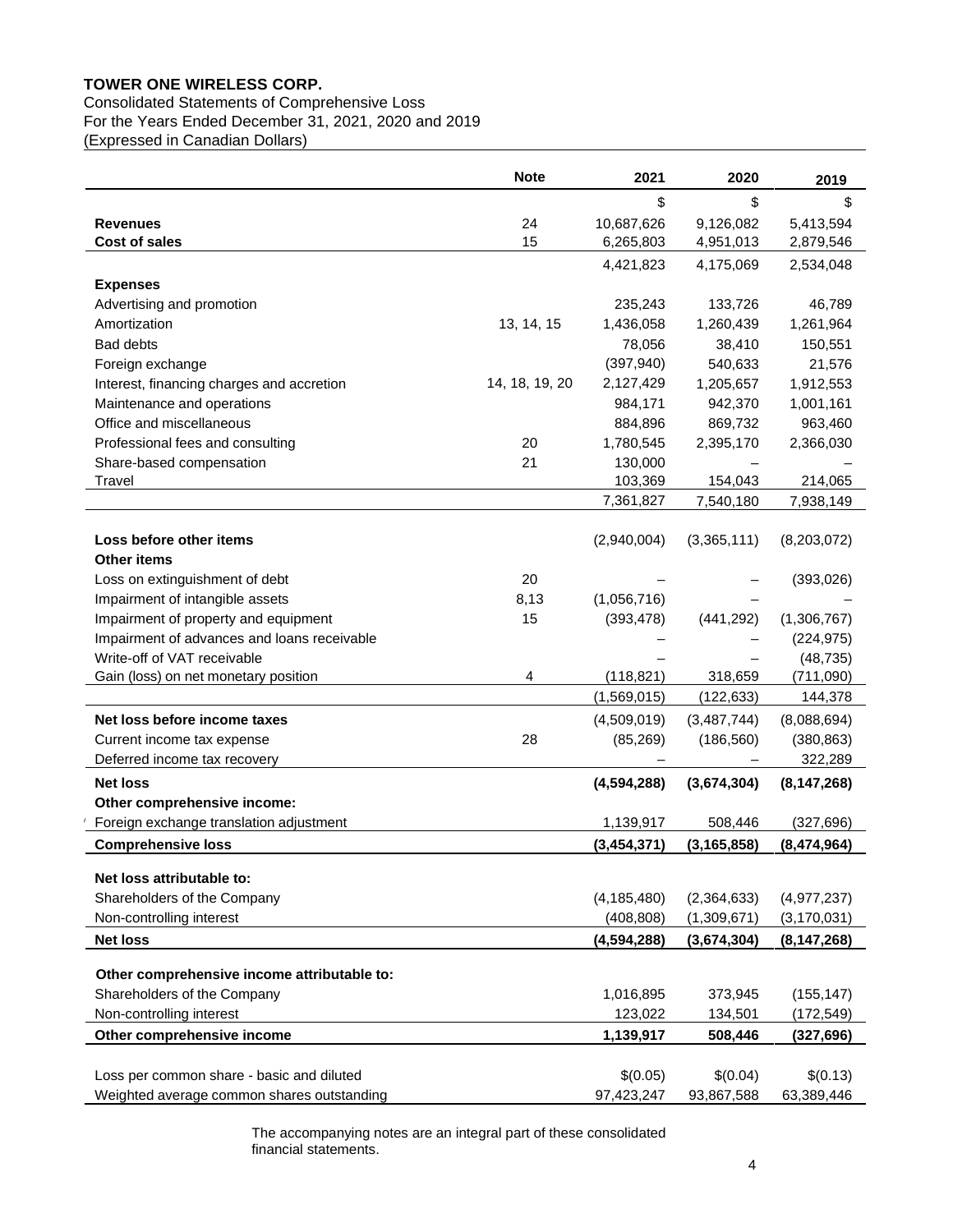Consolidated Statements of Comprehensive Loss For the Years Ended December 31, 2021, 2020 and 2019 (Expressed in Canadian Dollars)

|                                             | <b>Note</b>    | 2021          | 2020          | 2019          |
|---------------------------------------------|----------------|---------------|---------------|---------------|
|                                             |                | \$            | \$            | \$            |
| <b>Revenues</b>                             | 24             | 10,687,626    | 9,126,082     | 5,413,594     |
| Cost of sales                               | 15             | 6,265,803     | 4,951,013     | 2,879,546     |
|                                             |                | 4,421,823     | 4,175,069     | 2,534,048     |
| <b>Expenses</b>                             |                |               |               |               |
| Advertising and promotion                   |                | 235,243       | 133,726       | 46,789        |
| Amortization                                | 13, 14, 15     | 1,436,058     | 1,260,439     | 1,261,964     |
| <b>Bad debts</b>                            |                | 78,056        | 38,410        | 150,551       |
| Foreign exchange                            |                | (397, 940)    | 540,633       | 21,576        |
| Interest, financing charges and accretion   | 14, 18, 19, 20 | 2,127,429     | 1,205,657     | 1,912,553     |
| Maintenance and operations                  |                | 984,171       | 942,370       | 1,001,161     |
| Office and miscellaneous                    |                | 884,896       | 869,732       | 963,460       |
| Professional fees and consulting            | 20             | 1,780,545     | 2,395,170     | 2,366,030     |
| Share-based compensation                    | 21             | 130,000       |               |               |
| Travel                                      |                | 103,369       | 154,043       | 214,065       |
|                                             |                | 7,361,827     | 7,540,180     | 7,938,149     |
|                                             |                |               |               |               |
| Loss before other items                     |                | (2,940,004)   | (3,365,111)   | (8,203,072)   |
| <b>Other items</b>                          |                |               |               |               |
| Loss on extinguishment of debt              | 20             |               |               | (393, 026)    |
| Impairment of intangible assets             | 8,13           | (1,056,716)   |               |               |
| Impairment of property and equipment        | 15             | (393, 478)    | (441, 292)    | (1,306,767)   |
| Impairment of advances and loans receivable |                |               |               | (224, 975)    |
| Write-off of VAT receivable                 |                |               |               | (48, 735)     |
| Gain (loss) on net monetary position        | 4              | (118, 821)    | 318,659       | (711,090)     |
|                                             |                | (1,569,015)   | (122, 633)    | 144,378       |
| Net loss before income taxes                |                | (4,509,019)   | (3,487,744)   | (8,088,694)   |
| Current income tax expense                  | 28             | (85, 269)     | (186, 560)    | (380, 863)    |
| Deferred income tax recovery                |                |               |               | 322,289       |
| <b>Net loss</b>                             |                | (4,594,288)   | (3,674,304)   | (8, 147, 268) |
| Other comprehensive income:                 |                |               |               |               |
| Foreign exchange translation adjustment     |                | 1,139,917     | 508,446       | (327, 696)    |
| <b>Comprehensive loss</b>                   |                | (3, 454, 371) | (3, 165, 858) | (8,474,964)   |
| Net loss attributable to:                   |                |               |               |               |
| Shareholders of the Company                 |                | (4, 185, 480) | (2,364,633)   | (4,977,237)   |
| Non-controlling interest                    |                | (408, 808)    | (1,309,671)   | (3, 170, 031) |
| <b>Net loss</b>                             |                | (4, 594, 288) | (3,674,304)   | (8, 147, 268) |
|                                             |                |               |               |               |
| Other comprehensive income attributable to: |                |               |               |               |
| Shareholders of the Company                 |                | 1,016,895     | 373,945       | (155, 147)    |
| Non-controlling interest                    |                | 123,022       | 134,501       | (172, 549)    |
| Other comprehensive income                  |                | 1,139,917     | 508,446       | (327, 696)    |
|                                             |                |               |               |               |
| Loss per common share - basic and diluted   |                | \$(0.05)      | \$(0.04)      | \$(0.13)      |
| Weighted average common shares outstanding  |                | 97,423,247    | 93,867,588    | 63,389,446    |

The accompanying notes are an integral part of these consolidated financial statements.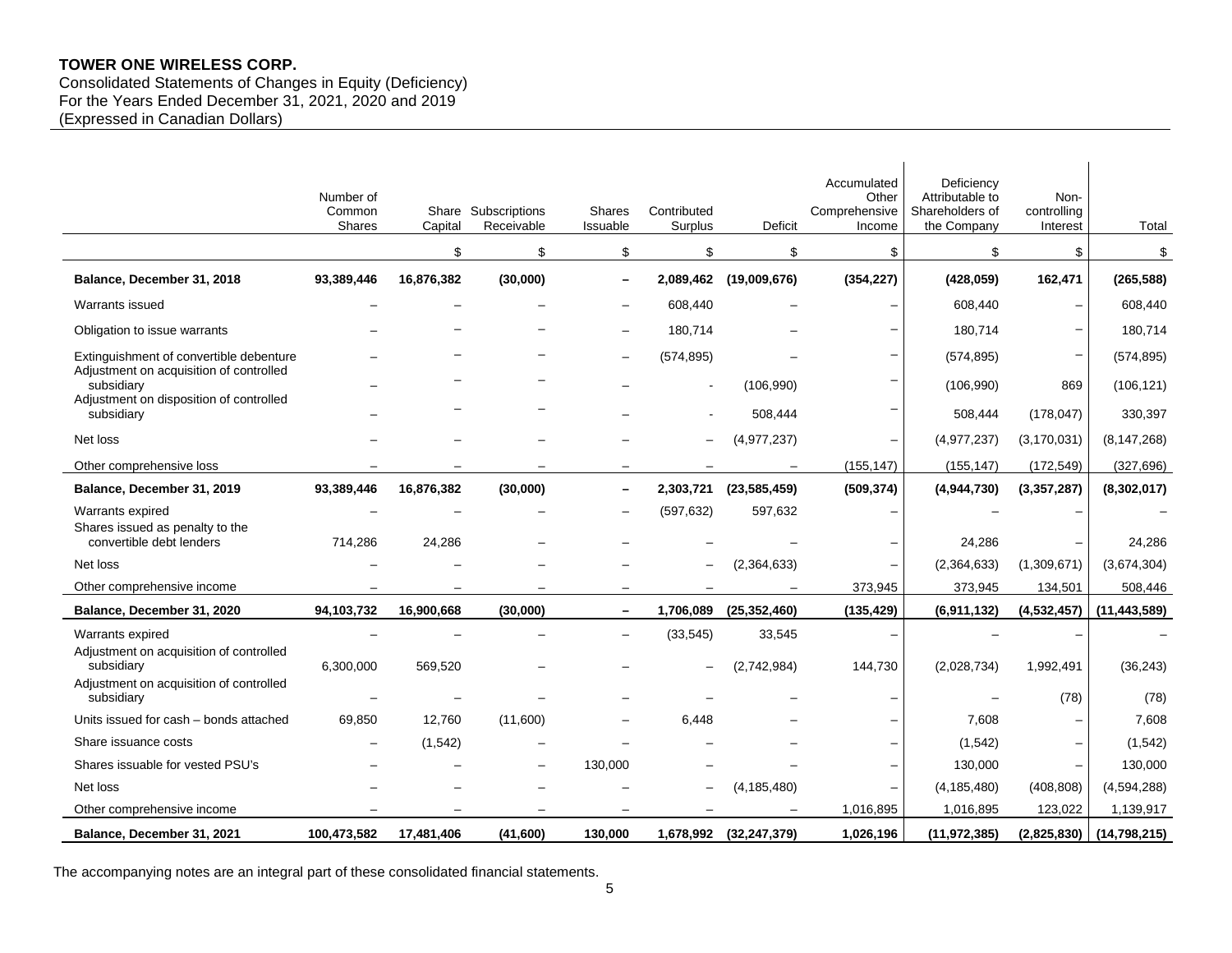Consolidated Statements of Changes in Equity (Deficiency) For the Years Ended December 31, 2021, 2020 and 2019 (Expressed in Canadian Dollars)

|                                                       | Number of<br>Common<br><b>Shares</b> | Capital    | Share Subscriptions<br>Receivable | Shares<br>Issuable                                   | Contributed<br>Surplus   | Deficit        | Accumulated<br>Other<br>Comprehensive<br>Income | Deficiency<br>Attributable to<br>Shareholders of<br>the Company | Non-<br>controlling<br>Interest | Total                     |
|-------------------------------------------------------|--------------------------------------|------------|-----------------------------------|------------------------------------------------------|--------------------------|----------------|-------------------------------------------------|-----------------------------------------------------------------|---------------------------------|---------------------------|
|                                                       |                                      | \$         | \$                                | \$                                                   | \$                       | \$             | \$                                              | \$                                                              | \$                              | \$                        |
| Balance, December 31, 2018                            | 93,389,446                           | 16,876,382 | (30,000)                          |                                                      | 2,089,462                | (19,009,676)   | (354, 227)                                      | (428, 059)                                                      | 162,471                         | (265, 588)                |
| Warrants issued                                       |                                      |            |                                   |                                                      | 608,440                  |                | $\overline{\phantom{0}}$                        | 608,440                                                         | -                               | 608,440                   |
| Obligation to issue warrants                          |                                      |            |                                   |                                                      | 180,714                  |                |                                                 | 180,714                                                         | -                               | 180,714                   |
| Extinguishment of convertible debenture               |                                      |            |                                   |                                                      | (574, 895)               |                |                                                 | (574, 895)                                                      | $\overline{\phantom{0}}$        | (574, 895)                |
| Adjustment on acquisition of controlled<br>subsidiary |                                      |            |                                   |                                                      |                          | (106, 990)     |                                                 | (106, 990)                                                      | 869                             | (106, 121)                |
| Adjustment on disposition of controlled<br>subsidiary |                                      |            |                                   |                                                      |                          | 508,444        |                                                 | 508,444                                                         | (178, 047)                      | 330,397                   |
| Net loss                                              |                                      |            |                                   |                                                      |                          | (4,977,237)    | $\overline{\phantom{0}}$                        | (4,977,237)                                                     | (3, 170, 031)                   | (8, 147, 268)             |
| Other comprehensive loss                              |                                      |            |                                   |                                                      |                          |                | (155, 147)                                      | (155, 147)                                                      | (172, 549)                      | (327, 696)                |
| Balance, December 31, 2019                            | 93,389,446                           | 16,876,382 | (30,000)                          |                                                      | 2,303,721                | (23, 585, 459) | (509, 374)                                      | (4,944,730)                                                     | (3, 357, 287)                   | (8,302,017)               |
| Warrants expired<br>Shares issued as penalty to the   |                                      |            |                                   |                                                      | (597, 632)               | 597,632        |                                                 |                                                                 |                                 |                           |
| convertible debt lenders                              | 714,286                              | 24,286     |                                   |                                                      |                          |                |                                                 | 24,286                                                          | -                               | 24,286                    |
| Net loss<br>Other comprehensive income                |                                      |            |                                   |                                                      | -                        | (2,364,633)    | -                                               | (2,364,633)                                                     | (1,309,671)                     | (3,674,304)               |
| Balance, December 31, 2020                            | 94,103,732                           | 16,900,668 | (30,000)                          |                                                      | 1,706,089                | (25, 352, 460) | 373,945<br>(135, 429)                           | 373,945<br>(6,911,132)                                          | 134,501<br>(4,532,457)          | 508,446<br>(11, 443, 589) |
| Warrants expired                                      |                                      |            |                                   | $\overline{\phantom{m}}$<br>$\overline{\phantom{0}}$ |                          | 33,545         | -                                               |                                                                 |                                 |                           |
| Adjustment on acquisition of controlled               |                                      |            |                                   |                                                      | (33, 545)                |                |                                                 |                                                                 |                                 |                           |
| subsidiary<br>Adjustment on acquisition of controlled | 6,300,000                            | 569,520    |                                   |                                                      | $\overline{\phantom{0}}$ | (2,742,984)    | 144,730                                         | (2,028,734)                                                     | 1,992,491                       | (36, 243)                 |
| subsidiary                                            |                                      |            |                                   |                                                      |                          |                | -                                               |                                                                 | (78)                            | (78)                      |
| Units issued for cash - bonds attached                | 69,850                               | 12,760     | (11,600)                          |                                                      | 6,448                    |                |                                                 | 7,608                                                           |                                 | 7,608                     |
| Share issuance costs                                  |                                      | (1, 542)   |                                   |                                                      |                          |                | $\overline{\phantom{0}}$                        | (1, 542)                                                        | $\overline{\phantom{0}}$        | (1, 542)                  |
| Shares issuable for vested PSU's                      |                                      |            |                                   | 130,000                                              |                          |                | $\overline{\phantom{0}}$                        | 130,000                                                         | $\qquad \qquad -$               | 130,000                   |
| Net loss                                              |                                      |            |                                   |                                                      |                          | (4, 185, 480)  | -                                               | (4, 185, 480)                                                   | (408, 808)                      | (4,594,288)               |
| Other comprehensive income                            |                                      |            |                                   |                                                      |                          |                | 1,016,895                                       | 1,016,895                                                       | 123,022                         | 1,139,917                 |
| Balance, December 31, 2021                            | 100,473,582                          | 17,481,406 | (41,600)                          | 130,000                                              | 1,678,992                | (32, 247, 379) | 1,026,196                                       | (11, 972, 385)                                                  | (2,825,830)                     | (14, 798, 215)            |

The accompanying notes are an integral part of these consolidated financial statements.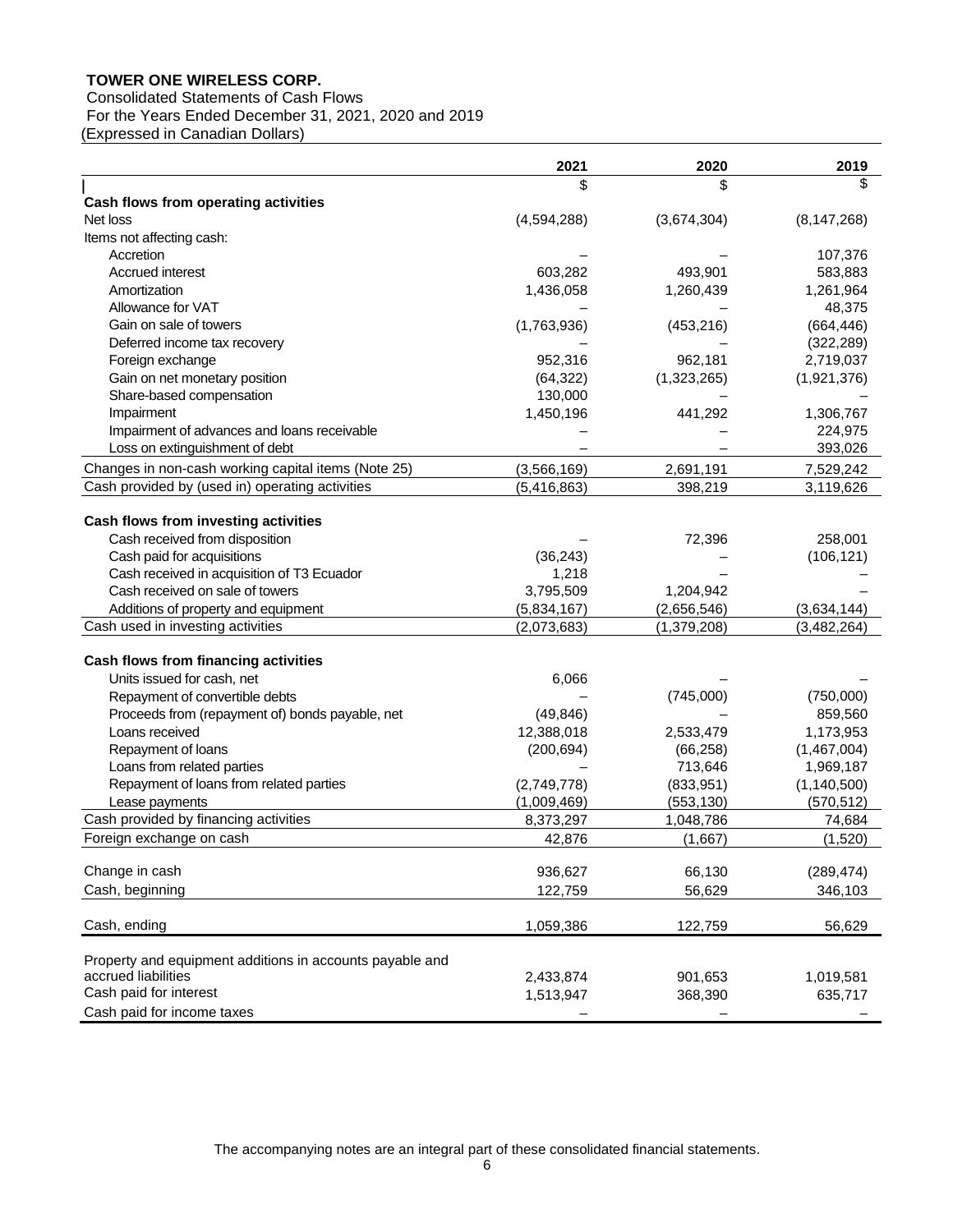Consolidated Statements of Cash Flows

For the Years Ended December 31, 2021, 2020 and 2019

(Expressed in Canadian Dollars)

|                                                                                 | 2021          | 2020        | 2019          |
|---------------------------------------------------------------------------------|---------------|-------------|---------------|
|                                                                                 | \$            | \$          |               |
| Cash flows from operating activities                                            |               |             |               |
| Net loss                                                                        | (4,594,288)   | (3,674,304) | (8, 147, 268) |
| Items not affecting cash:                                                       |               |             |               |
| Accretion                                                                       |               |             | 107,376       |
| Accrued interest                                                                | 603,282       | 493,901     | 583,883       |
| Amortization                                                                    | 1,436,058     | 1,260,439   | 1,261,964     |
| Allowance for VAT                                                               |               |             | 48,375        |
| Gain on sale of towers                                                          | (1,763,936)   | (453, 216)  | (664, 446)    |
| Deferred income tax recovery                                                    |               |             | (322, 289)    |
| Foreign exchange                                                                | 952,316       | 962,181     | 2,719,037     |
| Gain on net monetary position                                                   | (64, 322)     | (1,323,265) | (1,921,376)   |
| Share-based compensation                                                        | 130,000       |             |               |
| Impairment                                                                      | 1,450,196     | 441,292     | 1,306,767     |
| Impairment of advances and loans receivable                                     |               |             | 224,975       |
| Loss on extinguishment of debt                                                  |               |             | 393,026       |
| Changes in non-cash working capital items (Note 25)                             | (3,566,169)   | 2,691,191   | 7,529,242     |
| Cash provided by (used in) operating activities                                 | (5, 416, 863) | 398,219     | 3,119,626     |
|                                                                                 |               |             |               |
| Cash flows from investing activities                                            |               |             |               |
| Cash received from disposition                                                  |               | 72,396      | 258,001       |
| Cash paid for acquisitions                                                      | (36, 243)     |             | (106, 121)    |
| Cash received in acquisition of T3 Ecuador                                      | 1,218         |             |               |
| Cash received on sale of towers                                                 | 3,795,509     | 1,204,942   |               |
| Additions of property and equipment                                             | (5,834,167)   | (2,656,546) | (3,634,144)   |
| Cash used in investing activities                                               | (2,073,683)   | (1,379,208) | (3,482,264)   |
|                                                                                 |               |             |               |
| Cash flows from financing activities                                            |               |             |               |
| Units issued for cash, net                                                      | 6,066         |             |               |
| Repayment of convertible debts                                                  |               | (745,000)   | (750,000)     |
| Proceeds from (repayment of) bonds payable, net                                 | (49, 846)     |             | 859,560       |
| Loans received                                                                  | 12,388,018    | 2,533,479   | 1,173,953     |
| Repayment of loans                                                              | (200, 694)    | (66, 258)   | (1,467,004)   |
| Loans from related parties                                                      |               | 713,646     | 1,969,187     |
| Repayment of loans from related parties                                         | (2,749,778)   | (833,951)   | (1, 140, 500) |
| Lease payments                                                                  | (1,009,469)   | (553, 130)  | (570, 512)    |
| Cash provided by financing activities                                           | 8,373,297     | 1,048,786   | 74,684        |
| Foreign exchange on cash                                                        | 42,876        | (1,667)     | (1,520)       |
|                                                                                 |               |             |               |
| Change in cash                                                                  | 936,627       | 66,130      | (289, 474)    |
| Cash, beginning                                                                 | 122,759       | 56,629      | 346,103       |
|                                                                                 |               |             |               |
| Cash, ending                                                                    | 1,059,386     | 122,759     | 56,629        |
|                                                                                 |               |             |               |
| Property and equipment additions in accounts payable and<br>accrued liabilities | 2,433,874     | 901,653     | 1,019,581     |
| Cash paid for interest                                                          | 1,513,947     | 368,390     | 635,717       |
| Cash paid for income taxes                                                      |               |             |               |
|                                                                                 |               |             |               |

The accompanying notes are an integral part of these consolidated financial statements.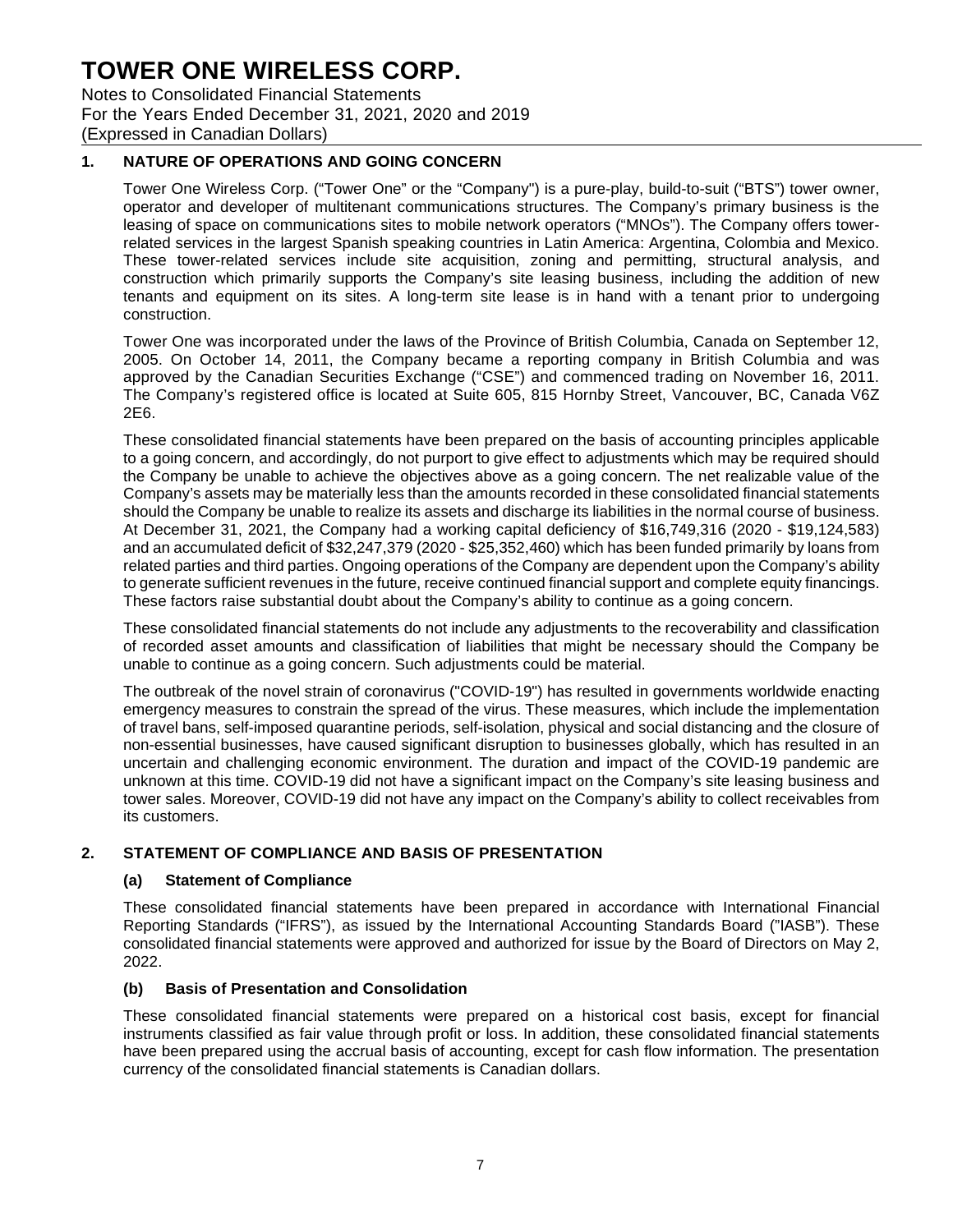Notes to Consolidated Financial Statements For the Years Ended December 31, 2021, 2020 and 2019 (Expressed in Canadian Dollars)

## **1. NATURE OF OPERATIONS AND GOING CONCERN**

Tower One Wireless Corp. ("Tower One" or the "Company") is a pure-play, build-to-suit ("BTS") tower owner, operator and developer of multitenant communications structures. The Company's primary business is the leasing of space on communications sites to mobile network operators ("MNOs"). The Company offers towerrelated services in the largest Spanish speaking countries in Latin America: Argentina, Colombia and Mexico. These tower-related services include site acquisition, zoning and permitting, structural analysis, and construction which primarily supports the Company's site leasing business, including the addition of new tenants and equipment on its sites. A long-term site lease is in hand with a tenant prior to undergoing construction.

Tower One was incorporated under the laws of the Province of British Columbia, Canada on September 12, 2005. On October 14, 2011, the Company became a reporting company in British Columbia and was approved by the Canadian Securities Exchange ("CSE") and commenced trading on November 16, 2011. The Company's registered office is located at Suite 605, 815 Hornby Street, Vancouver, BC, Canada V6Z 2E6.

These consolidated financial statements have been prepared on the basis of accounting principles applicable to a going concern, and accordingly, do not purport to give effect to adjustments which may be required should the Company be unable to achieve the objectives above as a going concern. The net realizable value of the Company's assets may be materially less than the amounts recorded in these consolidated financial statements should the Company be unable to realize its assets and discharge its liabilities in the normal course of business. At December 31, 2021, the Company had a working capital deficiency of \$16,749,316 (2020 - \$19,124,583) and an accumulated deficit of \$32,247,379 (2020 - \$25,352,460) which has been funded primarily by loans from related parties and third parties. Ongoing operations of the Company are dependent upon the Company's ability to generate sufficient revenues in the future, receive continued financial support and complete equity financings. These factors raise substantial doubt about the Company's ability to continue as a going concern.

These consolidated financial statements do not include any adjustments to the recoverability and classification of recorded asset amounts and classification of liabilities that might be necessary should the Company be unable to continue as a going concern. Such adjustments could be material.

The outbreak of the novel strain of coronavirus ("COVID-19") has resulted in governments worldwide enacting emergency measures to constrain the spread of the virus. These measures, which include the implementation of travel bans, self-imposed quarantine periods, self-isolation, physical and social distancing and the closure of non-essential businesses, have caused significant disruption to businesses globally, which has resulted in an uncertain and challenging economic environment. The duration and impact of the COVID-19 pandemic are unknown at this time. COVID-19 did not have a significant impact on the Company's site leasing business and tower sales. Moreover, COVID-19 did not have any impact on the Company's ability to collect receivables from its customers.

## **2. STATEMENT OF COMPLIANCE AND BASIS OF PRESENTATION**

## **(a) Statement of Compliance**

These consolidated financial statements have been prepared in accordance with International Financial Reporting Standards ("IFRS"), as issued by the International Accounting Standards Board ("IASB"). These consolidated financial statements were approved and authorized for issue by the Board of Directors on May 2, 2022.

## **(b) Basis of Presentation and Consolidation**

These consolidated financial statements were prepared on a historical cost basis, except for financial instruments classified as fair value through profit or loss. In addition, these consolidated financial statements have been prepared using the accrual basis of accounting, except for cash flow information. The presentation currency of the consolidated financial statements is Canadian dollars.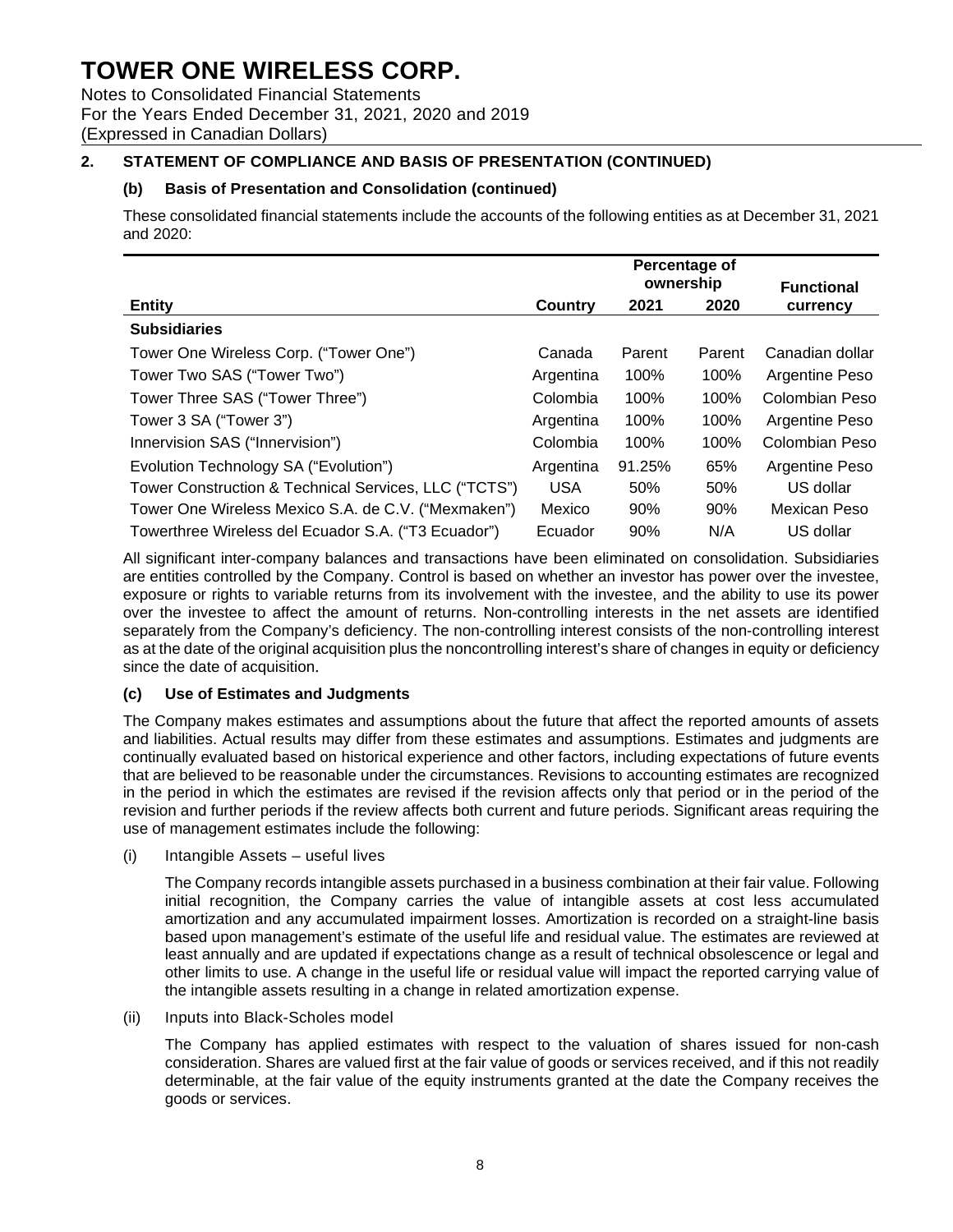Notes to Consolidated Financial Statements For the Years Ended December 31, 2021, 2020 and 2019 (Expressed in Canadian Dollars)

## **2. STATEMENT OF COMPLIANCE AND BASIS OF PRESENTATION (CONTINUED)**

## **(b) Basis of Presentation and Consolidation (continued)**

These consolidated financial statements include the accounts of the following entities as at December 31, 2021 and 2020:

|                                                       |                | Percentage of<br>ownership |        |                 |
|-------------------------------------------------------|----------------|----------------------------|--------|-----------------|
| <b>Entity</b>                                         | <b>Country</b> | 2021                       | 2020   | currency        |
| <b>Subsidiaries</b>                                   |                |                            |        |                 |
| Tower One Wireless Corp. ("Tower One")                | Canada         | Parent                     | Parent | Canadian dollar |
| Tower Two SAS ("Tower Two")                           | Argentina      | 100%                       | 100%   | Argentine Peso  |
| Tower Three SAS ("Tower Three")                       | Colombia       | 100%                       | 100%   | Colombian Peso  |
| Tower 3 SA ("Tower 3")                                | Argentina      | 100%                       | 100%   | Argentine Peso  |
| Innervision SAS ("Innervision")                       | Colombia       | 100%                       | 100%   | Colombian Peso  |
| Evolution Technology SA ("Evolution")                 | Argentina      | 91.25%                     | 65%    | Argentine Peso  |
| Tower Construction & Technical Services, LLC ("TCTS") | <b>USA</b>     | 50%                        | 50%    | US dollar       |
| Tower One Wireless Mexico S.A. de C.V. ("Mexmaken")   | Mexico         | 90%                        | 90%    | Mexican Peso    |
| Towerthree Wireless del Ecuador S.A. ("T3 Ecuador")   | Ecuador        | 90%                        | N/A    | US dollar       |

All significant inter-company balances and transactions have been eliminated on consolidation. Subsidiaries are entities controlled by the Company. Control is based on whether an investor has power over the investee, exposure or rights to variable returns from its involvement with the investee, and the ability to use its power over the investee to affect the amount of returns. Non-controlling interests in the net assets are identified separately from the Company's deficiency. The non-controlling interest consists of the non-controlling interest as at the date of the original acquisition plus the noncontrolling interest's share of changes in equity or deficiency since the date of acquisition.

## **(c) Use of Estimates and Judgments**

The Company makes estimates and assumptions about the future that affect the reported amounts of assets and liabilities. Actual results may differ from these estimates and assumptions. Estimates and judgments are continually evaluated based on historical experience and other factors, including expectations of future events that are believed to be reasonable under the circumstances. Revisions to accounting estimates are recognized in the period in which the estimates are revised if the revision affects only that period or in the period of the revision and further periods if the review affects both current and future periods. Significant areas requiring the use of management estimates include the following:

(i) Intangible Assets – useful lives

The Company records intangible assets purchased in a business combination at their fair value. Following initial recognition, the Company carries the value of intangible assets at cost less accumulated amortization and any accumulated impairment losses. Amortization is recorded on a straight-line basis based upon management's estimate of the useful life and residual value. The estimates are reviewed at least annually and are updated if expectations change as a result of technical obsolescence or legal and other limits to use. A change in the useful life or residual value will impact the reported carrying value of the intangible assets resulting in a change in related amortization expense.

(ii) Inputs into Black-Scholes model

The Company has applied estimates with respect to the valuation of shares issued for non-cash consideration. Shares are valued first at the fair value of goods or services received, and if this not readily determinable, at the fair value of the equity instruments granted at the date the Company receives the goods or services.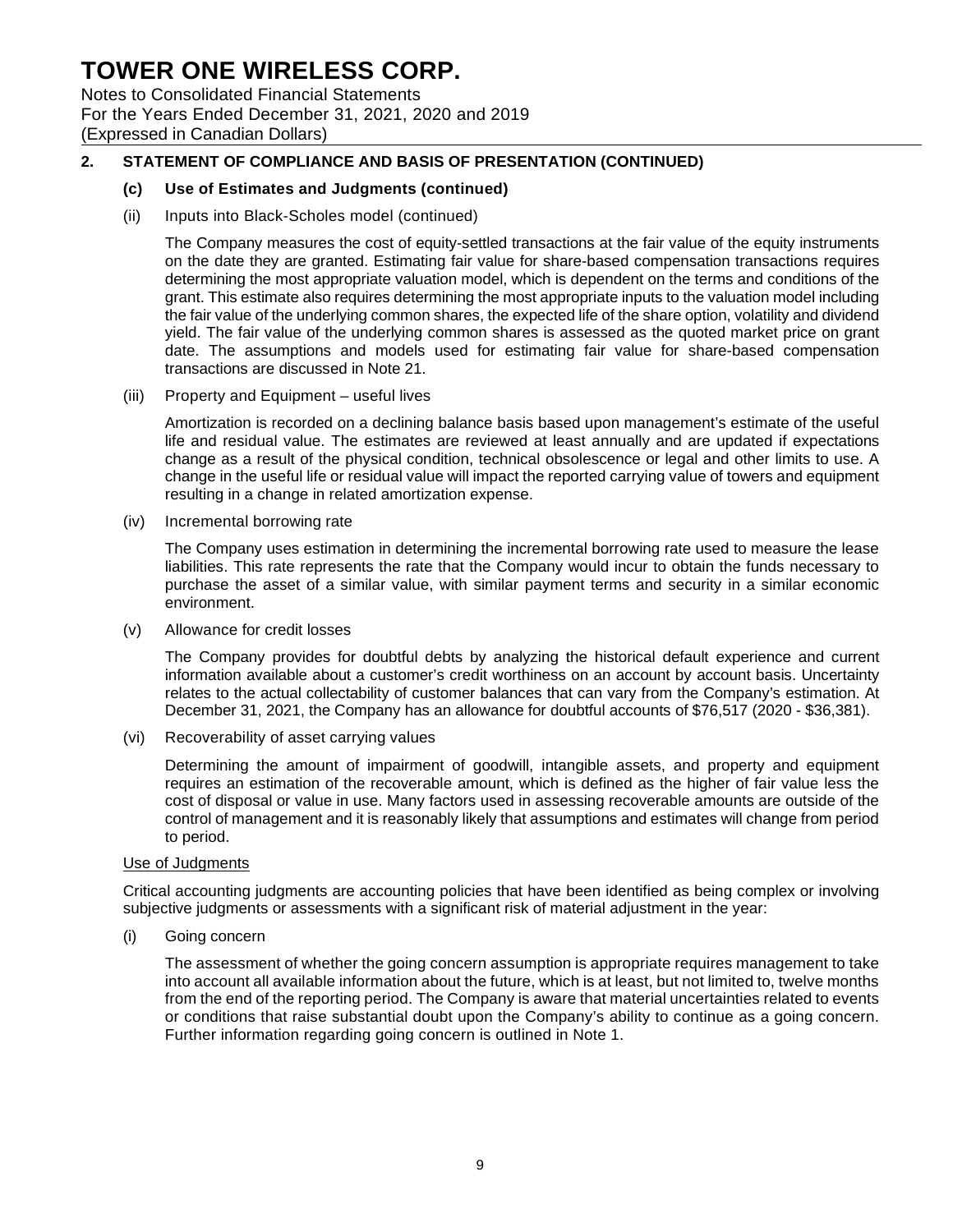Notes to Consolidated Financial Statements For the Years Ended December 31, 2021, 2020 and 2019 (Expressed in Canadian Dollars)

## **2. STATEMENT OF COMPLIANCE AND BASIS OF PRESENTATION (CONTINUED)**

## **(c) Use of Estimates and Judgments (continued)**

(ii) Inputs into Black-Scholes model (continued)

The Company measures the cost of equity-settled transactions at the fair value of the equity instruments on the date they are granted. Estimating fair value for share-based compensation transactions requires determining the most appropriate valuation model, which is dependent on the terms and conditions of the grant. This estimate also requires determining the most appropriate inputs to the valuation model including the fair value of the underlying common shares, the expected life of the share option, volatility and dividend yield. The fair value of the underlying common shares is assessed as the quoted market price on grant date. The assumptions and models used for estimating fair value for share-based compensation transactions are discussed in Note 21.

(iii) Property and Equipment – useful lives

Amortization is recorded on a declining balance basis based upon management's estimate of the useful life and residual value. The estimates are reviewed at least annually and are updated if expectations change as a result of the physical condition, technical obsolescence or legal and other limits to use. A change in the useful life or residual value will impact the reported carrying value of towers and equipment resulting in a change in related amortization expense.

(iv) Incremental borrowing rate

The Company uses estimation in determining the incremental borrowing rate used to measure the lease liabilities. This rate represents the rate that the Company would incur to obtain the funds necessary to purchase the asset of a similar value, with similar payment terms and security in a similar economic environment.

(v) Allowance for credit losses

The Company provides for doubtful debts by analyzing the historical default experience and current information available about a customer's credit worthiness on an account by account basis. Uncertainty relates to the actual collectability of customer balances that can vary from the Company's estimation. At December 31, 2021, the Company has an allowance for doubtful accounts of \$76,517 (2020 - \$36,381).

(vi) Recoverability of asset carrying values

Determining the amount of impairment of goodwill, intangible assets, and property and equipment requires an estimation of the recoverable amount, which is defined as the higher of fair value less the cost of disposal or value in use. Many factors used in assessing recoverable amounts are outside of the control of management and it is reasonably likely that assumptions and estimates will change from period to period.

## Use of Judgments

Critical accounting judgments are accounting policies that have been identified as being complex or involving subjective judgments or assessments with a significant risk of material adjustment in the year:

(i) Going concern

The assessment of whether the going concern assumption is appropriate requires management to take into account all available information about the future, which is at least, but not limited to, twelve months from the end of the reporting period. The Company is aware that material uncertainties related to events or conditions that raise substantial doubt upon the Company's ability to continue as a going concern. Further information regarding going concern is outlined in Note 1.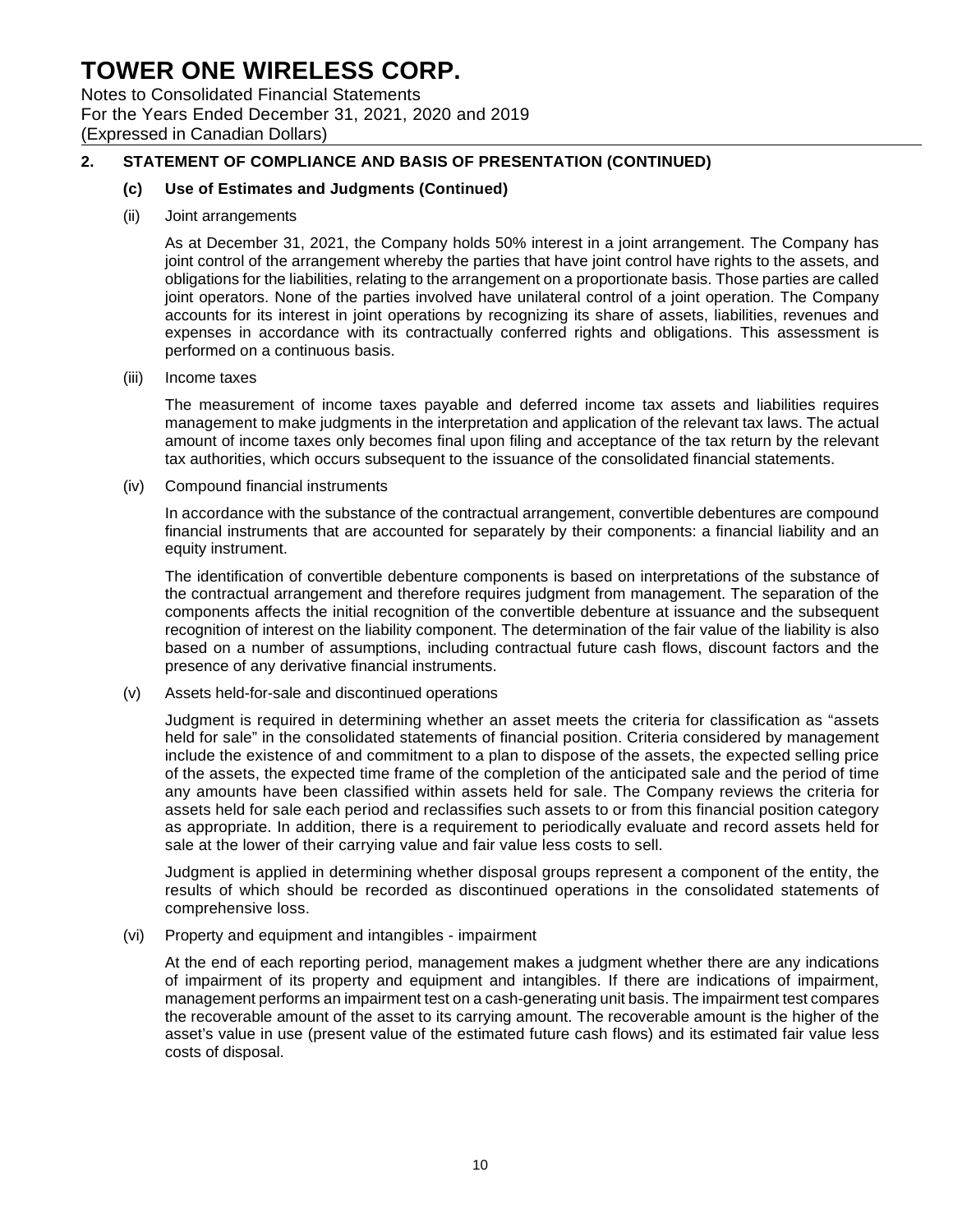Notes to Consolidated Financial Statements For the Years Ended December 31, 2021, 2020 and 2019 (Expressed in Canadian Dollars)

## **2. STATEMENT OF COMPLIANCE AND BASIS OF PRESENTATION (CONTINUED)**

## **(c) Use of Estimates and Judgments (Continued)**

(ii) Joint arrangements

As at December 31, 2021, the Company holds 50% interest in a joint arrangement. The Company has joint control of the arrangement whereby the parties that have joint control have rights to the assets, and obligations for the liabilities, relating to the arrangement on a proportionate basis. Those parties are called joint operators. None of the parties involved have unilateral control of a joint operation. The Company accounts for its interest in joint operations by recognizing its share of assets, liabilities, revenues and expenses in accordance with its contractually conferred rights and obligations. This assessment is performed on a continuous basis.

(iii) Income taxes

The measurement of income taxes payable and deferred income tax assets and liabilities requires management to make judgments in the interpretation and application of the relevant tax laws. The actual amount of income taxes only becomes final upon filing and acceptance of the tax return by the relevant tax authorities, which occurs subsequent to the issuance of the consolidated financial statements.

(iv) Compound financial instruments

In accordance with the substance of the contractual arrangement, convertible debentures are compound financial instruments that are accounted for separately by their components: a financial liability and an equity instrument.

The identification of convertible debenture components is based on interpretations of the substance of the contractual arrangement and therefore requires judgment from management. The separation of the components affects the initial recognition of the convertible debenture at issuance and the subsequent recognition of interest on the liability component. The determination of the fair value of the liability is also based on a number of assumptions, including contractual future cash flows, discount factors and the presence of any derivative financial instruments.

(v) Assets held-for-sale and discontinued operations

Judgment is required in determining whether an asset meets the criteria for classification as "assets held for sale" in the consolidated statements of financial position. Criteria considered by management include the existence of and commitment to a plan to dispose of the assets, the expected selling price of the assets, the expected time frame of the completion of the anticipated sale and the period of time any amounts have been classified within assets held for sale. The Company reviews the criteria for assets held for sale each period and reclassifies such assets to or from this financial position category as appropriate. In addition, there is a requirement to periodically evaluate and record assets held for sale at the lower of their carrying value and fair value less costs to sell.

Judgment is applied in determining whether disposal groups represent a component of the entity, the results of which should be recorded as discontinued operations in the consolidated statements of comprehensive loss.

(vi) Property and equipment and intangibles - impairment

At the end of each reporting period, management makes a judgment whether there are any indications of impairment of its property and equipment and intangibles. If there are indications of impairment, management performs an impairment test on a cash-generating unit basis. The impairment test compares the recoverable amount of the asset to its carrying amount. The recoverable amount is the higher of the asset's value in use (present value of the estimated future cash flows) and its estimated fair value less costs of disposal.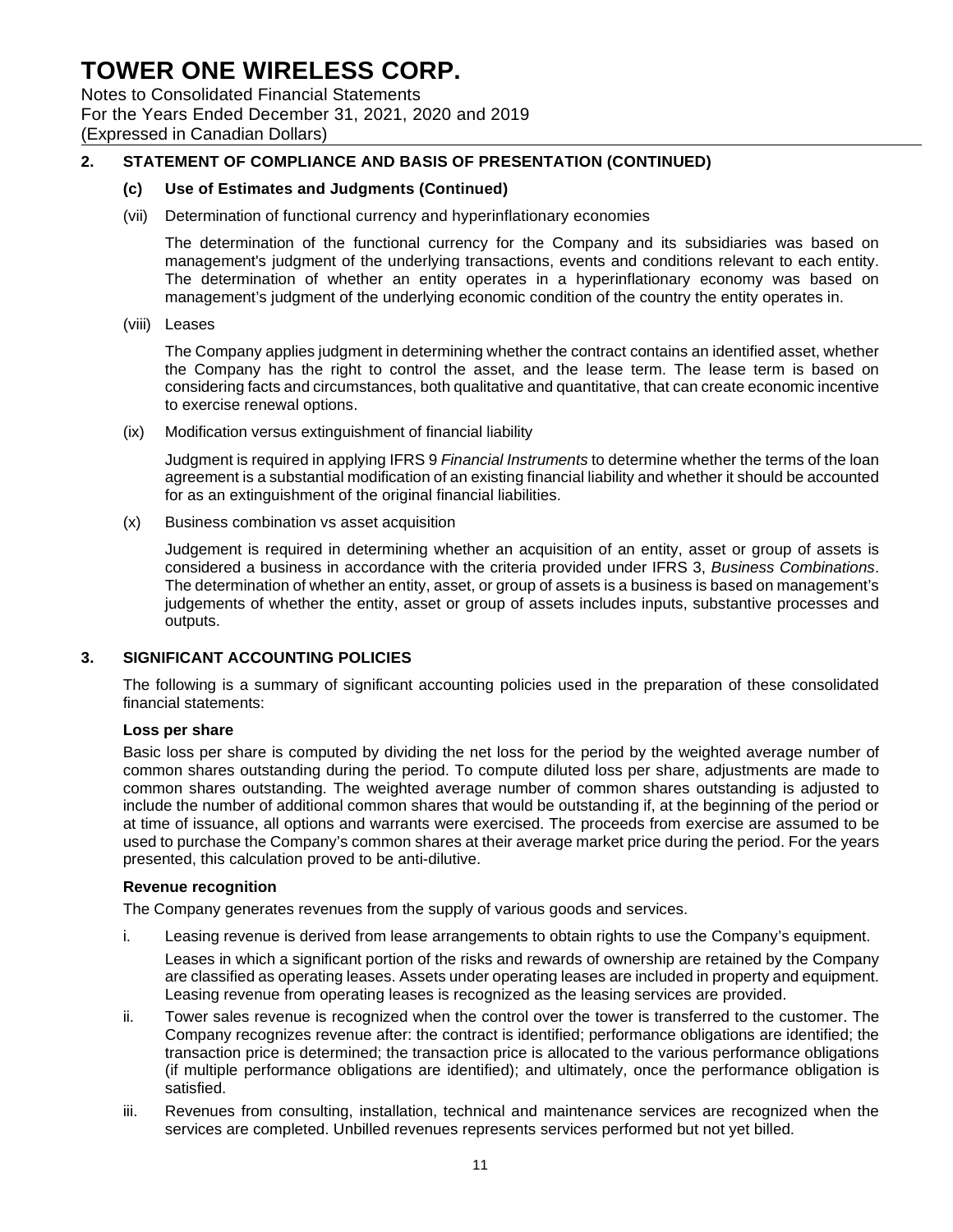Notes to Consolidated Financial Statements For the Years Ended December 31, 2021, 2020 and 2019 (Expressed in Canadian Dollars)

## **2. STATEMENT OF COMPLIANCE AND BASIS OF PRESENTATION (CONTINUED)**

## **(c) Use of Estimates and Judgments (Continued)**

(vii) Determination of functional currency and hyperinflationary economies

The determination of the functional currency for the Company and its subsidiaries was based on management's judgment of the underlying transactions, events and conditions relevant to each entity. The determination of whether an entity operates in a hyperinflationary economy was based on management's judgment of the underlying economic condition of the country the entity operates in.

(viii) Leases

The Company applies judgment in determining whether the contract contains an identified asset, whether the Company has the right to control the asset, and the lease term. The lease term is based on considering facts and circumstances, both qualitative and quantitative, that can create economic incentive to exercise renewal options.

(ix) Modification versus extinguishment of financial liability

Judgment is required in applying IFRS 9 *Financial Instruments* to determine whether the terms of the loan agreement is a substantial modification of an existing financial liability and whether it should be accounted for as an extinguishment of the original financial liabilities.

(x) Business combination vs asset acquisition

Judgement is required in determining whether an acquisition of an entity, asset or group of assets is considered a business in accordance with the criteria provided under IFRS 3, *Business Combinations*. The determination of whether an entity, asset, or group of assets is a business is based on management's judgements of whether the entity, asset or group of assets includes inputs, substantive processes and outputs.

## **3. SIGNIFICANT ACCOUNTING POLICIES**

The following is a summary of significant accounting policies used in the preparation of these consolidated financial statements:

## **Loss per share**

Basic loss per share is computed by dividing the net loss for the period by the weighted average number of common shares outstanding during the period. To compute diluted loss per share, adjustments are made to common shares outstanding. The weighted average number of common shares outstanding is adjusted to include the number of additional common shares that would be outstanding if, at the beginning of the period or at time of issuance, all options and warrants were exercised. The proceeds from exercise are assumed to be used to purchase the Company's common shares at their average market price during the period. For the years presented, this calculation proved to be anti-dilutive.

## **Revenue recognition**

The Company generates revenues from the supply of various goods and services.

i. Leasing revenue is derived from lease arrangements to obtain rights to use the Company's equipment.

Leases in which a significant portion of the risks and rewards of ownership are retained by the Company are classified as operating leases. Assets under operating leases are included in property and equipment. Leasing revenue from operating leases is recognized as the leasing services are provided.

- ii. Tower sales revenue is recognized when the control over the tower is transferred to the customer. The Company recognizes revenue after: the contract is identified; performance obligations are identified; the transaction price is determined; the transaction price is allocated to the various performance obligations (if multiple performance obligations are identified); and ultimately, once the performance obligation is satisfied.
- iii. Revenues from consulting, installation, technical and maintenance services are recognized when the services are completed. Unbilled revenues represents services performed but not yet billed.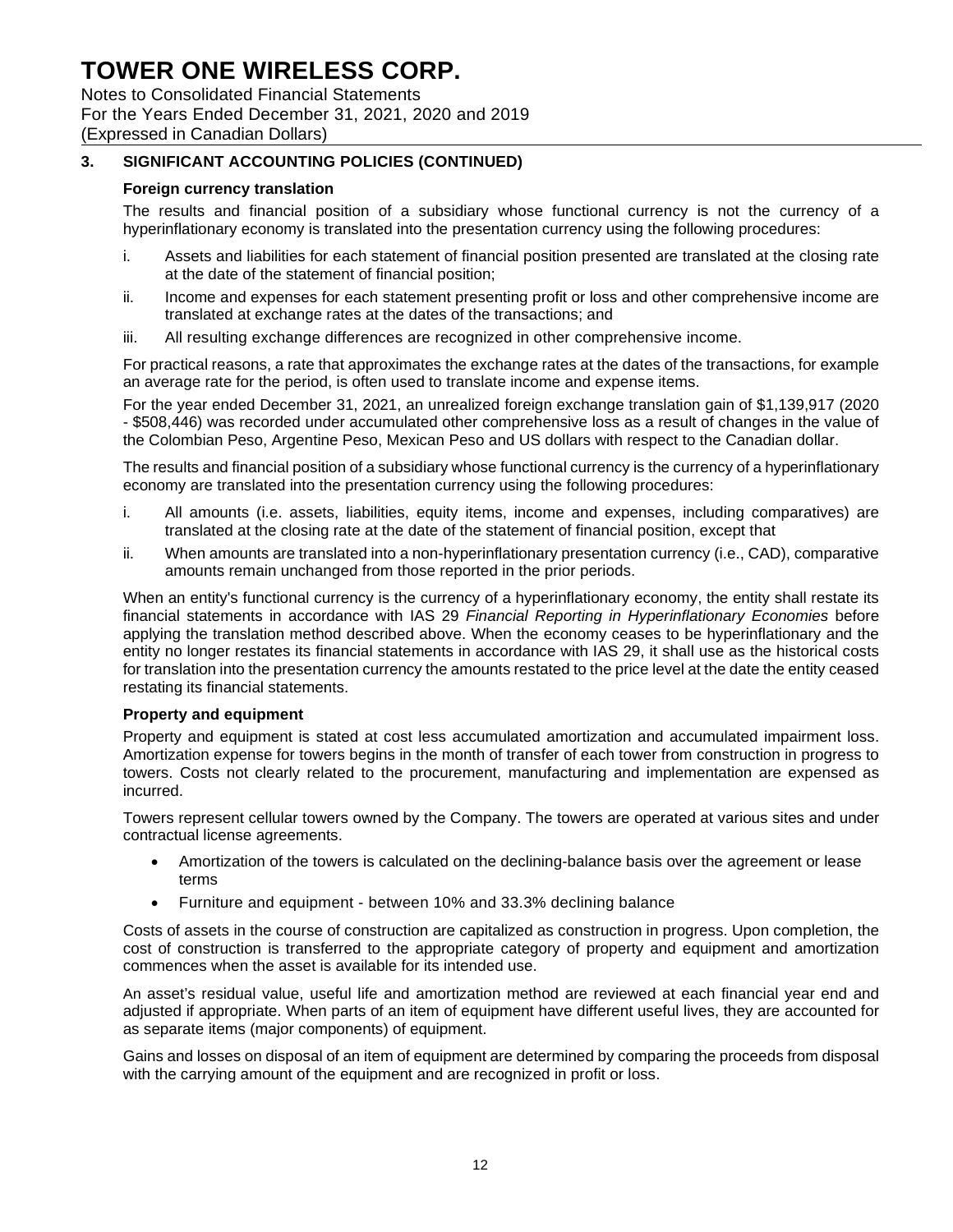Notes to Consolidated Financial Statements For the Years Ended December 31, 2021, 2020 and 2019 (Expressed in Canadian Dollars)

## **3. SIGNIFICANT ACCOUNTING POLICIES (CONTINUED)**

## **Foreign currency translation**

The results and financial position of a subsidiary whose functional currency is not the currency of a hyperinflationary economy is translated into the presentation currency using the following procedures:

- i. Assets and liabilities for each statement of financial position presented are translated at the closing rate at the date of the statement of financial position;
- ii. Income and expenses for each statement presenting profit or loss and other comprehensive income are translated at exchange rates at the dates of the transactions; and
- iii. All resulting exchange differences are recognized in other comprehensive income.

For practical reasons, a rate that approximates the exchange rates at the dates of the transactions, for example an average rate for the period, is often used to translate income and expense items.

For the year ended December 31, 2021, an unrealized foreign exchange translation gain of \$1,139,917 (2020 - \$508,446) was recorded under accumulated other comprehensive loss as a result of changes in the value of the Colombian Peso, Argentine Peso, Mexican Peso and US dollars with respect to the Canadian dollar.

The results and financial position of a subsidiary whose functional currency is the currency of a hyperinflationary economy are translated into the presentation currency using the following procedures:

- i. All amounts (i.e. assets, liabilities, equity items, income and expenses, including comparatives) are translated at the closing rate at the date of the statement of financial position, except that
- ii. When amounts are translated into a non-hyperinflationary presentation currency (i.e., CAD), comparative amounts remain unchanged from those reported in the prior periods.

When an entity's functional currency is the currency of a hyperinflationary economy, the entity shall restate its financial statements in accordance with IAS 29 *Financial Reporting in Hyperinflationary Economies* before applying the translation method described above. When the economy ceases to be hyperinflationary and the entity no longer restates its financial statements in accordance with IAS 29, it shall use as the historical costs for translation into the presentation currency the amounts restated to the price level at the date the entity ceased restating its financial statements.

#### **Property and equipment**

Property and equipment is stated at cost less accumulated amortization and accumulated impairment loss. Amortization expense for towers begins in the month of transfer of each tower from construction in progress to towers. Costs not clearly related to the procurement, manufacturing and implementation are expensed as incurred.

Towers represent cellular towers owned by the Company. The towers are operated at various sites and under contractual license agreements.

- Amortization of the towers is calculated on the declining-balance basis over the agreement or lease terms
- Furniture and equipment between 10% and 33.3% declining balance

Costs of assets in the course of construction are capitalized as construction in progress. Upon completion, the cost of construction is transferred to the appropriate category of property and equipment and amortization commences when the asset is available for its intended use.

An asset's residual value, useful life and amortization method are reviewed at each financial year end and adjusted if appropriate. When parts of an item of equipment have different useful lives, they are accounted for as separate items (major components) of equipment.

Gains and losses on disposal of an item of equipment are determined by comparing the proceeds from disposal with the carrying amount of the equipment and are recognized in profit or loss.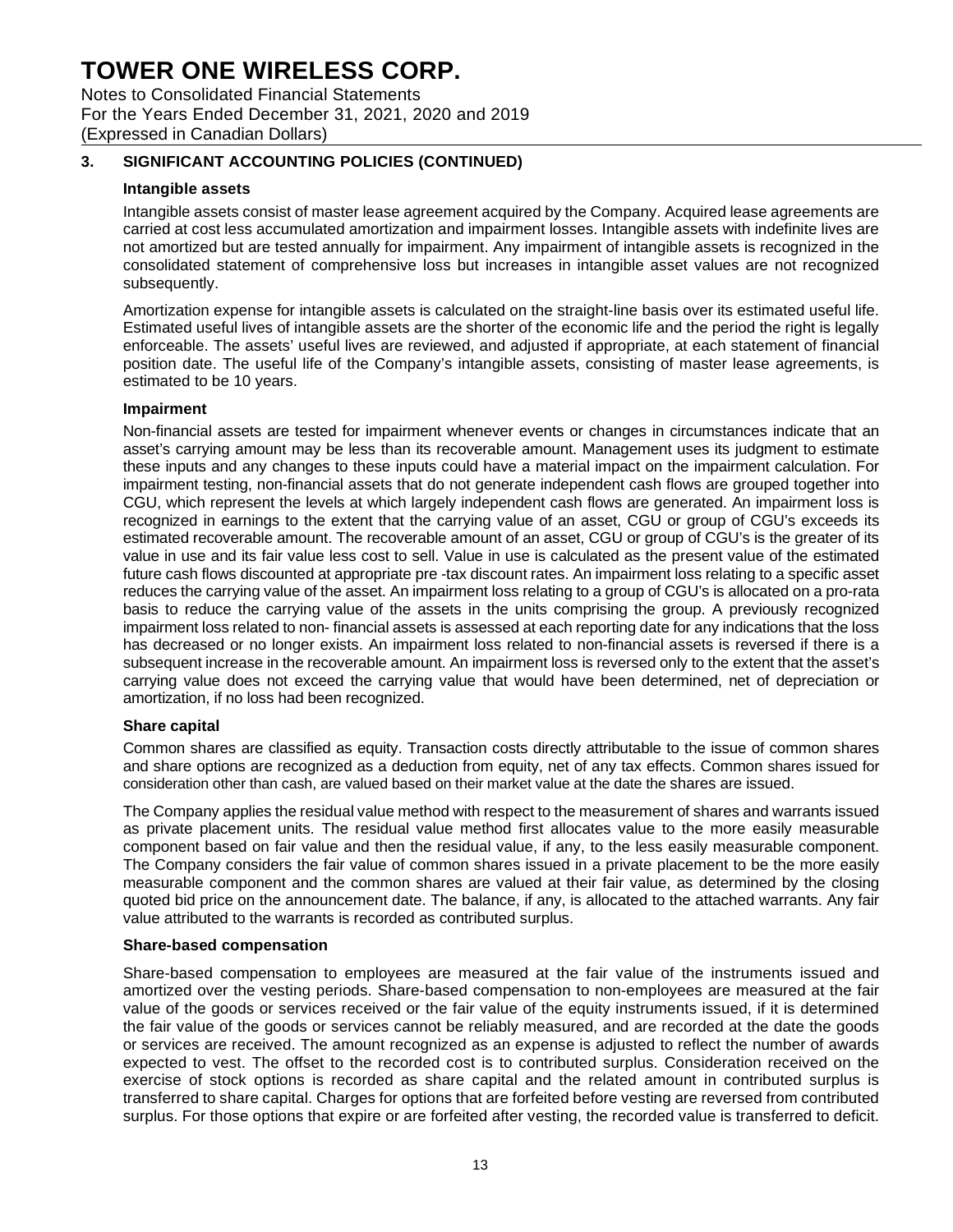Notes to Consolidated Financial Statements For the Years Ended December 31, 2021, 2020 and 2019 (Expressed in Canadian Dollars)

## **3. SIGNIFICANT ACCOUNTING POLICIES (CONTINUED)**

## **Intangible assets**

Intangible assets consist of master lease agreement acquired by the Company. Acquired lease agreements are carried at cost less accumulated amortization and impairment losses. Intangible assets with indefinite lives are not amortized but are tested annually for impairment. Any impairment of intangible assets is recognized in the consolidated statement of comprehensive loss but increases in intangible asset values are not recognized subsequently.

Amortization expense for intangible assets is calculated on the straight-line basis over its estimated useful life. Estimated useful lives of intangible assets are the shorter of the economic life and the period the right is legally enforceable. The assets' useful lives are reviewed, and adjusted if appropriate, at each statement of financial position date. The useful life of the Company's intangible assets, consisting of master lease agreements, is estimated to be 10 years.

## **Impairment**

Non-financial assets are tested for impairment whenever events or changes in circumstances indicate that an asset's carrying amount may be less than its recoverable amount. Management uses its judgment to estimate these inputs and any changes to these inputs could have a material impact on the impairment calculation. For impairment testing, non-financial assets that do not generate independent cash flows are grouped together into CGU, which represent the levels at which largely independent cash flows are generated. An impairment loss is recognized in earnings to the extent that the carrying value of an asset, CGU or group of CGU's exceeds its estimated recoverable amount. The recoverable amount of an asset, CGU or group of CGU's is the greater of its value in use and its fair value less cost to sell. Value in use is calculated as the present value of the estimated future cash flows discounted at appropriate pre -tax discount rates. An impairment loss relating to a specific asset reduces the carrying value of the asset. An impairment loss relating to a group of CGU's is allocated on a pro-rata basis to reduce the carrying value of the assets in the units comprising the group. A previously recognized impairment loss related to non- financial assets is assessed at each reporting date for any indications that the loss has decreased or no longer exists. An impairment loss related to non-financial assets is reversed if there is a subsequent increase in the recoverable amount. An impairment loss is reversed only to the extent that the asset's carrying value does not exceed the carrying value that would have been determined, net of depreciation or amortization, if no loss had been recognized.

## **Share capital**

Common shares are classified as equity. Transaction costs directly attributable to the issue of common shares and share options are recognized as a deduction from equity, net of any tax effects. Common shares issued for consideration other than cash, are valued based on their market value at the date the shares are issued.

The Company applies the residual value method with respect to the measurement of shares and warrants issued as private placement units. The residual value method first allocates value to the more easily measurable component based on fair value and then the residual value, if any, to the less easily measurable component. The Company considers the fair value of common shares issued in a private placement to be the more easily measurable component and the common shares are valued at their fair value, as determined by the closing quoted bid price on the announcement date. The balance, if any, is allocated to the attached warrants. Any fair value attributed to the warrants is recorded as contributed surplus.

## **Share-based compensation**

Share-based compensation to employees are measured at the fair value of the instruments issued and amortized over the vesting periods. Share-based compensation to non-employees are measured at the fair value of the goods or services received or the fair value of the equity instruments issued, if it is determined the fair value of the goods or services cannot be reliably measured, and are recorded at the date the goods or services are received. The amount recognized as an expense is adjusted to reflect the number of awards expected to vest. The offset to the recorded cost is to contributed surplus. Consideration received on the exercise of stock options is recorded as share capital and the related amount in contributed surplus is transferred to share capital. Charges for options that are forfeited before vesting are reversed from contributed surplus. For those options that expire or are forfeited after vesting, the recorded value is transferred to deficit.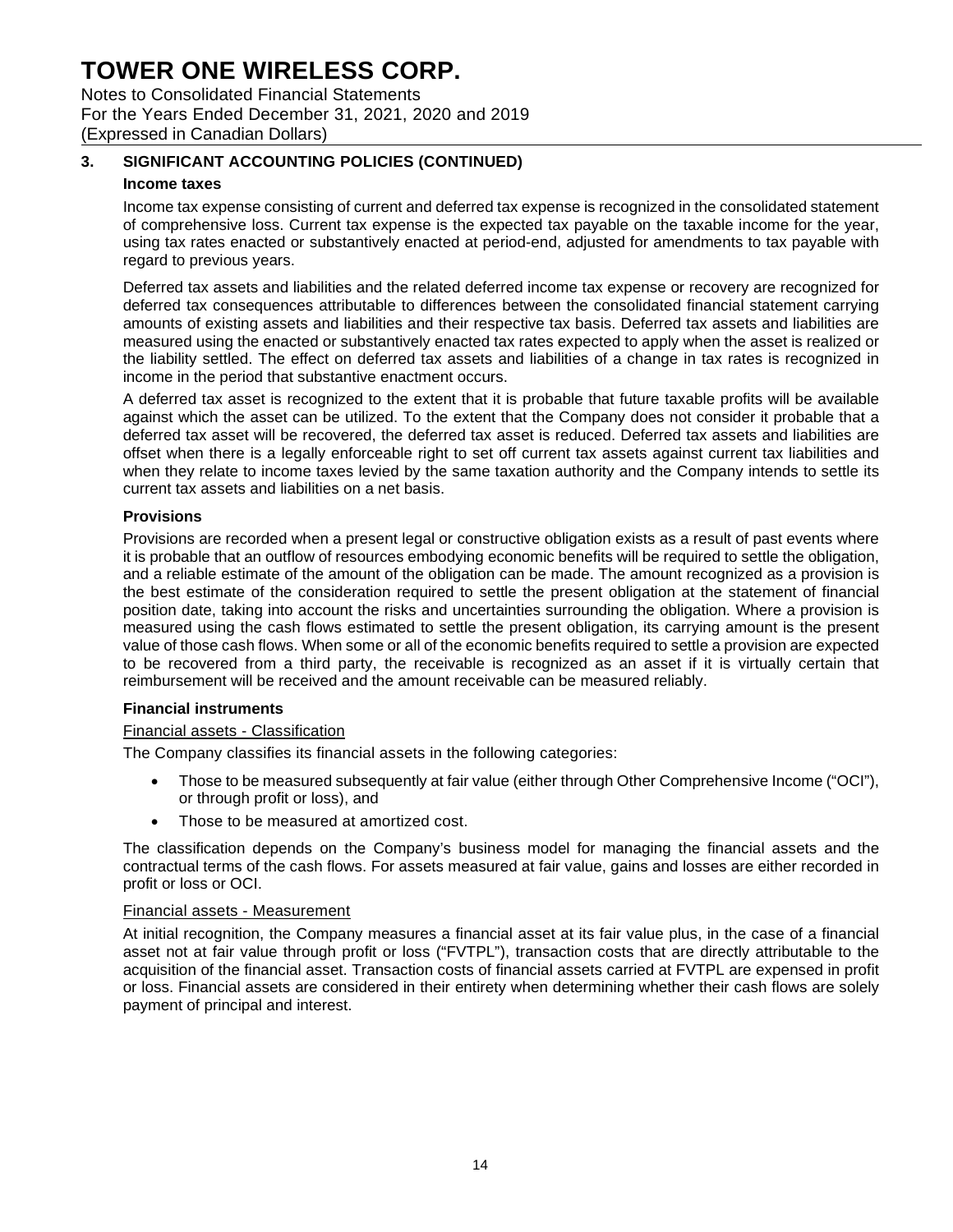Notes to Consolidated Financial Statements For the Years Ended December 31, 2021, 2020 and 2019 (Expressed in Canadian Dollars)

## **3. SIGNIFICANT ACCOUNTING POLICIES (CONTINUED)**

## **Income taxes**

Income tax expense consisting of current and deferred tax expense is recognized in the consolidated statement of comprehensive loss. Current tax expense is the expected tax payable on the taxable income for the year, using tax rates enacted or substantively enacted at period-end, adjusted for amendments to tax payable with regard to previous years.

Deferred tax assets and liabilities and the related deferred income tax expense or recovery are recognized for deferred tax consequences attributable to differences between the consolidated financial statement carrying amounts of existing assets and liabilities and their respective tax basis. Deferred tax assets and liabilities are measured using the enacted or substantively enacted tax rates expected to apply when the asset is realized or the liability settled. The effect on deferred tax assets and liabilities of a change in tax rates is recognized in income in the period that substantive enactment occurs.

A deferred tax asset is recognized to the extent that it is probable that future taxable profits will be available against which the asset can be utilized. To the extent that the Company does not consider it probable that a deferred tax asset will be recovered, the deferred tax asset is reduced. Deferred tax assets and liabilities are offset when there is a legally enforceable right to set off current tax assets against current tax liabilities and when they relate to income taxes levied by the same taxation authority and the Company intends to settle its current tax assets and liabilities on a net basis.

#### **Provisions**

Provisions are recorded when a present legal or constructive obligation exists as a result of past events where it is probable that an outflow of resources embodying economic benefits will be required to settle the obligation, and a reliable estimate of the amount of the obligation can be made. The amount recognized as a provision is the best estimate of the consideration required to settle the present obligation at the statement of financial position date, taking into account the risks and uncertainties surrounding the obligation. Where a provision is measured using the cash flows estimated to settle the present obligation, its carrying amount is the present value of those cash flows. When some or all of the economic benefits required to settle a provision are expected to be recovered from a third party, the receivable is recognized as an asset if it is virtually certain that reimbursement will be received and the amount receivable can be measured reliably.

## **Financial instruments**

## Financial assets - Classification

The Company classifies its financial assets in the following categories:

- Those to be measured subsequently at fair value (either through Other Comprehensive Income ("OCI"), or through profit or loss), and
- Those to be measured at amortized cost.

The classification depends on the Company's business model for managing the financial assets and the contractual terms of the cash flows. For assets measured at fair value, gains and losses are either recorded in profit or loss or OCI.

#### Financial assets - Measurement

At initial recognition, the Company measures a financial asset at its fair value plus, in the case of a financial asset not at fair value through profit or loss ("FVTPL"), transaction costs that are directly attributable to the acquisition of the financial asset. Transaction costs of financial assets carried at FVTPL are expensed in profit or loss. Financial assets are considered in their entirety when determining whether their cash flows are solely payment of principal and interest.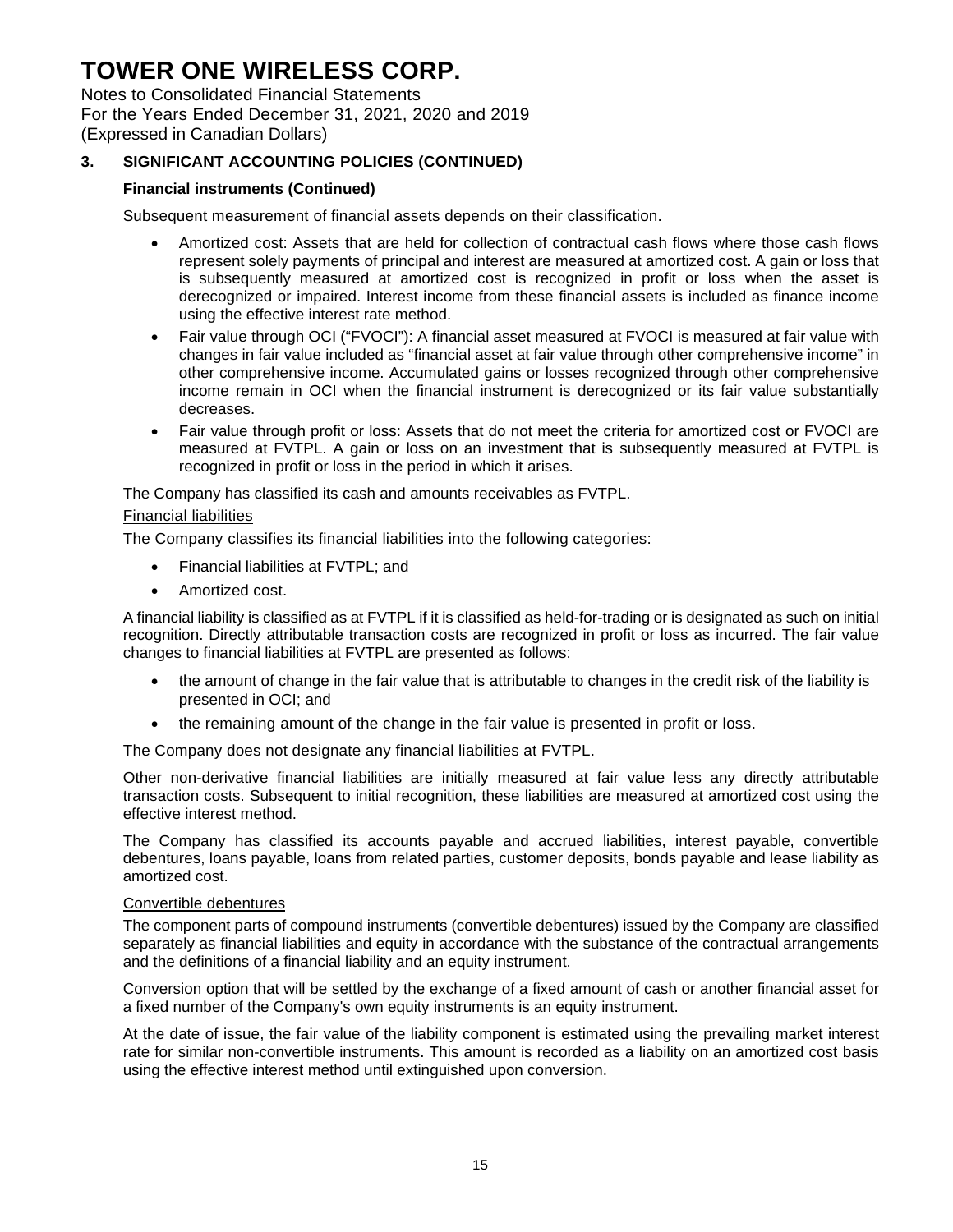Notes to Consolidated Financial Statements For the Years Ended December 31, 2021, 2020 and 2019 (Expressed in Canadian Dollars)

## **3. SIGNIFICANT ACCOUNTING POLICIES (CONTINUED)**

## **Financial instruments (Continued)**

Subsequent measurement of financial assets depends on their classification.

- Amortized cost: Assets that are held for collection of contractual cash flows where those cash flows represent solely payments of principal and interest are measured at amortized cost. A gain or loss that is subsequently measured at amortized cost is recognized in profit or loss when the asset is derecognized or impaired. Interest income from these financial assets is included as finance income using the effective interest rate method.
- Fair value through OCI ("FVOCI"): A financial asset measured at FVOCI is measured at fair value with changes in fair value included as "financial asset at fair value through other comprehensive income" in other comprehensive income. Accumulated gains or losses recognized through other comprehensive income remain in OCI when the financial instrument is derecognized or its fair value substantially decreases.
- Fair value through profit or loss: Assets that do not meet the criteria for amortized cost or FVOCI are measured at FVTPL. A gain or loss on an investment that is subsequently measured at FVTPL is recognized in profit or loss in the period in which it arises.

The Company has classified its cash and amounts receivables as FVTPL.

#### Financial liabilities

The Company classifies its financial liabilities into the following categories:

- Financial liabilities at FVTPL; and
- Amortized cost.

A financial liability is classified as at FVTPL if it is classified as held-for-trading or is designated as such on initial recognition. Directly attributable transaction costs are recognized in profit or loss as incurred. The fair value changes to financial liabilities at FVTPL are presented as follows:

- the amount of change in the fair value that is attributable to changes in the credit risk of the liability is presented in OCI; and
- the remaining amount of the change in the fair value is presented in profit or loss.

The Company does not designate any financial liabilities at FVTPL.

Other non-derivative financial liabilities are initially measured at fair value less any directly attributable transaction costs. Subsequent to initial recognition, these liabilities are measured at amortized cost using the effective interest method.

The Company has classified its accounts payable and accrued liabilities, interest payable, convertible debentures, loans payable, loans from related parties, customer deposits, bonds payable and lease liability as amortized cost.

#### Convertible debentures

The component parts of compound instruments (convertible debentures) issued by the Company are classified separately as financial liabilities and equity in accordance with the substance of the contractual arrangements and the definitions of a financial liability and an equity instrument.

Conversion option that will be settled by the exchange of a fixed amount of cash or another financial asset for a fixed number of the Company's own equity instruments is an equity instrument.

At the date of issue, the fair value of the liability component is estimated using the prevailing market interest rate for similar non-convertible instruments. This amount is recorded as a liability on an amortized cost basis using the effective interest method until extinguished upon conversion.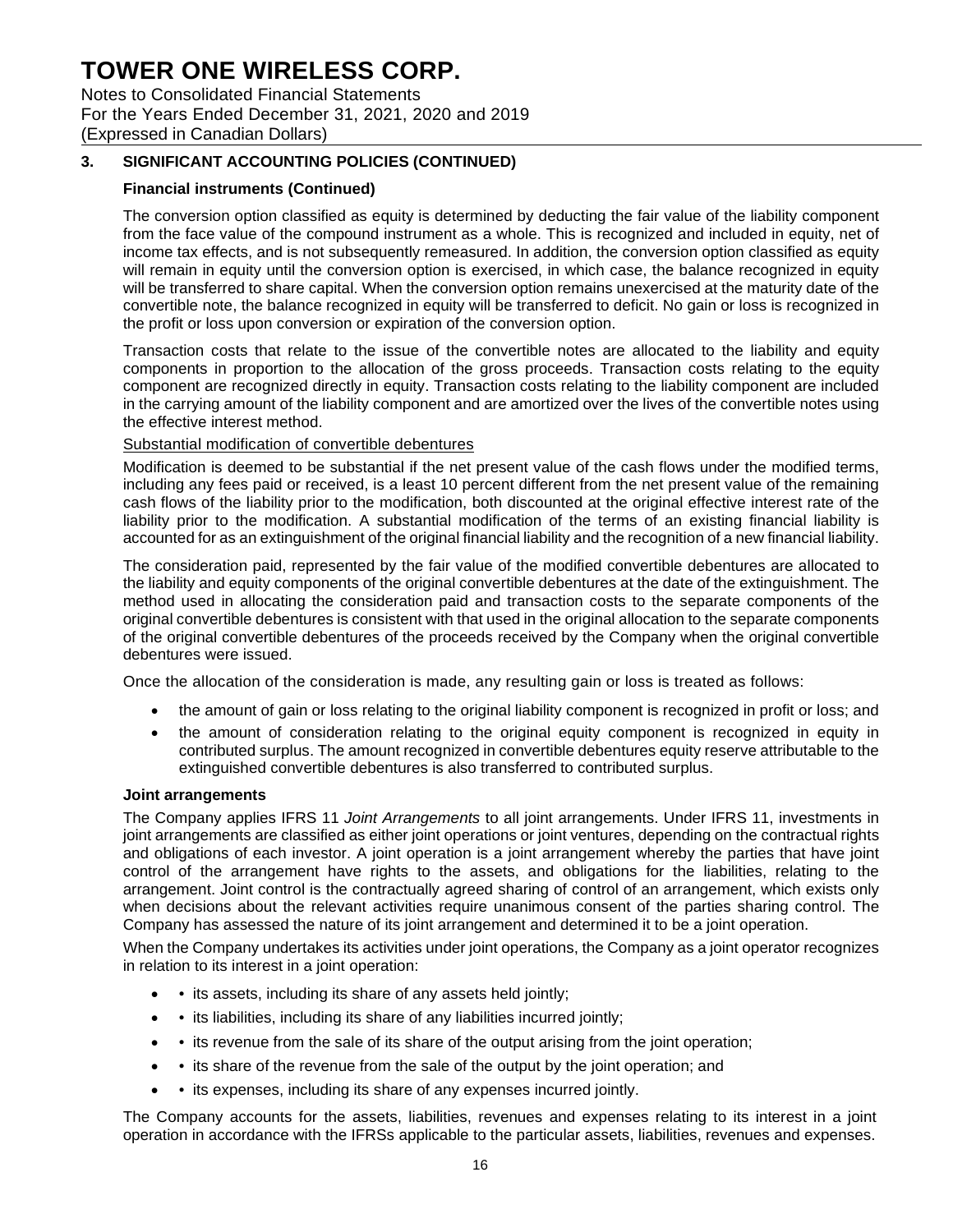Notes to Consolidated Financial Statements For the Years Ended December 31, 2021, 2020 and 2019 (Expressed in Canadian Dollars)

## **3. SIGNIFICANT ACCOUNTING POLICIES (CONTINUED)**

## **Financial instruments (Continued)**

The conversion option classified as equity is determined by deducting the fair value of the liability component from the face value of the compound instrument as a whole. This is recognized and included in equity, net of income tax effects, and is not subsequently remeasured. In addition, the conversion option classified as equity will remain in equity until the conversion option is exercised, in which case, the balance recognized in equity will be transferred to share capital. When the conversion option remains unexercised at the maturity date of the convertible note, the balance recognized in equity will be transferred to deficit. No gain or loss is recognized in the profit or loss upon conversion or expiration of the conversion option.

Transaction costs that relate to the issue of the convertible notes are allocated to the liability and equity components in proportion to the allocation of the gross proceeds. Transaction costs relating to the equity component are recognized directly in equity. Transaction costs relating to the liability component are included in the carrying amount of the liability component and are amortized over the lives of the convertible notes using the effective interest method.

#### Substantial modification of convertible debentures

Modification is deemed to be substantial if the net present value of the cash flows under the modified terms, including any fees paid or received, is a least 10 percent different from the net present value of the remaining cash flows of the liability prior to the modification, both discounted at the original effective interest rate of the liability prior to the modification. A substantial modification of the terms of an existing financial liability is accounted for as an extinguishment of the original financial liability and the recognition of a new financial liability.

The consideration paid, represented by the fair value of the modified convertible debentures are allocated to the liability and equity components of the original convertible debentures at the date of the extinguishment. The method used in allocating the consideration paid and transaction costs to the separate components of the original convertible debentures is consistent with that used in the original allocation to the separate components of the original convertible debentures of the proceeds received by the Company when the original convertible debentures were issued.

Once the allocation of the consideration is made, any resulting gain or loss is treated as follows:

- the amount of gain or loss relating to the original liability component is recognized in profit or loss; and
- the amount of consideration relating to the original equity component is recognized in equity in contributed surplus. The amount recognized in convertible debentures equity reserve attributable to the extinguished convertible debentures is also transferred to contributed surplus.

#### **Joint arrangements**

The Company applies IFRS 11 *Joint Arrangements* to all joint arrangements. Under IFRS 11, investments in joint arrangements are classified as either joint operations or joint ventures, depending on the contractual rights and obligations of each investor. A joint operation is a joint arrangement whereby the parties that have joint control of the arrangement have rights to the assets, and obligations for the liabilities, relating to the arrangement. Joint control is the contractually agreed sharing of control of an arrangement, which exists only when decisions about the relevant activities require unanimous consent of the parties sharing control. The Company has assessed the nature of its joint arrangement and determined it to be a joint operation.

When the Company undertakes its activities under joint operations, the Company as a joint operator recognizes in relation to its interest in a joint operation:

- • its assets, including its share of any assets held jointly;
- its liabilities, including its share of any liabilities incurred jointly;
- its revenue from the sale of its share of the output arising from the joint operation;
- its share of the revenue from the sale of the output by the joint operation; and
- • its expenses, including its share of any expenses incurred jointly.

The Company accounts for the assets, liabilities, revenues and expenses relating to its interest in a joint operation in accordance with the IFRSs applicable to the particular assets, liabilities, revenues and expenses.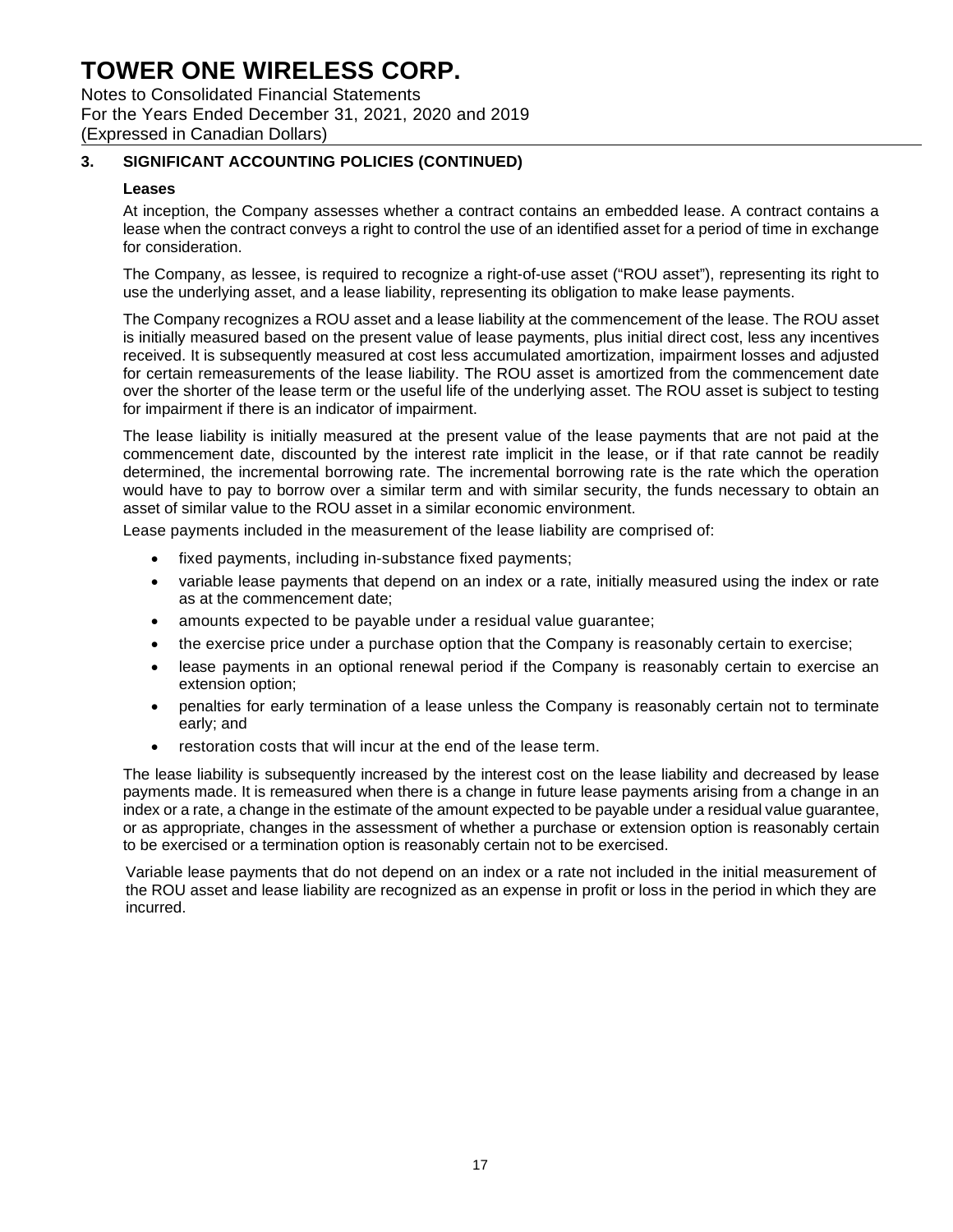Notes to Consolidated Financial Statements For the Years Ended December 31, 2021, 2020 and 2019 (Expressed in Canadian Dollars)

## **3. SIGNIFICANT ACCOUNTING POLICIES (CONTINUED)**

## **Leases**

At inception, the Company assesses whether a contract contains an embedded lease. A contract contains a lease when the contract conveys a right to control the use of an identified asset for a period of time in exchange for consideration.

The Company, as lessee, is required to recognize a right-of-use asset ("ROU asset"), representing its right to use the underlying asset, and a lease liability, representing its obligation to make lease payments.

The Company recognizes a ROU asset and a lease liability at the commencement of the lease. The ROU asset is initially measured based on the present value of lease payments, plus initial direct cost, less any incentives received. It is subsequently measured at cost less accumulated amortization, impairment losses and adjusted for certain remeasurements of the lease liability. The ROU asset is amortized from the commencement date over the shorter of the lease term or the useful life of the underlying asset. The ROU asset is subject to testing for impairment if there is an indicator of impairment.

The lease liability is initially measured at the present value of the lease payments that are not paid at the commencement date, discounted by the interest rate implicit in the lease, or if that rate cannot be readily determined, the incremental borrowing rate. The incremental borrowing rate is the rate which the operation would have to pay to borrow over a similar term and with similar security, the funds necessary to obtain an asset of similar value to the ROU asset in a similar economic environment.

Lease payments included in the measurement of the lease liability are comprised of:

- fixed payments, including in-substance fixed payments;
- variable lease payments that depend on an index or a rate, initially measured using the index or rate as at the commencement date;
- amounts expected to be payable under a residual value guarantee;
- the exercise price under a purchase option that the Company is reasonably certain to exercise;
- lease payments in an optional renewal period if the Company is reasonably certain to exercise an extension option;
- penalties for early termination of a lease unless the Company is reasonably certain not to terminate early; and
- restoration costs that will incur at the end of the lease term.

The lease liability is subsequently increased by the interest cost on the lease liability and decreased by lease payments made. It is remeasured when there is a change in future lease payments arising from a change in an index or a rate, a change in the estimate of the amount expected to be payable under a residual value guarantee, or as appropriate, changes in the assessment of whether a purchase or extension option is reasonably certain to be exercised or a termination option is reasonably certain not to be exercised.

Variable lease payments that do not depend on an index or a rate not included in the initial measurement of the ROU asset and lease liability are recognized as an expense in profit or loss in the period in which they are incurred.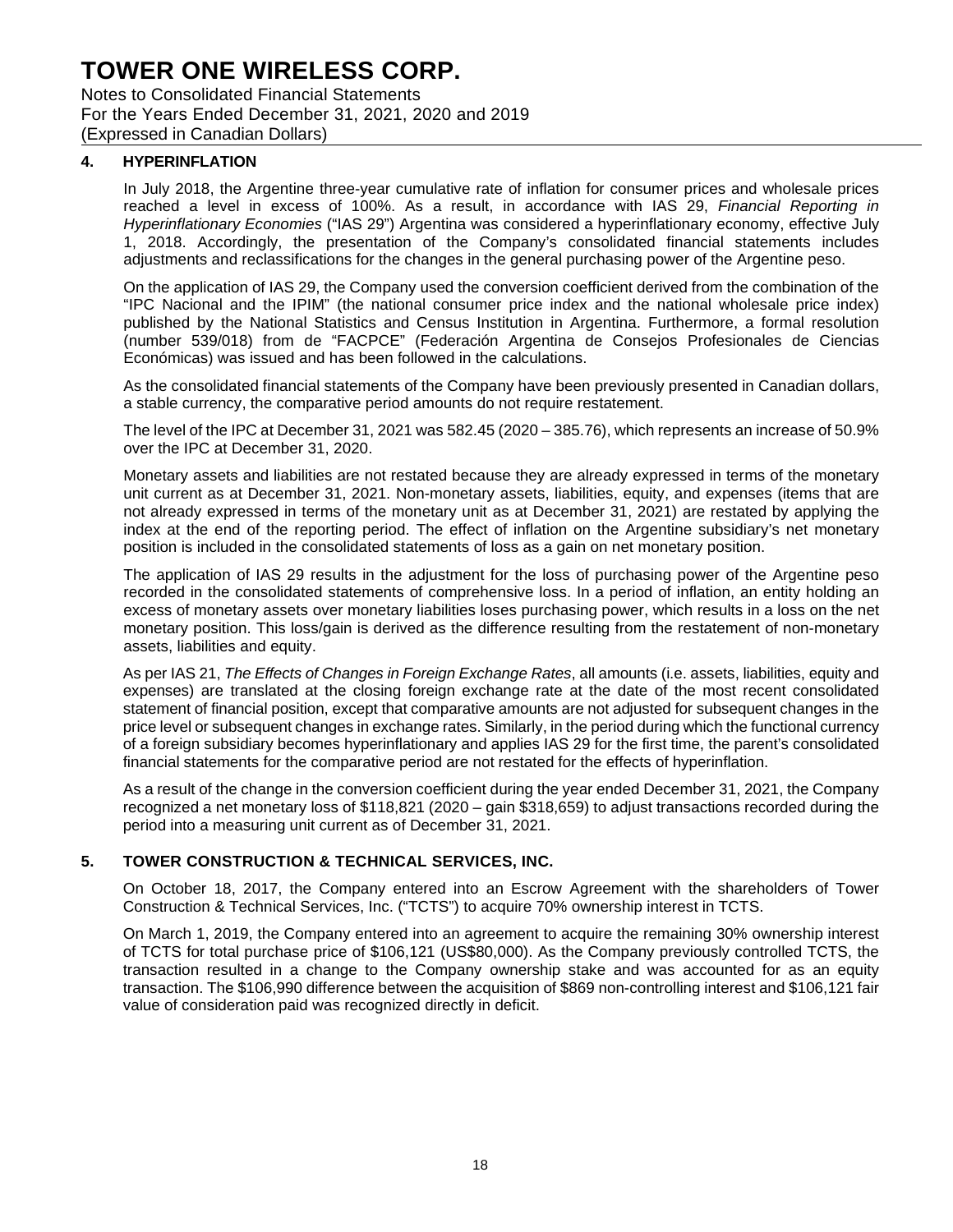Notes to Consolidated Financial Statements For the Years Ended December 31, 2021, 2020 and 2019 (Expressed in Canadian Dollars)

## **4. HYPERINFLATION**

In July 2018, the Argentine three-year cumulative rate of inflation for consumer prices and wholesale prices reached a level in excess of 100%. As a result, in accordance with IAS 29, *Financial Reporting in Hyperinflationary Economies* ("IAS 29") Argentina was considered a hyperinflationary economy, effective July 1, 2018. Accordingly, the presentation of the Company's consolidated financial statements includes adjustments and reclassifications for the changes in the general purchasing power of the Argentine peso.

On the application of IAS 29, the Company used the conversion coefficient derived from the combination of the "IPC Nacional and the IPIM" (the national consumer price index and the national wholesale price index) published by the National Statistics and Census Institution in Argentina. Furthermore, a formal resolution (number 539/018) from de "FACPCE" (Federación Argentina de Consejos Profesionales de Ciencias Económicas) was issued and has been followed in the calculations.

As the consolidated financial statements of the Company have been previously presented in Canadian dollars, a stable currency, the comparative period amounts do not require restatement.

The level of the IPC at December 31, 2021 was 582.45 (2020 – 385.76), which represents an increase of 50.9% over the IPC at December 31, 2020.

Monetary assets and liabilities are not restated because they are already expressed in terms of the monetary unit current as at December 31, 2021. Non-monetary assets, liabilities, equity, and expenses (items that are not already expressed in terms of the monetary unit as at December 31, 2021) are restated by applying the index at the end of the reporting period. The effect of inflation on the Argentine subsidiary's net monetary position is included in the consolidated statements of loss as a gain on net monetary position.

The application of IAS 29 results in the adjustment for the loss of purchasing power of the Argentine peso recorded in the consolidated statements of comprehensive loss. In a period of inflation, an entity holding an excess of monetary assets over monetary liabilities loses purchasing power, which results in a loss on the net monetary position. This loss/gain is derived as the difference resulting from the restatement of non-monetary assets, liabilities and equity.

As per IAS 21, *The Effects of Changes in Foreign Exchange Rates*, all amounts (i.e. assets, liabilities, equity and expenses) are translated at the closing foreign exchange rate at the date of the most recent consolidated statement of financial position, except that comparative amounts are not adjusted for subsequent changes in the price level or subsequent changes in exchange rates. Similarly, in the period during which the functional currency of a foreign subsidiary becomes hyperinflationary and applies IAS 29 for the first time, the parent's consolidated financial statements for the comparative period are not restated for the effects of hyperinflation.

As a result of the change in the conversion coefficient during the year ended December 31, 2021, the Company recognized a net monetary loss of \$118,821 (2020 – gain \$318,659) to adjust transactions recorded during the period into a measuring unit current as of December 31, 2021.

## **5. TOWER CONSTRUCTION & TECHNICAL SERVICES, INC.**

On October 18, 2017, the Company entered into an Escrow Agreement with the shareholders of Tower Construction & Technical Services, Inc. ("TCTS") to acquire 70% ownership interest in TCTS.

On March 1, 2019, the Company entered into an agreement to acquire the remaining 30% ownership interest of TCTS for total purchase price of \$106,121 (US\$80,000). As the Company previously controlled TCTS, the transaction resulted in a change to the Company ownership stake and was accounted for as an equity transaction. The \$106,990 difference between the acquisition of \$869 non-controlling interest and \$106,121 fair value of consideration paid was recognized directly in deficit.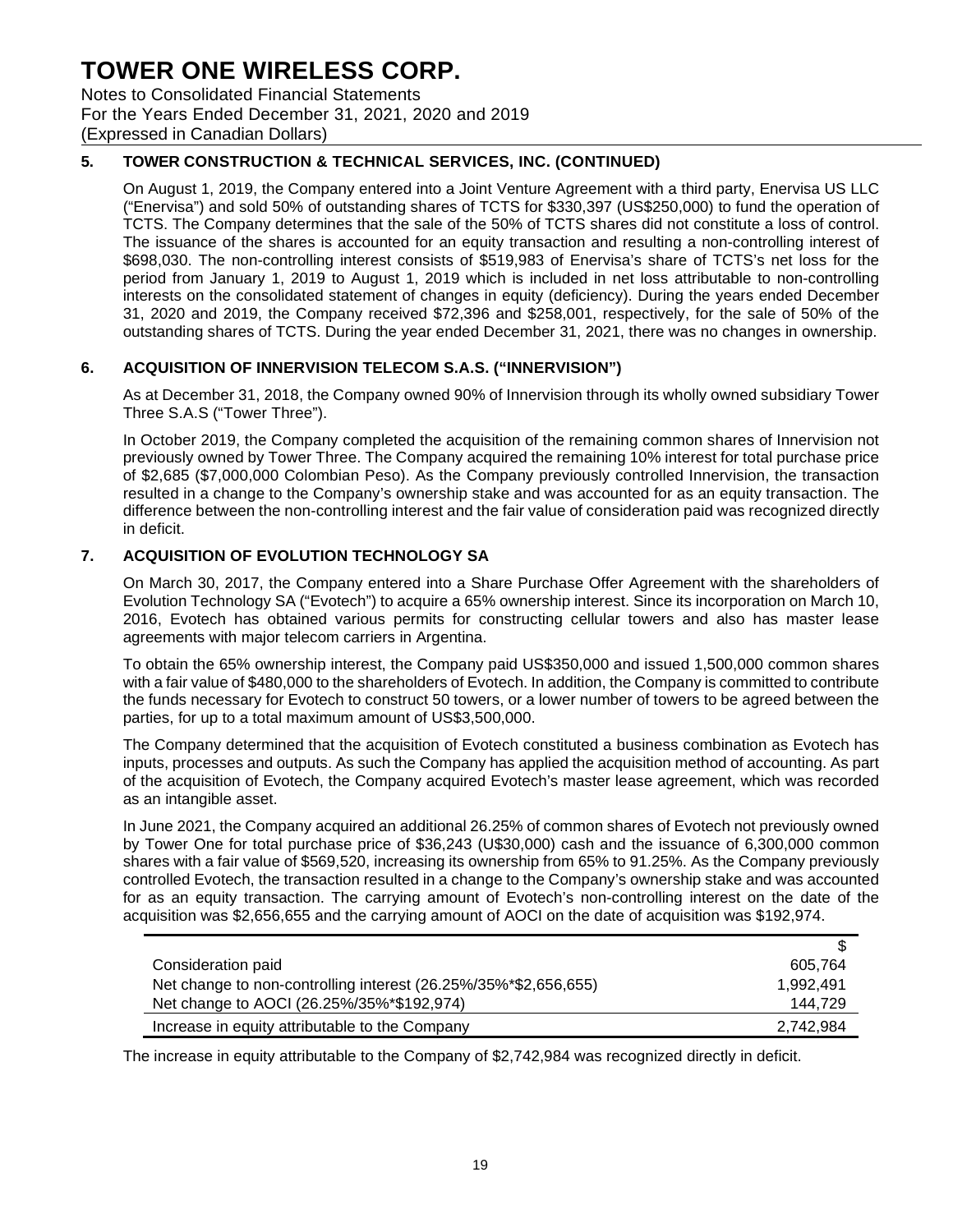Notes to Consolidated Financial Statements For the Years Ended December 31, 2021, 2020 and 2019 (Expressed in Canadian Dollars)

## **5. TOWER CONSTRUCTION & TECHNICAL SERVICES, INC. (CONTINUED)**

On August 1, 2019, the Company entered into a Joint Venture Agreement with a third party, Enervisa US LLC ("Enervisa") and sold 50% of outstanding shares of TCTS for \$330,397 (US\$250,000) to fund the operation of TCTS. The Company determines that the sale of the 50% of TCTS shares did not constitute a loss of control. The issuance of the shares is accounted for an equity transaction and resulting a non-controlling interest of \$698,030. The non-controlling interest consists of \$519,983 of Enervisa's share of TCTS's net loss for the period from January 1, 2019 to August 1, 2019 which is included in net loss attributable to non-controlling interests on the consolidated statement of changes in equity (deficiency). During the years ended December 31, 2020 and 2019, the Company received \$72,396 and \$258,001, respectively, for the sale of 50% of the outstanding shares of TCTS. During the year ended December 31, 2021, there was no changes in ownership.

## **6. ACQUISITION OF INNERVISION TELECOM S.A.S. ("INNERVISION")**

As at December 31, 2018, the Company owned 90% of Innervision through its wholly owned subsidiary Tower Three S.A.S ("Tower Three").

In October 2019, the Company completed the acquisition of the remaining common shares of Innervision not previously owned by Tower Three. The Company acquired the remaining 10% interest for total purchase price of \$2,685 (\$7,000,000 Colombian Peso). As the Company previously controlled Innervision, the transaction resulted in a change to the Company's ownership stake and was accounted for as an equity transaction. The difference between the non-controlling interest and the fair value of consideration paid was recognized directly in deficit.

## **7. ACQUISITION OF EVOLUTION TECHNOLOGY SA**

On March 30, 2017, the Company entered into a Share Purchase Offer Agreement with the shareholders of Evolution Technology SA ("Evotech") to acquire a 65% ownership interest. Since its incorporation on March 10, 2016, Evotech has obtained various permits for constructing cellular towers and also has master lease agreements with major telecom carriers in Argentina.

To obtain the 65% ownership interest, the Company paid US\$350,000 and issued 1,500,000 common shares with a fair value of \$480,000 to the shareholders of Evotech. In addition, the Company is committed to contribute the funds necessary for Evotech to construct 50 towers, or a lower number of towers to be agreed between the parties, for up to a total maximum amount of US\$3,500,000.

The Company determined that the acquisition of Evotech constituted a business combination as Evotech has inputs, processes and outputs. As such the Company has applied the acquisition method of accounting. As part of the acquisition of Evotech, the Company acquired Evotech's master lease agreement, which was recorded as an intangible asset.

In June 2021, the Company acquired an additional 26.25% of common shares of Evotech not previously owned by Tower One for total purchase price of \$36,243 (U\$30,000) cash and the issuance of 6,300,000 common shares with a fair value of \$569,520, increasing its ownership from 65% to 91.25%. As the Company previously controlled Evotech, the transaction resulted in a change to the Company's ownership stake and was accounted for as an equity transaction. The carrying amount of Evotech's non-controlling interest on the date of the acquisition was \$2,656,655 and the carrying amount of AOCI on the date of acquisition was \$192,974.

| Consideration paid                                              | 605.764   |
|-----------------------------------------------------------------|-----------|
| Net change to non-controlling interest (26.25%/35%*\$2,656,655) | 1.992.491 |
| Net change to AOCI (26.25%/35%*\$192,974)                       | 144.729   |
| Increase in equity attributable to the Company                  | 2,742,984 |

The increase in equity attributable to the Company of \$2,742,984 was recognized directly in deficit.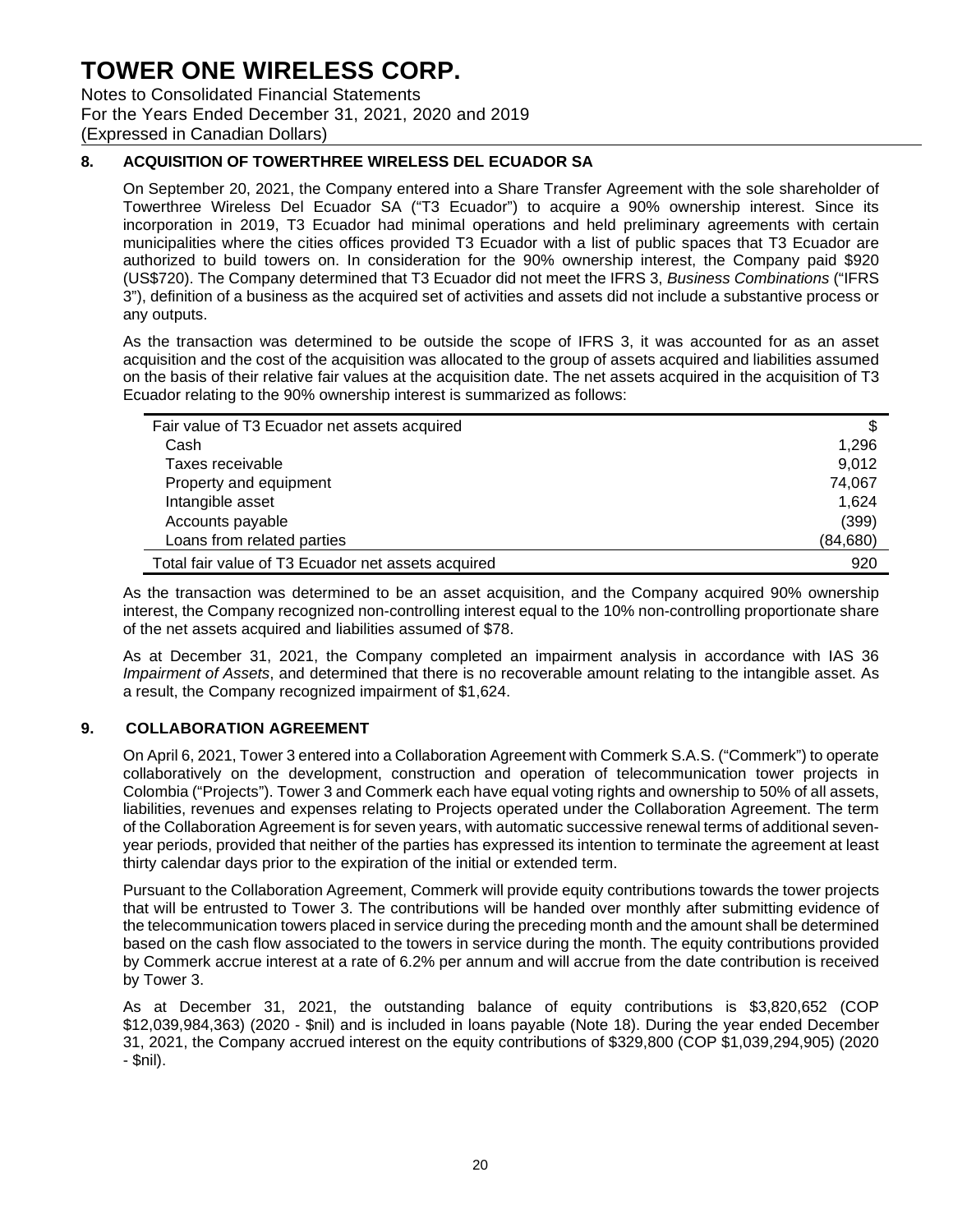Notes to Consolidated Financial Statements For the Years Ended December 31, 2021, 2020 and 2019 (Expressed in Canadian Dollars)

## **8. ACQUISITION OF TOWERTHREE WIRELESS DEL ECUADOR SA**

On September 20, 2021, the Company entered into a Share Transfer Agreement with the sole shareholder of Towerthree Wireless Del Ecuador SA ("T3 Ecuador") to acquire a 90% ownership interest. Since its incorporation in 2019, T3 Ecuador had minimal operations and held preliminary agreements with certain municipalities where the cities offices provided T3 Ecuador with a list of public spaces that T3 Ecuador are authorized to build towers on. In consideration for the 90% ownership interest, the Company paid \$920 (US\$720). The Company determined that T3 Ecuador did not meet the IFRS 3, *Business Combinations* ("IFRS 3"), definition of a business as the acquired set of activities and assets did not include a substantive process or any outputs.

As the transaction was determined to be outside the scope of IFRS 3, it was accounted for as an asset acquisition and the cost of the acquisition was allocated to the group of assets acquired and liabilities assumed on the basis of their relative fair values at the acquisition date. The net assets acquired in the acquisition of T3 Ecuador relating to the 90% ownership interest is summarized as follows:

| Fair value of T3 Ecuador net assets acquired       | S        |
|----------------------------------------------------|----------|
| Cash                                               | 1,296    |
| Taxes receivable                                   | 9,012    |
| Property and equipment                             | 74,067   |
| Intangible asset                                   | 1,624    |
| Accounts payable                                   | (399)    |
| Loans from related parties                         | (84,680) |
| Total fair value of T3 Ecuador net assets acquired | 920      |

As the transaction was determined to be an asset acquisition, and the Company acquired 90% ownership interest, the Company recognized non-controlling interest equal to the 10% non-controlling proportionate share of the net assets acquired and liabilities assumed of \$78.

As at December 31, 2021, the Company completed an impairment analysis in accordance with IAS 36 *Impairment of Assets*, and determined that there is no recoverable amount relating to the intangible asset. As a result, the Company recognized impairment of \$1,624.

## **9. COLLABORATION AGREEMENT**

On April 6, 2021, Tower 3 entered into a Collaboration Agreement with Commerk S.A.S. ("Commerk") to operate collaboratively on the development, construction and operation of telecommunication tower projects in Colombia ("Projects"). Tower 3 and Commerk each have equal voting rights and ownership to 50% of all assets, liabilities, revenues and expenses relating to Projects operated under the Collaboration Agreement. The term of the Collaboration Agreement is for seven years, with automatic successive renewal terms of additional sevenyear periods, provided that neither of the parties has expressed its intention to terminate the agreement at least thirty calendar days prior to the expiration of the initial or extended term.

Pursuant to the Collaboration Agreement, Commerk will provide equity contributions towards the tower projects that will be entrusted to Tower 3. The contributions will be handed over monthly after submitting evidence of the telecommunication towers placed in service during the preceding month and the amount shall be determined based on the cash flow associated to the towers in service during the month. The equity contributions provided by Commerk accrue interest at a rate of 6.2% per annum and will accrue from the date contribution is received by Tower 3.

As at December 31, 2021, the outstanding balance of equity contributions is \$3,820,652 (COP \$12,039,984,363) (2020 - \$nil) and is included in loans payable (Note 18). During the year ended December 31, 2021, the Company accrued interest on the equity contributions of \$329,800 (COP \$1,039,294,905) (2020 - \$nil).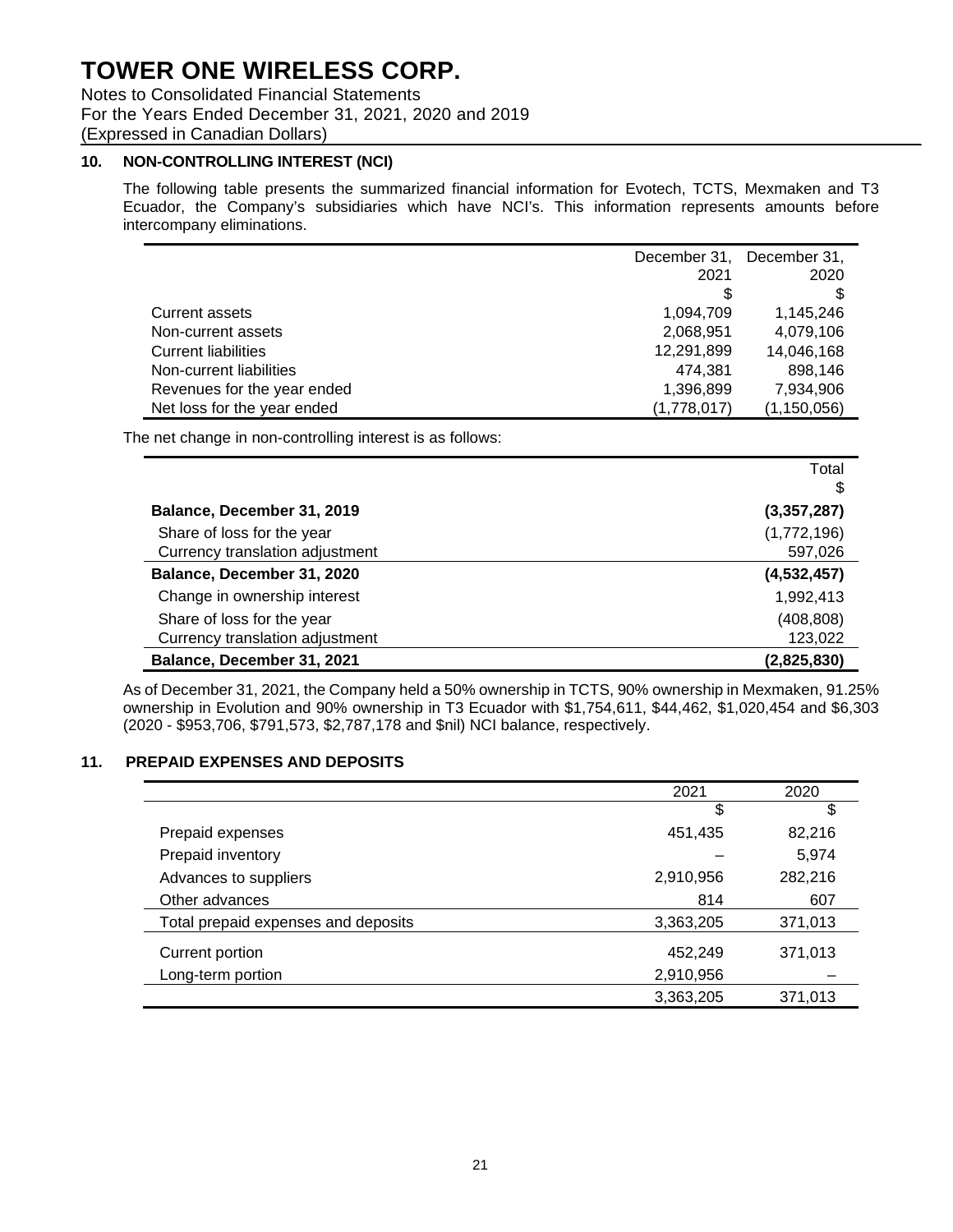Notes to Consolidated Financial Statements For the Years Ended December 31, 2021, 2020 and 2019 (Expressed in Canadian Dollars)

#### **10. NON-CONTROLLING INTEREST (NCI)**

The following table presents the summarized financial information for Evotech, TCTS, Mexmaken and T3 Ecuador, the Company's subsidiaries which have NCI's. This information represents amounts before intercompany eliminations.

|                             | December 31, December 31, |             |
|-----------------------------|---------------------------|-------------|
|                             | 2021                      | 2020        |
|                             | S                         |             |
| Current assets              | 1,094,709                 | 1,145,246   |
| Non-current assets          | 2,068,951                 | 4,079,106   |
| <b>Current liabilities</b>  | 12,291,899                | 14,046,168  |
| Non-current liabilities     | 474.381                   | 898,146     |
| Revenues for the year ended | 1,396,899                 | 7,934,906   |
| Net loss for the year ended | (1,778,017)               | (1,150,056) |

The net change in non-controlling interest is as follows:

|                                 | Total<br>\$ |
|---------------------------------|-------------|
| Balance, December 31, 2019      | (3,357,287) |
| Share of loss for the year      | (1,772,196) |
| Currency translation adjustment | 597,026     |
| Balance, December 31, 2020      | (4,532,457) |
| Change in ownership interest    | 1,992,413   |
| Share of loss for the year      | (408, 808)  |
| Currency translation adjustment | 123,022     |
| Balance, December 31, 2021      | (2,825,830) |

As of December 31, 2021, the Company held a 50% ownership in TCTS, 90% ownership in Mexmaken, 91.25% ownership in Evolution and 90% ownership in T3 Ecuador with \$1,754,611, \$44,462, \$1,020,454 and \$6,303 (2020 - \$953,706, \$791,573, \$2,787,178 and \$nil) NCI balance, respectively.

#### **11. PREPAID EXPENSES AND DEPOSITS**

|                                     | 2021      | 2020    |
|-------------------------------------|-----------|---------|
|                                     | \$        | \$      |
| Prepaid expenses                    | 451,435   | 82,216  |
| Prepaid inventory                   |           | 5,974   |
| Advances to suppliers               | 2,910,956 | 282,216 |
| Other advances                      | 814       | 607     |
| Total prepaid expenses and deposits | 3,363,205 | 371,013 |
| Current portion                     | 452,249   | 371,013 |
| Long-term portion                   | 2,910,956 |         |
|                                     | 3,363,205 | 371,013 |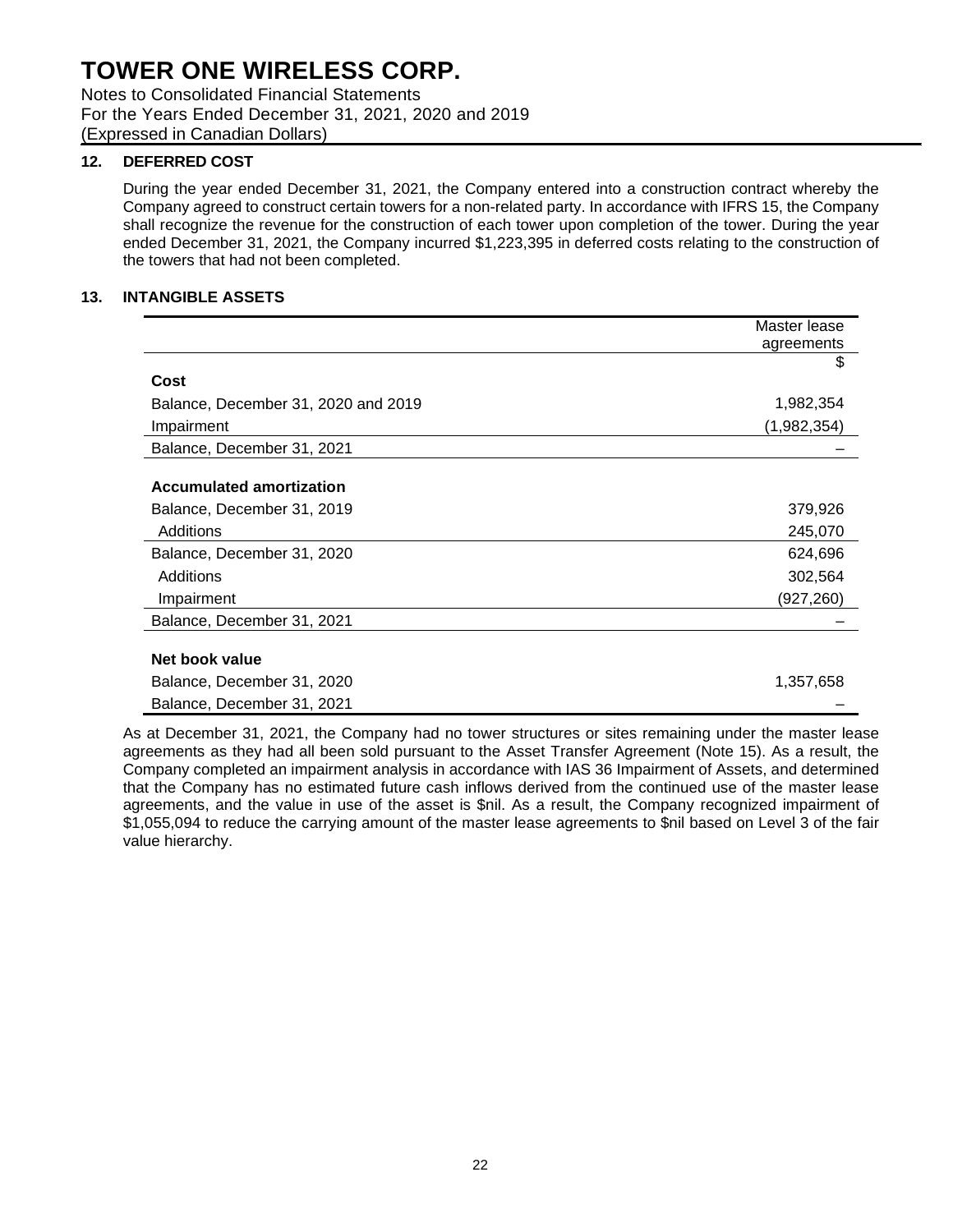Notes to Consolidated Financial Statements For the Years Ended December 31, 2021, 2020 and 2019 (Expressed in Canadian Dollars)

### **12. DEFERRED COST**

During the year ended December 31, 2021, the Company entered into a construction contract whereby the Company agreed to construct certain towers for a non-related party. In accordance with IFRS 15, the Company shall recognize the revenue for the construction of each tower upon completion of the tower. During the year ended December 31, 2021, the Company incurred \$1,223,395 in deferred costs relating to the construction of the towers that had not been completed.

### **13. INTANGIBLE ASSETS**

|                                     | Master lease |
|-------------------------------------|--------------|
|                                     | agreements   |
|                                     | \$           |
| Cost                                |              |
| Balance, December 31, 2020 and 2019 | 1,982,354    |
| Impairment                          | (1,982,354)  |
| Balance, December 31, 2021          |              |
| <b>Accumulated amortization</b>     |              |
| Balance, December 31, 2019          | 379,926      |
| Additions                           | 245,070      |
| Balance, December 31, 2020          | 624,696      |
| Additions                           | 302,564      |
| Impairment                          | (927, 260)   |
| Balance, December 31, 2021          |              |
| Net book value                      |              |
| Balance, December 31, 2020          | 1,357,658    |
| Balance, December 31, 2021          |              |

As at December 31, 2021, the Company had no tower structures or sites remaining under the master lease agreements as they had all been sold pursuant to the Asset Transfer Agreement (Note 15). As a result, the Company completed an impairment analysis in accordance with IAS 36 Impairment of Assets, and determined that the Company has no estimated future cash inflows derived from the continued use of the master lease agreements, and the value in use of the asset is \$nil. As a result, the Company recognized impairment of \$1,055,094 to reduce the carrying amount of the master lease agreements to \$nil based on Level 3 of the fair value hierarchy.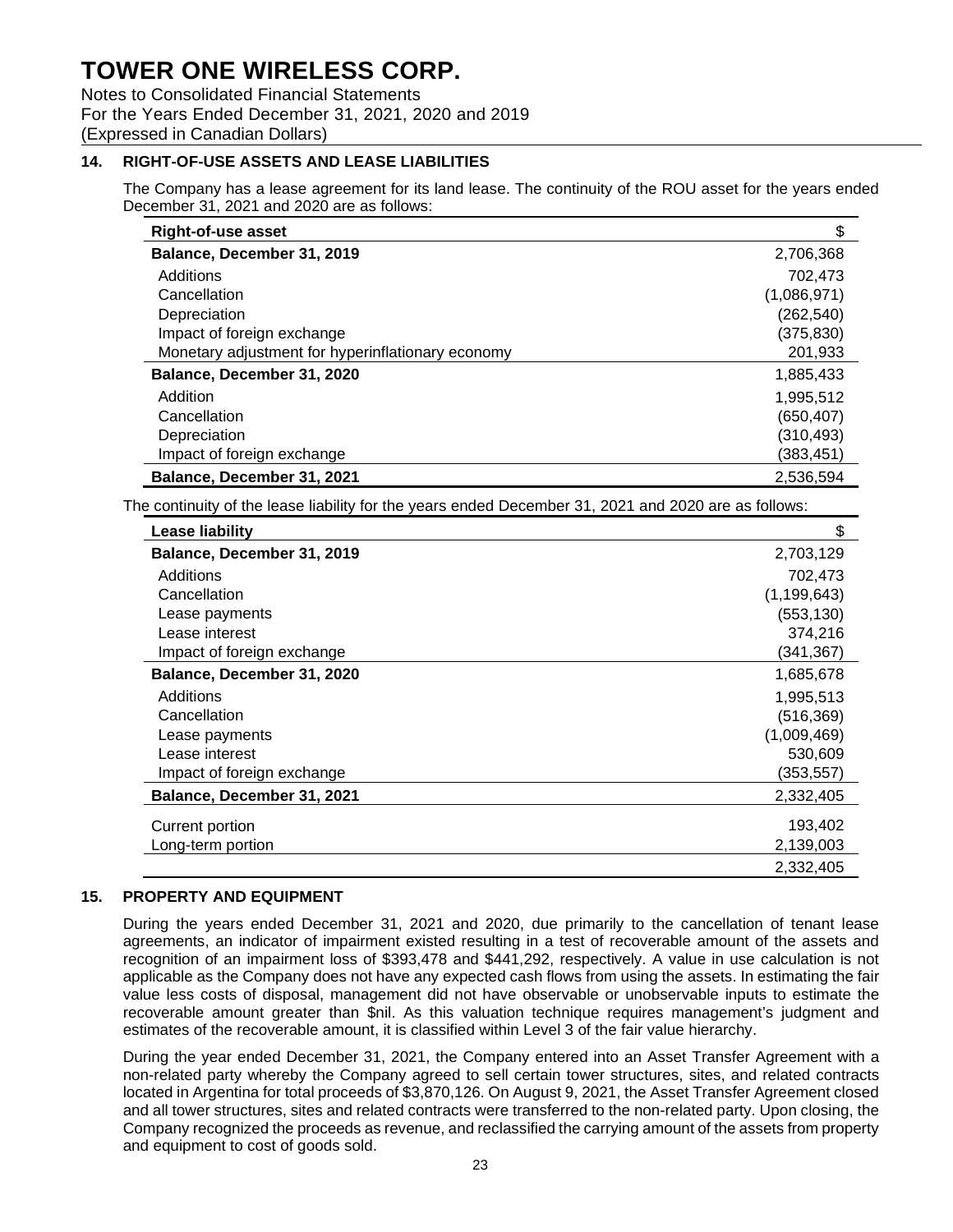Notes to Consolidated Financial Statements For the Years Ended December 31, 2021, 2020 and 2019 (Expressed in Canadian Dollars)

## **14. RIGHT-OF-USE ASSETS AND LEASE LIABILITIES**

The Company has a lease agreement for its land lease. The continuity of the ROU asset for the years ended December 31, 2021 and 2020 are as follows:

| <b>Right-of-use asset</b>                         | \$          |
|---------------------------------------------------|-------------|
| Balance, December 31, 2019                        | 2,706,368   |
| Additions                                         | 702.473     |
| Cancellation                                      | (1,086,971) |
| Depreciation                                      | (262,540)   |
| Impact of foreign exchange                        | (375,830)   |
| Monetary adjustment for hyperinflationary economy | 201,933     |
| Balance, December 31, 2020                        | 1,885,433   |
| Addition                                          | 1,995,512   |
| Cancellation                                      | (650,407)   |
| Depreciation                                      | (310,493)   |
| Impact of foreign exchange                        | (383,451)   |
| Balance, December 31, 2021                        | 2,536,594   |

The continuity of the lease liability for the years ended December 31, 2021 and 2020 are as follows:

| Lease liability            | \$            |
|----------------------------|---------------|
| Balance, December 31, 2019 | 2,703,129     |
| Additions                  | 702,473       |
| Cancellation               | (1, 199, 643) |
| Lease payments             | (553, 130)    |
| Lease interest             | 374,216       |
| Impact of foreign exchange | (341, 367)    |
| Balance, December 31, 2020 | 1,685,678     |
| Additions                  | 1,995,513     |
| Cancellation               | (516, 369)    |
| Lease payments             | (1,009,469)   |
| Lease interest             | 530,609       |
| Impact of foreign exchange | (353,557)     |
| Balance, December 31, 2021 | 2,332,405     |
| Current portion            | 193,402       |
| Long-term portion          | 2,139,003     |
|                            | 2,332,405     |

## **15. PROPERTY AND EQUIPMENT**

During the years ended December 31, 2021 and 2020, due primarily to the cancellation of tenant lease agreements, an indicator of impairment existed resulting in a test of recoverable amount of the assets and recognition of an impairment loss of \$393,478 and \$441,292, respectively. A value in use calculation is not applicable as the Company does not have any expected cash flows from using the assets. In estimating the fair value less costs of disposal, management did not have observable or unobservable inputs to estimate the recoverable amount greater than \$nil. As this valuation technique requires management's judgment and estimates of the recoverable amount, it is classified within Level 3 of the fair value hierarchy.

During the year ended December 31, 2021, the Company entered into an Asset Transfer Agreement with a non-related party whereby the Company agreed to sell certain tower structures, sites, and related contracts located in Argentina for total proceeds of \$3,870,126. On August 9, 2021, the Asset Transfer Agreement closed and all tower structures, sites and related contracts were transferred to the non-related party. Upon closing, the Company recognized the proceeds as revenue, and reclassified the carrying amount of the assets from property and equipment to cost of goods sold.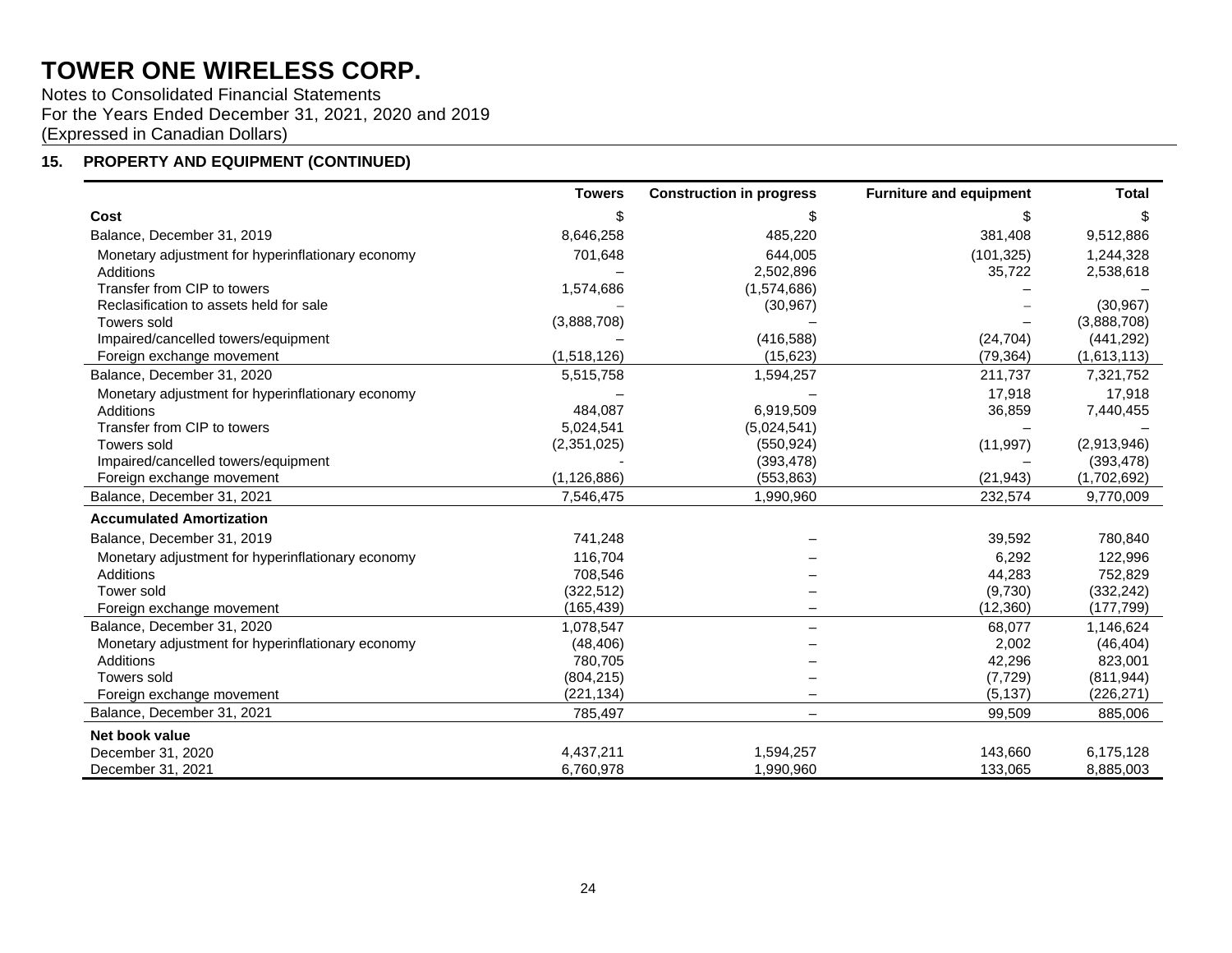Notes to Consolidated Financial Statements For the Years Ended December 31, 2021, 2020 and 2019 (Expressed in Canadian Dollars)

## **15. PROPERTY AND EQUIPMENT (CONTINUED)**

|                                                   | <b>Towers</b> | <b>Construction in progress</b> | <b>Furniture and equipment</b> | <b>Total</b> |
|---------------------------------------------------|---------------|---------------------------------|--------------------------------|--------------|
| Cost                                              | \$            |                                 | S                              | \$.          |
| Balance, December 31, 2019                        | 8,646,258     | 485,220                         | 381,408                        | 9,512,886    |
| Monetary adjustment for hyperinflationary economy | 701,648       | 644,005                         | (101, 325)                     | 1,244,328    |
| Additions                                         |               | 2,502,896                       | 35,722                         | 2,538,618    |
| Transfer from CIP to towers                       | 1,574,686     | (1,574,686)                     |                                |              |
| Reclasification to assets held for sale           |               | (30, 967)                       |                                | (30, 967)    |
| <b>Towers sold</b>                                | (3,888,708)   |                                 |                                | (3,888,708)  |
| Impaired/cancelled towers/equipment               |               | (416, 588)                      | (24, 704)                      | (441, 292)   |
| Foreign exchange movement                         | (1,518,126)   | (15, 623)                       | (79, 364)                      | (1,613,113)  |
| Balance, December 31, 2020                        | 5,515,758     | 1,594,257                       | 211,737                        | 7,321,752    |
| Monetary adjustment for hyperinflationary economy |               |                                 | 17,918                         | 17,918       |
| Additions                                         | 484,087       | 6,919,509                       | 36,859                         | 7,440,455    |
| Transfer from CIP to towers                       | 5,024,541     | (5,024,541)                     |                                |              |
| Towers sold                                       | (2,351,025)   | (550, 924)                      | (11, 997)                      | (2,913,946)  |
| Impaired/cancelled towers/equipment               |               | (393, 478)                      |                                | (393, 478)   |
| Foreign exchange movement                         | (1, 126, 886) | (553, 863)                      | (21, 943)                      | (1,702,692)  |
| Balance, December 31, 2021                        | 7,546,475     | 1,990,960                       | 232,574                        | 9,770,009    |
| <b>Accumulated Amortization</b>                   |               |                                 |                                |              |
| Balance, December 31, 2019                        | 741,248       |                                 | 39,592                         | 780,840      |
| Monetary adjustment for hyperinflationary economy | 116.704       |                                 | 6,292                          | 122,996      |
| Additions                                         | 708,546       |                                 | 44,283                         | 752,829      |
| Tower sold                                        | (322, 512)    |                                 | (9,730)                        | (332, 242)   |
| Foreign exchange movement                         | (165, 439)    |                                 | (12,360)                       | (177, 799)   |
| Balance, December 31, 2020                        | 1,078,547     |                                 | 68,077                         | 1,146,624    |
| Monetary adjustment for hyperinflationary economy | (48, 406)     |                                 | 2,002                          | (46, 404)    |
| Additions                                         | 780,705       |                                 | 42,296                         | 823,001      |
| Towers sold                                       | (804, 215)    |                                 | (7, 729)                       | (811, 944)   |
| Foreign exchange movement                         | (221, 134)    |                                 | (5, 137)                       | (226, 271)   |
| Balance, December 31, 2021                        | 785,497       |                                 | 99,509                         | 885,006      |
| Net book value                                    |               |                                 |                                |              |
| December 31, 2020                                 | 4,437,211     | 1,594,257                       | 143,660                        | 6,175,128    |
| December 31, 2021                                 | 6,760,978     | 1,990,960                       | 133,065                        | 8,885,003    |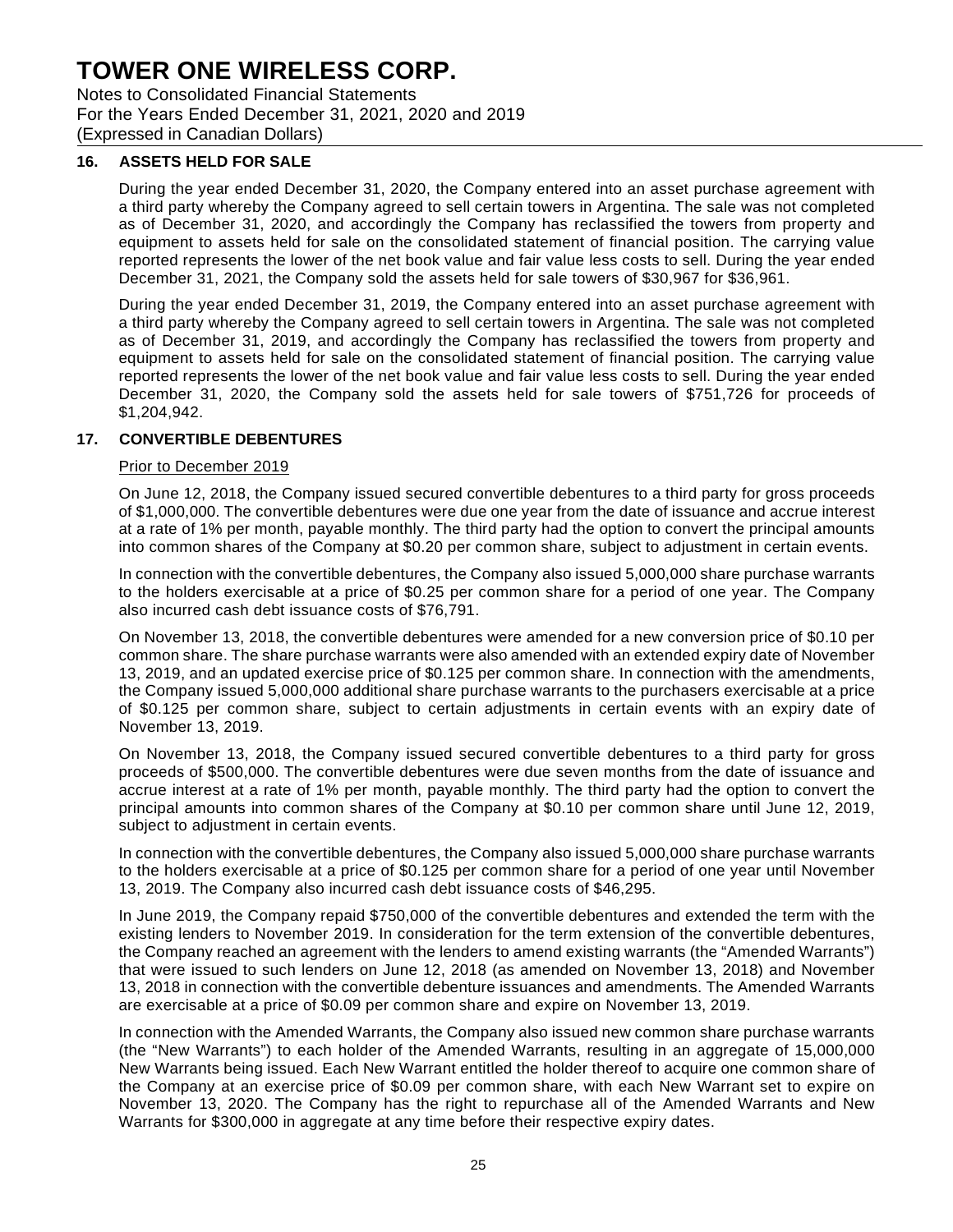Notes to Consolidated Financial Statements For the Years Ended December 31, 2021, 2020 and 2019 (Expressed in Canadian Dollars)

## **16. ASSETS HELD FOR SALE**

During the year ended December 31, 2020, the Company entered into an asset purchase agreement with a third party whereby the Company agreed to sell certain towers in Argentina. The sale was not completed as of December 31, 2020, and accordingly the Company has reclassified the towers from property and equipment to assets held for sale on the consolidated statement of financial position. The carrying value reported represents the lower of the net book value and fair value less costs to sell. During the year ended December 31, 2021, the Company sold the assets held for sale towers of \$30,967 for \$36,961.

During the year ended December 31, 2019, the Company entered into an asset purchase agreement with a third party whereby the Company agreed to sell certain towers in Argentina. The sale was not completed as of December 31, 2019, and accordingly the Company has reclassified the towers from property and equipment to assets held for sale on the consolidated statement of financial position. The carrying value reported represents the lower of the net book value and fair value less costs to sell. During the year ended December 31, 2020, the Company sold the assets held for sale towers of \$751,726 for proceeds of \$1,204,942.

#### **17. CONVERTIBLE DEBENTURES**

#### Prior to December 2019

On June 12, 2018, the Company issued secured convertible debentures to a third party for gross proceeds of \$1,000,000. The convertible debentures were due one year from the date of issuance and accrue interest at a rate of 1% per month, payable monthly. The third party had the option to convert the principal amounts into common shares of the Company at \$0.20 per common share, subject to adjustment in certain events.

In connection with the convertible debentures, the Company also issued 5,000,000 share purchase warrants to the holders exercisable at a price of \$0.25 per common share for a period of one year. The Company also incurred cash debt issuance costs of \$76,791.

On November 13, 2018, the convertible debentures were amended for a new conversion price of \$0.10 per common share. The share purchase warrants were also amended with an extended expiry date of November 13, 2019, and an updated exercise price of \$0.125 per common share. In connection with the amendments, the Company issued 5,000,000 additional share purchase warrants to the purchasers exercisable at a price of \$0.125 per common share, subject to certain adjustments in certain events with an expiry date of November 13, 2019.

On November 13, 2018, the Company issued secured convertible debentures to a third party for gross proceeds of \$500,000. The convertible debentures were due seven months from the date of issuance and accrue interest at a rate of 1% per month, payable monthly. The third party had the option to convert the principal amounts into common shares of the Company at \$0.10 per common share until June 12, 2019, subject to adjustment in certain events.

In connection with the convertible debentures, the Company also issued 5,000,000 share purchase warrants to the holders exercisable at a price of \$0.125 per common share for a period of one year until November 13, 2019. The Company also incurred cash debt issuance costs of \$46,295.

In June 2019, the Company repaid \$750,000 of the convertible debentures and extended the term with the existing lenders to November 2019. In consideration for the term extension of the convertible debentures, the Company reached an agreement with the lenders to amend existing warrants (the "Amended Warrants") that were issued to such lenders on June 12, 2018 (as amended on November 13, 2018) and November 13, 2018 in connection with the convertible debenture issuances and amendments. The Amended Warrants are exercisable at a price of \$0.09 per common share and expire on November 13, 2019.

In connection with the Amended Warrants, the Company also issued new common share purchase warrants (the "New Warrants") to each holder of the Amended Warrants, resulting in an aggregate of 15,000,000 New Warrants being issued. Each New Warrant entitled the holder thereof to acquire one common share of the Company at an exercise price of \$0.09 per common share, with each New Warrant set to expire on November 13, 2020. The Company has the right to repurchase all of the Amended Warrants and New Warrants for \$300,000 in aggregate at any time before their respective expiry dates.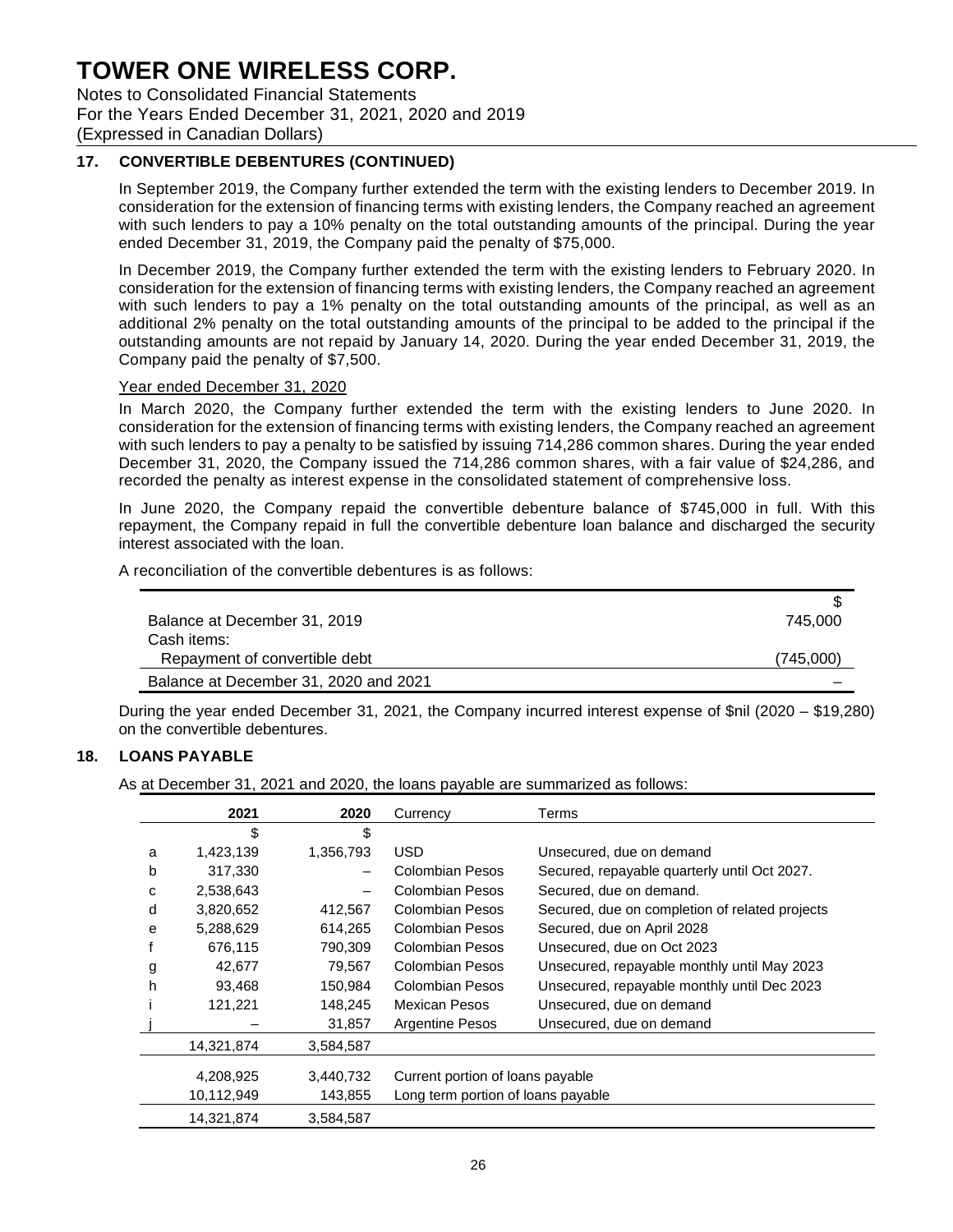Notes to Consolidated Financial Statements For the Years Ended December 31, 2021, 2020 and 2019 (Expressed in Canadian Dollars)

## **17. CONVERTIBLE DEBENTURES (CONTINUED)**

In September 2019, the Company further extended the term with the existing lenders to December 2019. In consideration for the extension of financing terms with existing lenders, the Company reached an agreement with such lenders to pay a 10% penalty on the total outstanding amounts of the principal. During the year ended December 31, 2019, the Company paid the penalty of \$75,000.

In December 2019, the Company further extended the term with the existing lenders to February 2020. In consideration for the extension of financing terms with existing lenders, the Company reached an agreement with such lenders to pay a 1% penalty on the total outstanding amounts of the principal, as well as an additional 2% penalty on the total outstanding amounts of the principal to be added to the principal if the outstanding amounts are not repaid by January 14, 2020. During the year ended December 31, 2019, the Company paid the penalty of \$7,500.

### Year ended December 31, 2020

In March 2020, the Company further extended the term with the existing lenders to June 2020. In consideration for the extension of financing terms with existing lenders, the Company reached an agreement with such lenders to pay a penalty to be satisfied by issuing 714,286 common shares. During the year ended December 31, 2020, the Company issued the 714,286 common shares, with a fair value of \$24,286, and recorded the penalty as interest expense in the consolidated statement of comprehensive loss.

In June 2020, the Company repaid the convertible debenture balance of \$745,000 in full. With this repayment, the Company repaid in full the convertible debenture loan balance and discharged the security interest associated with the loan.

A reconciliation of the convertible debentures is as follows:

| Balance at December 31, 2019          | 745.000   |
|---------------------------------------|-----------|
| Cash items:                           |           |
| Repayment of convertible debt         | (745,000) |
| Balance at December 31, 2020 and 2021 |           |

During the year ended December 31, 2021, the Company incurred interest expense of \$nil (2020 – \$19,280) on the convertible debentures.

## **18. LOANS PAYABLE**

As at December 31, 2021 and 2020, the loans payable are summarized as follows:

|   | 2021       | 2020      | Currency                           | Terms                                          |
|---|------------|-----------|------------------------------------|------------------------------------------------|
|   | \$         | \$        |                                    |                                                |
| a | 1,423,139  | 1,356,793 | <b>USD</b>                         | Unsecured, due on demand                       |
| b | 317,330    |           | Colombian Pesos                    | Secured, repayable quarterly until Oct 2027.   |
| C | 2,538,643  |           | Colombian Pesos                    | Secured, due on demand.                        |
| d | 3,820,652  | 412,567   | Colombian Pesos                    | Secured, due on completion of related projects |
| е | 5,288,629  | 614,265   | <b>Colombian Pesos</b>             | Secured, due on April 2028                     |
|   | 676,115    | 790,309   | Colombian Pesos                    | Unsecured, due on Oct 2023                     |
| g | 42,677     | 79.567    | Colombian Pesos                    | Unsecured, repayable monthly until May 2023    |
| h | 93,468     | 150.984   | Colombian Pesos                    | Unsecured, repayable monthly until Dec 2023    |
|   | 121,221    | 148,245   | Mexican Pesos                      | Unsecured, due on demand                       |
|   |            | 31,857    | Argentine Pesos                    | Unsecured, due on demand                       |
|   | 14,321,874 | 3,584,587 |                                    |                                                |
|   | 4,208,925  | 3,440,732 | Current portion of loans payable   |                                                |
|   | 10,112,949 | 143,855   | Long term portion of loans payable |                                                |
|   | 14,321,874 | 3,584,587 |                                    |                                                |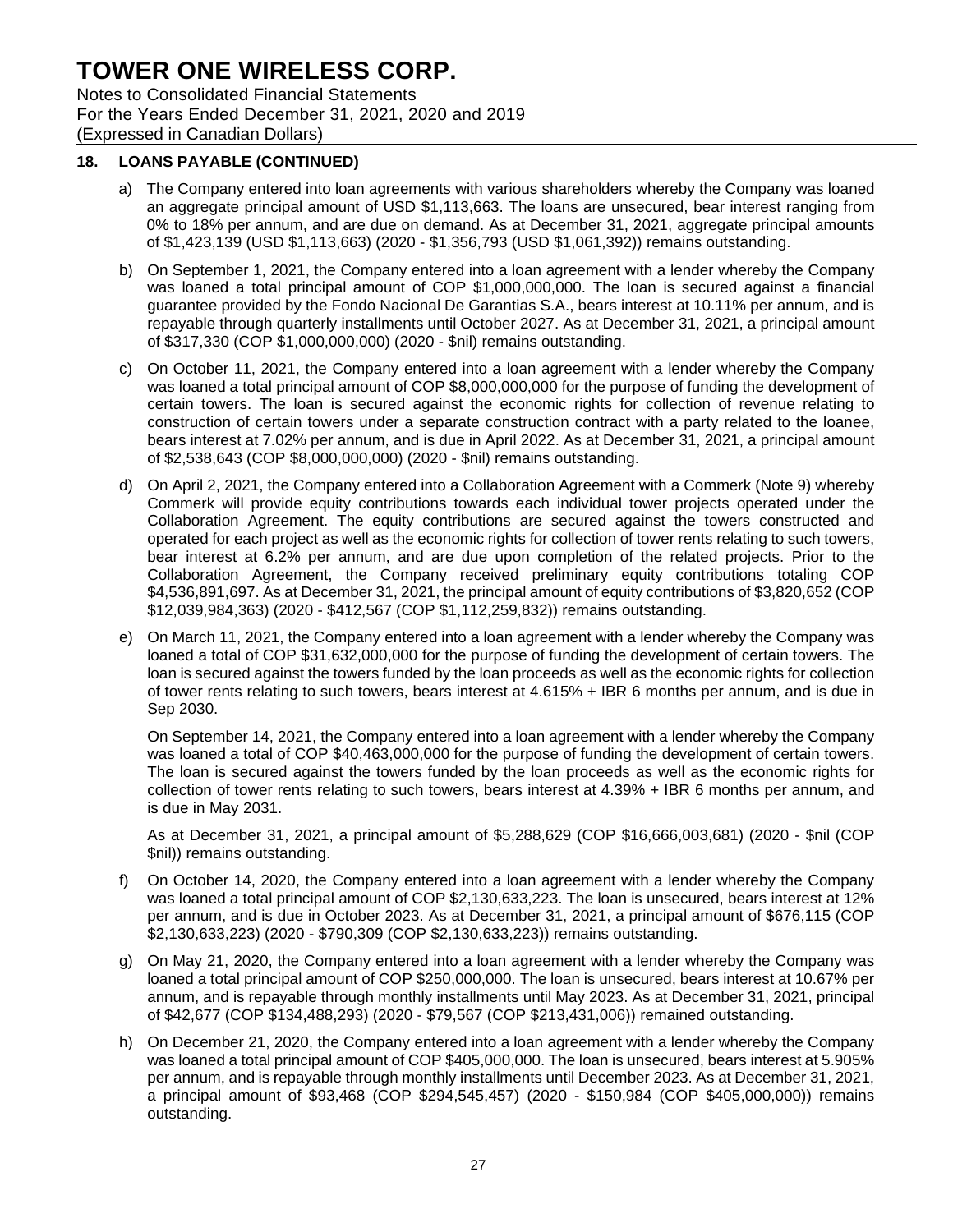Notes to Consolidated Financial Statements For the Years Ended December 31, 2021, 2020 and 2019 (Expressed in Canadian Dollars)

### **18. LOANS PAYABLE (CONTINUED)**

- a) The Company entered into loan agreements with various shareholders whereby the Company was loaned an aggregate principal amount of USD \$1,113,663. The loans are unsecured, bear interest ranging from 0% to 18% per annum, and are due on demand. As at December 31, 2021, aggregate principal amounts of \$1,423,139 (USD \$1,113,663) (2020 - \$1,356,793 (USD \$1,061,392)) remains outstanding.
- b) On September 1, 2021, the Company entered into a loan agreement with a lender whereby the Company was loaned a total principal amount of COP \$1,000,000,000. The loan is secured against a financial guarantee provided by the Fondo Nacional De Garantias S.A., bears interest at 10.11% per annum, and is repayable through quarterly installments until October 2027. As at December 31, 2021, a principal amount of \$317,330 (COP \$1,000,000,000) (2020 - \$nil) remains outstanding.
- c) On October 11, 2021, the Company entered into a loan agreement with a lender whereby the Company was loaned a total principal amount of COP \$8,000,000,000 for the purpose of funding the development of certain towers. The loan is secured against the economic rights for collection of revenue relating to construction of certain towers under a separate construction contract with a party related to the loanee, bears interest at 7.02% per annum, and is due in April 2022. As at December 31, 2021, a principal amount of \$2,538,643 (COP \$8,000,000,000) (2020 - \$nil) remains outstanding.
- d) On April 2, 2021, the Company entered into a Collaboration Agreement with a Commerk (Note 9) whereby Commerk will provide equity contributions towards each individual tower projects operated under the Collaboration Agreement. The equity contributions are secured against the towers constructed and operated for each project as well as the economic rights for collection of tower rents relating to such towers, bear interest at 6.2% per annum, and are due upon completion of the related projects. Prior to the Collaboration Agreement, the Company received preliminary equity contributions totaling COP \$4,536,891,697. As at December 31, 2021, the principal amount of equity contributions of \$3,820,652 (COP \$12,039,984,363) (2020 - \$412,567 (COP \$1,112,259,832)) remains outstanding.
- e) On March 11, 2021, the Company entered into a loan agreement with a lender whereby the Company was loaned a total of COP \$31,632,000,000 for the purpose of funding the development of certain towers. The loan is secured against the towers funded by the loan proceeds as well as the economic rights for collection of tower rents relating to such towers, bears interest at 4.615% + IBR 6 months per annum, and is due in Sep 2030.

On September 14, 2021, the Company entered into a loan agreement with a lender whereby the Company was loaned a total of COP \$40,463,000,000 for the purpose of funding the development of certain towers. The loan is secured against the towers funded by the loan proceeds as well as the economic rights for collection of tower rents relating to such towers, bears interest at 4.39% + IBR 6 months per annum, and is due in May 2031.

As at December 31, 2021, a principal amount of \$5,288,629 (COP \$16,666,003,681) (2020 - \$nil (COP \$nil)) remains outstanding.

- f) On October 14, 2020, the Company entered into a loan agreement with a lender whereby the Company was loaned a total principal amount of COP \$2,130,633,223. The loan is unsecured, bears interest at 12% per annum, and is due in October 2023. As at December 31, 2021, a principal amount of \$676,115 (COP \$2,130,633,223) (2020 - \$790,309 (COP \$2,130,633,223)) remains outstanding.
- g) On May 21, 2020, the Company entered into a loan agreement with a lender whereby the Company was loaned a total principal amount of COP \$250,000,000. The loan is unsecured, bears interest at 10.67% per annum, and is repayable through monthly installments until May 2023. As at December 31, 2021, principal of \$42,677 (COP \$134,488,293) (2020 - \$79,567 (COP \$213,431,006)) remained outstanding.
- h) On December 21, 2020, the Company entered into a loan agreement with a lender whereby the Company was loaned a total principal amount of COP \$405,000,000. The loan is unsecured, bears interest at 5.905% per annum, and is repayable through monthly installments until December 2023. As at December 31, 2021, a principal amount of \$93,468 (COP \$294,545,457) (2020 - \$150,984 (COP \$405,000,000)) remains outstanding.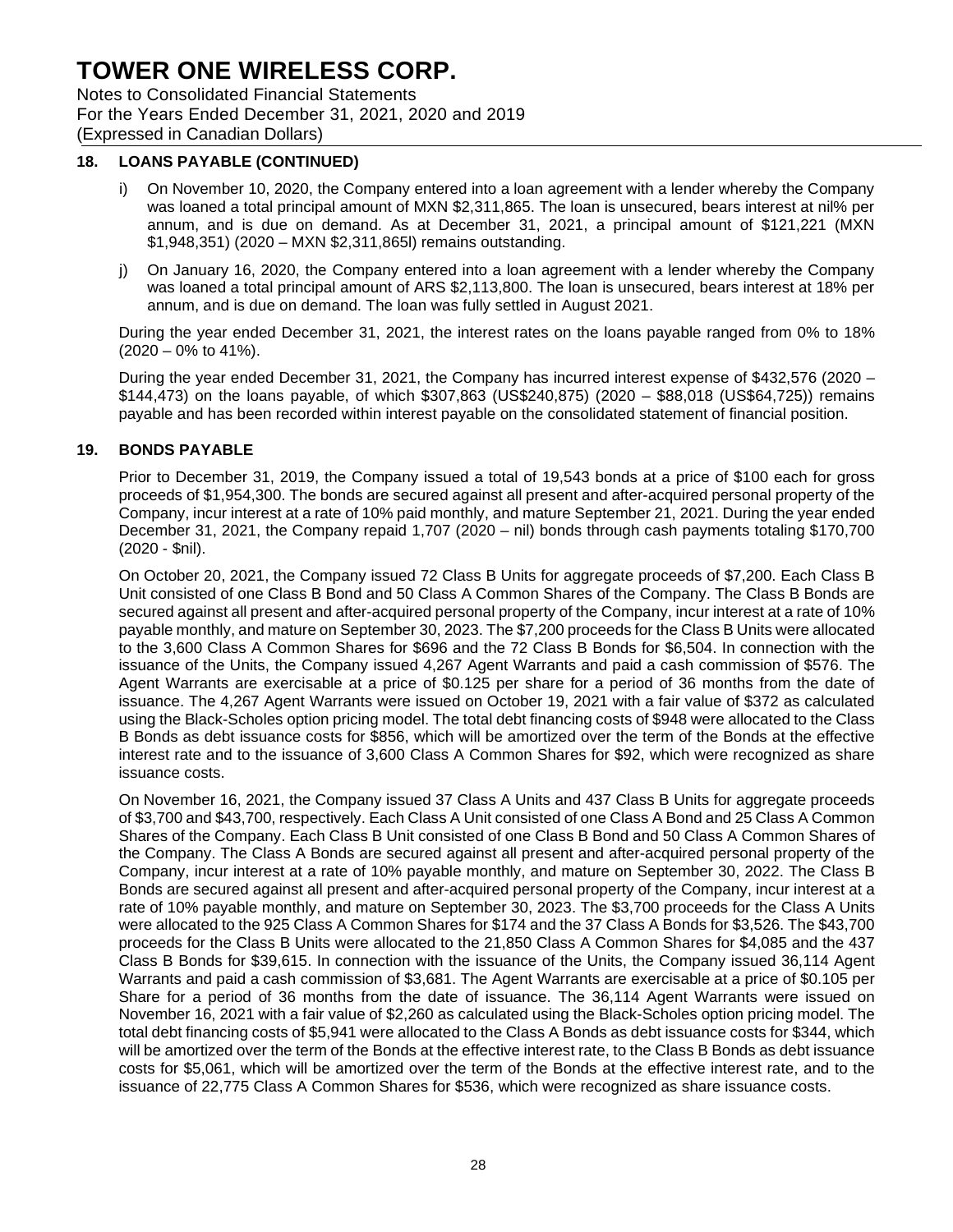Notes to Consolidated Financial Statements For the Years Ended December 31, 2021, 2020 and 2019 (Expressed in Canadian Dollars)

### **18. LOANS PAYABLE (CONTINUED)**

- i) On November 10, 2020, the Company entered into a loan agreement with a lender whereby the Company was loaned a total principal amount of MXN \$2,311,865. The loan is unsecured, bears interest at nil% per annum, and is due on demand. As at December 31, 2021, a principal amount of \$121,221 (MXN \$1,948,351) (2020 – MXN \$2,311,865l) remains outstanding.
- j) On January 16, 2020, the Company entered into a loan agreement with a lender whereby the Company was loaned a total principal amount of ARS \$2,113,800. The loan is unsecured, bears interest at 18% per annum, and is due on demand. The loan was fully settled in August 2021.

During the year ended December 31, 2021, the interest rates on the loans payable ranged from 0% to 18%  $(2020 - 0\% \text{ to } 41\%).$ 

During the year ended December 31, 2021, the Company has incurred interest expense of \$432,576 (2020 – \$144,473) on the loans payable, of which \$307,863 (US\$240,875) (2020 – \$88,018 (US\$64,725)) remains payable and has been recorded within interest payable on the consolidated statement of financial position.

#### **19. BONDS PAYABLE**

Prior to December 31, 2019, the Company issued a total of 19,543 bonds at a price of \$100 each for gross proceeds of \$1,954,300. The bonds are secured against all present and after-acquired personal property of the Company, incur interest at a rate of 10% paid monthly, and mature September 21, 2021. During the year ended December 31, 2021, the Company repaid 1,707 (2020 – nil) bonds through cash payments totaling \$170,700 (2020 - \$nil).

On October 20, 2021, the Company issued 72 Class B Units for aggregate proceeds of \$7,200. Each Class B Unit consisted of one Class B Bond and 50 Class A Common Shares of the Company. The Class B Bonds are secured against all present and after-acquired personal property of the Company, incur interest at a rate of 10% payable monthly, and mature on September 30, 2023. The \$7,200 proceeds for the Class B Units were allocated to the 3,600 Class A Common Shares for \$696 and the 72 Class B Bonds for \$6,504. In connection with the issuance of the Units, the Company issued 4,267 Agent Warrants and paid a cash commission of \$576. The Agent Warrants are exercisable at a price of \$0.125 per share for a period of 36 months from the date of issuance. The 4,267 Agent Warrants were issued on October 19, 2021 with a fair value of \$372 as calculated using the Black-Scholes option pricing model. The total debt financing costs of \$948 were allocated to the Class B Bonds as debt issuance costs for \$856, which will be amortized over the term of the Bonds at the effective interest rate and to the issuance of 3,600 Class A Common Shares for \$92, which were recognized as share issuance costs.

On November 16, 2021, the Company issued 37 Class A Units and 437 Class B Units for aggregate proceeds of \$3,700 and \$43,700, respectively. Each Class A Unit consisted of one Class A Bond and 25 Class A Common Shares of the Company. Each Class B Unit consisted of one Class B Bond and 50 Class A Common Shares of the Company. The Class A Bonds are secured against all present and after-acquired personal property of the Company, incur interest at a rate of 10% payable monthly, and mature on September 30, 2022. The Class B Bonds are secured against all present and after-acquired personal property of the Company, incur interest at a rate of 10% payable monthly, and mature on September 30, 2023. The \$3,700 proceeds for the Class A Units were allocated to the 925 Class A Common Shares for \$174 and the 37 Class A Bonds for \$3,526. The \$43,700 proceeds for the Class B Units were allocated to the 21,850 Class A Common Shares for \$4,085 and the 437 Class B Bonds for \$39,615. In connection with the issuance of the Units, the Company issued 36,114 Agent Warrants and paid a cash commission of \$3,681. The Agent Warrants are exercisable at a price of \$0.105 per Share for a period of 36 months from the date of issuance. The 36,114 Agent Warrants were issued on November 16, 2021 with a fair value of \$2,260 as calculated using the Black-Scholes option pricing model. The total debt financing costs of \$5,941 were allocated to the Class A Bonds as debt issuance costs for \$344, which will be amortized over the term of the Bonds at the effective interest rate, to the Class B Bonds as debt issuance costs for \$5,061, which will be amortized over the term of the Bonds at the effective interest rate, and to the issuance of 22,775 Class A Common Shares for \$536, which were recognized as share issuance costs.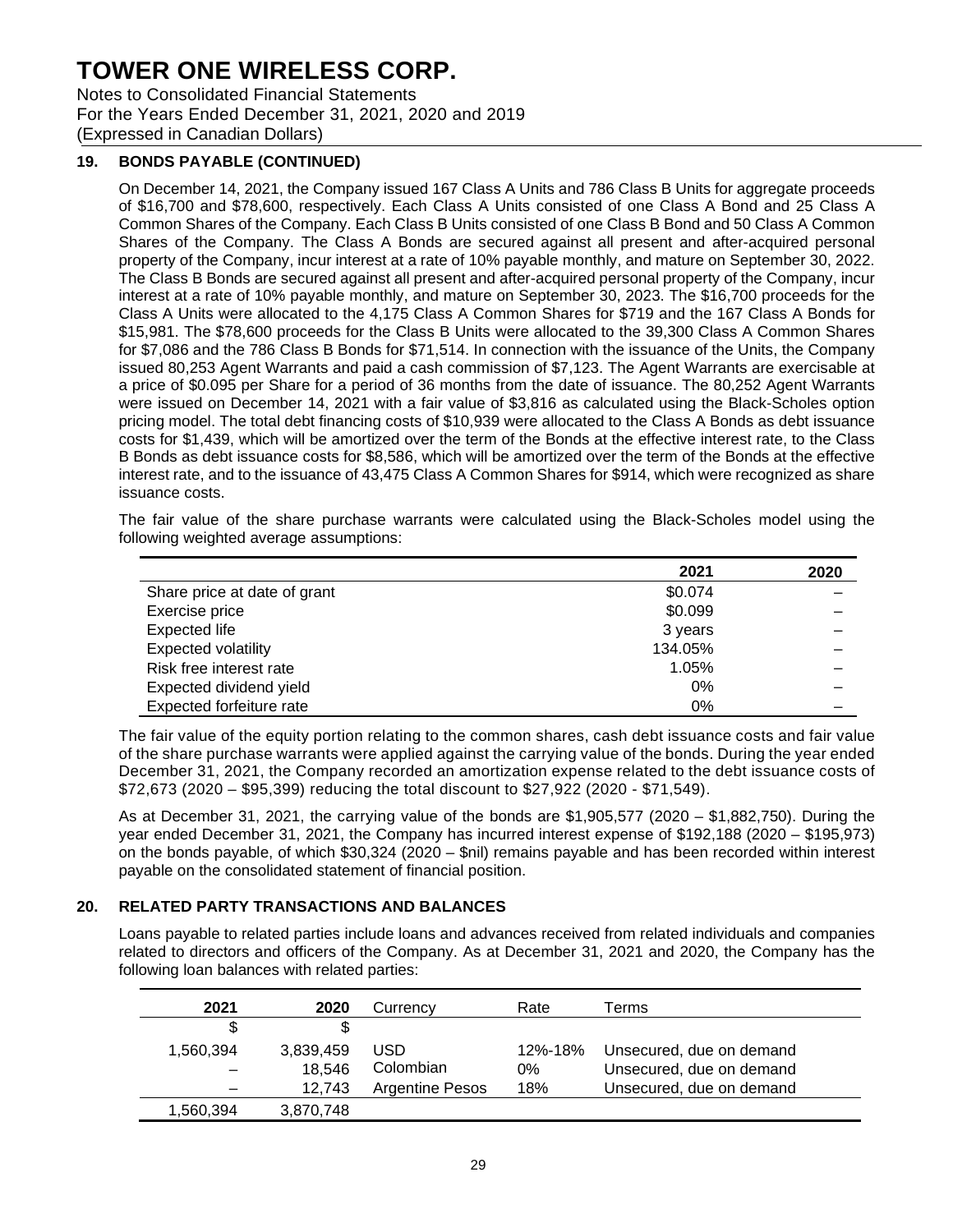Notes to Consolidated Financial Statements For the Years Ended December 31, 2021, 2020 and 2019 (Expressed in Canadian Dollars)

## **19. BONDS PAYABLE (CONTINUED)**

On December 14, 2021, the Company issued 167 Class A Units and 786 Class B Units for aggregate proceeds of \$16,700 and \$78,600, respectively. Each Class A Units consisted of one Class A Bond and 25 Class A Common Shares of the Company. Each Class B Units consisted of one Class B Bond and 50 Class A Common Shares of the Company. The Class A Bonds are secured against all present and after-acquired personal property of the Company, incur interest at a rate of 10% payable monthly, and mature on September 30, 2022. The Class B Bonds are secured against all present and after-acquired personal property of the Company, incur interest at a rate of 10% payable monthly, and mature on September 30, 2023. The \$16,700 proceeds for the Class A Units were allocated to the 4,175 Class A Common Shares for \$719 and the 167 Class A Bonds for \$15,981. The \$78,600 proceeds for the Class B Units were allocated to the 39,300 Class A Common Shares for \$7,086 and the 786 Class B Bonds for \$71,514. In connection with the issuance of the Units, the Company issued 80,253 Agent Warrants and paid a cash commission of \$7,123. The Agent Warrants are exercisable at a price of \$0.095 per Share for a period of 36 months from the date of issuance. The 80,252 Agent Warrants were issued on December 14, 2021 with a fair value of \$3,816 as calculated using the Black-Scholes option pricing model. The total debt financing costs of \$10,939 were allocated to the Class A Bonds as debt issuance costs for \$1,439, which will be amortized over the term of the Bonds at the effective interest rate, to the Class B Bonds as debt issuance costs for \$8,586, which will be amortized over the term of the Bonds at the effective interest rate, and to the issuance of 43,475 Class A Common Shares for \$914, which were recognized as share issuance costs.

The fair value of the share purchase warrants were calculated using the Black-Scholes model using the following weighted average assumptions:

|                              | 2021    | 2020 |
|------------------------------|---------|------|
| Share price at date of grant | \$0.074 |      |
| Exercise price               | \$0.099 |      |
| Expected life                | 3 years |      |
| <b>Expected volatility</b>   | 134.05% |      |
| Risk free interest rate      | 1.05%   |      |
| Expected dividend yield      | 0%      |      |
| Expected forfeiture rate     | 0%      |      |

The fair value of the equity portion relating to the common shares, cash debt issuance costs and fair value of the share purchase warrants were applied against the carrying value of the bonds. During the year ended December 31, 2021, the Company recorded an amortization expense related to the debt issuance costs of \$72,673 (2020 – \$95,399) reducing the total discount to \$27,922 (2020 - \$71,549).

As at December 31, 2021, the carrying value of the bonds are \$1,905,577 (2020 – \$1,882,750). During the year ended December 31, 2021, the Company has incurred interest expense of \$192,188 (2020 – \$195,973) on the bonds payable, of which \$30,324 (2020 – \$nil) remains payable and has been recorded within interest payable on the consolidated statement of financial position.

## **20. RELATED PARTY TRANSACTIONS AND BALANCES**

Loans payable to related parties include loans and advances received from related individuals and companies related to directors and officers of the Company. As at December 31, 2021 and 2020, the Company has the following loan balances with related parties:

| 2021      | 2020      | Currency               | Rate    | Terms                    |
|-----------|-----------|------------------------|---------|--------------------------|
| S         | S         |                        |         |                          |
| 1,560,394 | 3,839,459 | USD                    | 12%-18% | Unsecured, due on demand |
|           | 18,546    | Colombian              | $0\%$   | Unsecured, due on demand |
|           | 12.743    | <b>Argentine Pesos</b> | 18%     | Unsecured, due on demand |
| 1,560,394 | 3,870,748 |                        |         |                          |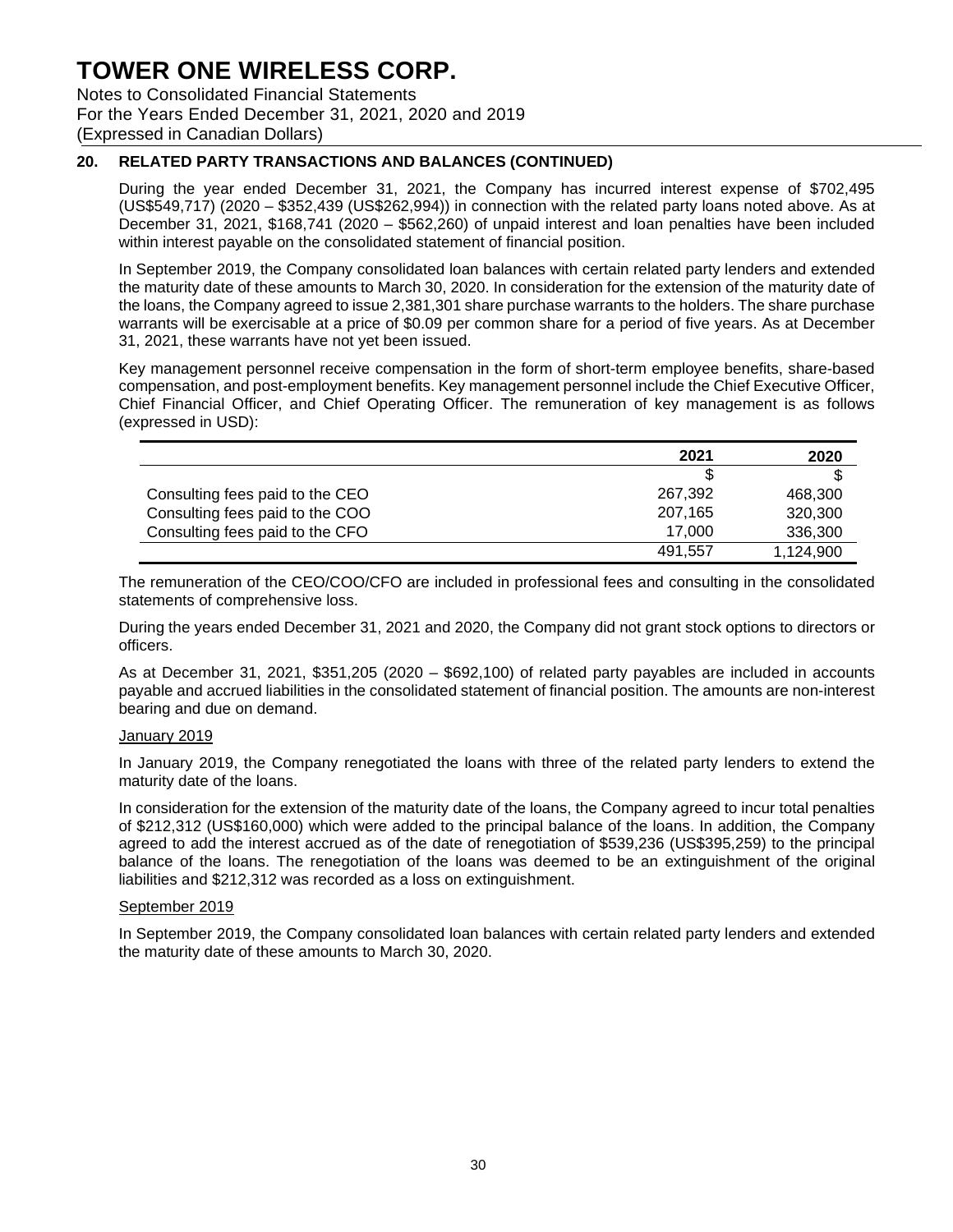Notes to Consolidated Financial Statements For the Years Ended December 31, 2021, 2020 and 2019 (Expressed in Canadian Dollars)

## **20. RELATED PARTY TRANSACTIONS AND BALANCES (CONTINUED)**

During the year ended December 31, 2021, the Company has incurred interest expense of \$702,495 (US\$549,717) (2020 – \$352,439 (US\$262,994)) in connection with the related party loans noted above. As at December 31, 2021, \$168,741 (2020 – \$562,260) of unpaid interest and loan penalties have been included within interest payable on the consolidated statement of financial position.

In September 2019, the Company consolidated loan balances with certain related party lenders and extended the maturity date of these amounts to March 30, 2020. In consideration for the extension of the maturity date of the loans, the Company agreed to issue 2,381,301 share purchase warrants to the holders. The share purchase warrants will be exercisable at a price of \$0.09 per common share for a period of five years. As at December 31, 2021, these warrants have not yet been issued.

Key management personnel receive compensation in the form of short-term employee benefits, share-based compensation, and post-employment benefits. Key management personnel include the Chief Executive Officer, Chief Financial Officer, and Chief Operating Officer. The remuneration of key management is as follows (expressed in USD):

|                                 | 2021    | 2020      |
|---------------------------------|---------|-----------|
|                                 |         |           |
| Consulting fees paid to the CEO | 267.392 | 468,300   |
| Consulting fees paid to the COO | 207.165 | 320,300   |
| Consulting fees paid to the CFO | 17.000  | 336,300   |
|                                 | 491,557 | 1,124,900 |

The remuneration of the CEO/COO/CFO are included in professional fees and consulting in the consolidated statements of comprehensive loss.

During the years ended December 31, 2021 and 2020, the Company did not grant stock options to directors or officers.

As at December 31, 2021, \$351,205 (2020 – \$692,100) of related party payables are included in accounts payable and accrued liabilities in the consolidated statement of financial position. The amounts are non-interest bearing and due on demand.

#### January 2019

In January 2019, the Company renegotiated the loans with three of the related party lenders to extend the maturity date of the loans.

In consideration for the extension of the maturity date of the loans, the Company agreed to incur total penalties of \$212,312 (US\$160,000) which were added to the principal balance of the loans. In addition, the Company agreed to add the interest accrued as of the date of renegotiation of \$539,236 (US\$395,259) to the principal balance of the loans. The renegotiation of the loans was deemed to be an extinguishment of the original liabilities and \$212,312 was recorded as a loss on extinguishment.

#### September 2019

In September 2019, the Company consolidated loan balances with certain related party lenders and extended the maturity date of these amounts to March 30, 2020.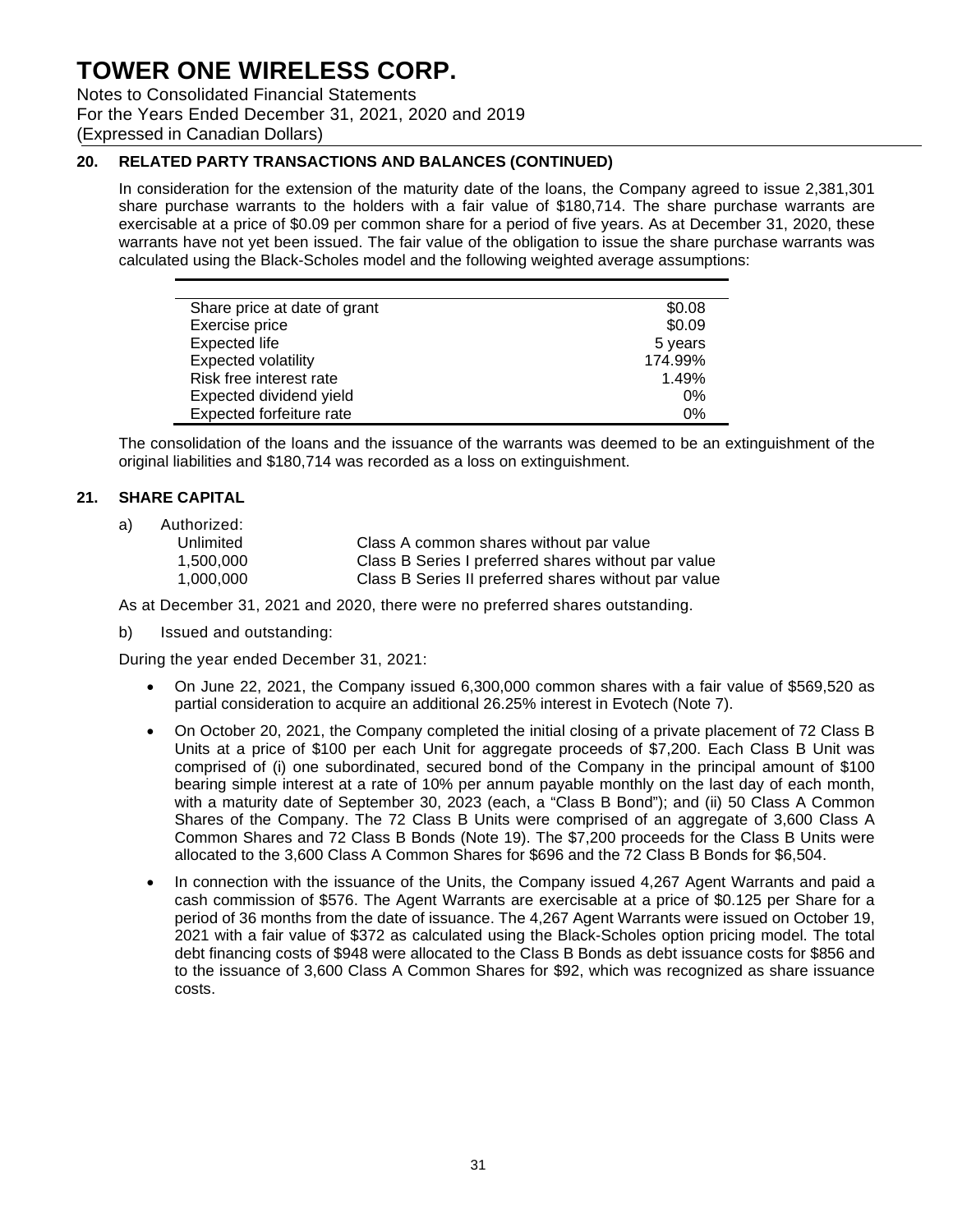Notes to Consolidated Financial Statements For the Years Ended December 31, 2021, 2020 and 2019 (Expressed in Canadian Dollars)

## **20. RELATED PARTY TRANSACTIONS AND BALANCES (CONTINUED)**

In consideration for the extension of the maturity date of the loans, the Company agreed to issue 2,381,301 share purchase warrants to the holders with a fair value of \$180,714. The share purchase warrants are exercisable at a price of \$0.09 per common share for a period of five years. As at December 31, 2020, these warrants have not yet been issued. The fair value of the obligation to issue the share purchase warrants was calculated using the Black-Scholes model and the following weighted average assumptions:

| Share price at date of grant | \$0.08  |
|------------------------------|---------|
| Exercise price               | \$0.09  |
| Expected life                | 5 years |
| <b>Expected volatility</b>   | 174.99% |
| Risk free interest rate      | 1.49%   |
| Expected dividend yield      | 0%      |
| Expected forfeiture rate     | $0\%$   |

The consolidation of the loans and the issuance of the warrants was deemed to be an extinguishment of the original liabilities and \$180,714 was recorded as a loss on extinguishment.

## **21. SHARE CAPITAL**

a) Authorized:

Unlimited Class A common shares without par value 1,500,000 Class B Series I preferred shares without par value 1,000,000 Class B Series II preferred shares without par value

As at December 31, 2021 and 2020, there were no preferred shares outstanding.

b) Issued and outstanding:

During the year ended December 31, 2021:

- On June 22, 2021, the Company issued 6,300,000 common shares with a fair value of \$569,520 as partial consideration to acquire an additional 26.25% interest in Evotech (Note 7).
- On October 20, 2021, the Company completed the initial closing of a private placement of 72 Class B Units at a price of \$100 per each Unit for aggregate proceeds of \$7,200. Each Class B Unit was comprised of (i) one subordinated, secured bond of the Company in the principal amount of \$100 bearing simple interest at a rate of 10% per annum payable monthly on the last day of each month, with a maturity date of September 30, 2023 (each, a "Class B Bond"); and (ii) 50 Class A Common Shares of the Company. The 72 Class B Units were comprised of an aggregate of 3,600 Class A Common Shares and 72 Class B Bonds (Note 19). The \$7,200 proceeds for the Class B Units were allocated to the 3,600 Class A Common Shares for \$696 and the 72 Class B Bonds for \$6,504.
- In connection with the issuance of the Units, the Company issued 4,267 Agent Warrants and paid a cash commission of \$576. The Agent Warrants are exercisable at a price of \$0.125 per Share for a period of 36 months from the date of issuance. The 4,267 Agent Warrants were issued on October 19, 2021 with a fair value of \$372 as calculated using the Black-Scholes option pricing model. The total debt financing costs of \$948 were allocated to the Class B Bonds as debt issuance costs for \$856 and to the issuance of 3,600 Class A Common Shares for \$92, which was recognized as share issuance costs.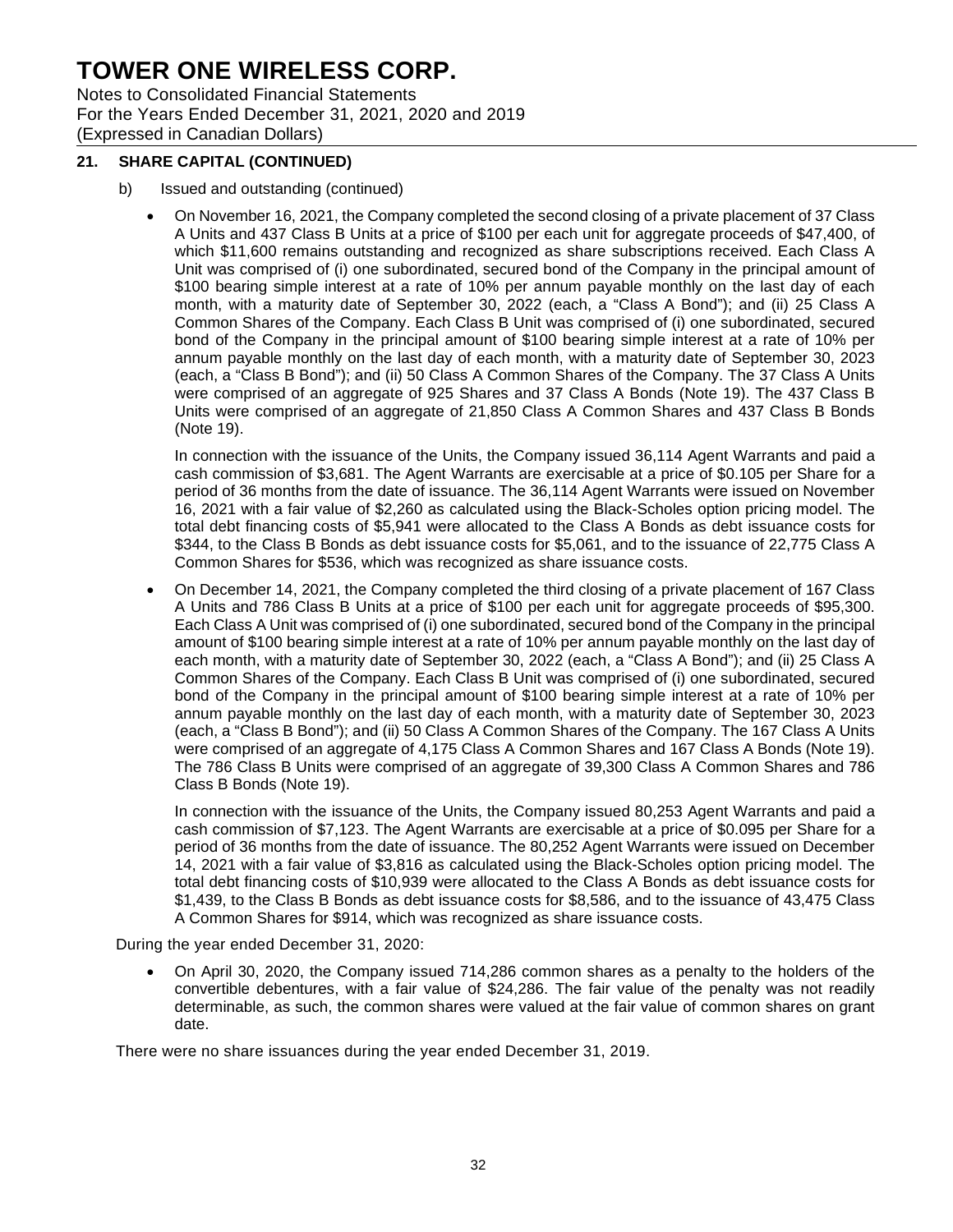Notes to Consolidated Financial Statements For the Years Ended December 31, 2021, 2020 and 2019 (Expressed in Canadian Dollars)

### **21. SHARE CAPITAL (CONTINUED)**

- b) Issued and outstanding (continued)
	- On November 16, 2021, the Company completed the second closing of a private placement of 37 Class A Units and 437 Class B Units at a price of \$100 per each unit for aggregate proceeds of \$47,400, of which \$11,600 remains outstanding and recognized as share subscriptions received. Each Class A Unit was comprised of (i) one subordinated, secured bond of the Company in the principal amount of \$100 bearing simple interest at a rate of 10% per annum payable monthly on the last day of each month, with a maturity date of September 30, 2022 (each, a "Class A Bond"); and (ii) 25 Class A Common Shares of the Company. Each Class B Unit was comprised of (i) one subordinated, secured bond of the Company in the principal amount of \$100 bearing simple interest at a rate of 10% per annum payable monthly on the last day of each month, with a maturity date of September 30, 2023 (each, a "Class B Bond"); and (ii) 50 Class A Common Shares of the Company. The 37 Class A Units were comprised of an aggregate of 925 Shares and 37 Class A Bonds (Note 19). The 437 Class B Units were comprised of an aggregate of 21,850 Class A Common Shares and 437 Class B Bonds (Note 19).

In connection with the issuance of the Units, the Company issued 36,114 Agent Warrants and paid a cash commission of \$3,681. The Agent Warrants are exercisable at a price of \$0.105 per Share for a period of 36 months from the date of issuance. The 36,114 Agent Warrants were issued on November 16, 2021 with a fair value of \$2,260 as calculated using the Black-Scholes option pricing model. The total debt financing costs of \$5,941 were allocated to the Class A Bonds as debt issuance costs for \$344, to the Class B Bonds as debt issuance costs for \$5,061, and to the issuance of 22,775 Class A Common Shares for \$536, which was recognized as share issuance costs.

 On December 14, 2021, the Company completed the third closing of a private placement of 167 Class A Units and 786 Class B Units at a price of \$100 per each unit for aggregate proceeds of \$95,300. Each Class A Unit was comprised of (i) one subordinated, secured bond of the Company in the principal amount of \$100 bearing simple interest at a rate of 10% per annum payable monthly on the last day of each month, with a maturity date of September 30, 2022 (each, a "Class A Bond"); and (ii) 25 Class A Common Shares of the Company. Each Class B Unit was comprised of (i) one subordinated, secured bond of the Company in the principal amount of \$100 bearing simple interest at a rate of 10% per annum payable monthly on the last day of each month, with a maturity date of September 30, 2023 (each, a "Class B Bond"); and (ii) 50 Class A Common Shares of the Company. The 167 Class A Units were comprised of an aggregate of 4,175 Class A Common Shares and 167 Class A Bonds (Note 19). The 786 Class B Units were comprised of an aggregate of 39,300 Class A Common Shares and 786 Class B Bonds (Note 19).

In connection with the issuance of the Units, the Company issued 80,253 Agent Warrants and paid a cash commission of \$7,123. The Agent Warrants are exercisable at a price of \$0.095 per Share for a period of 36 months from the date of issuance. The 80,252 Agent Warrants were issued on December 14, 2021 with a fair value of \$3,816 as calculated using the Black-Scholes option pricing model. The total debt financing costs of \$10,939 were allocated to the Class A Bonds as debt issuance costs for \$1,439, to the Class B Bonds as debt issuance costs for \$8,586, and to the issuance of 43,475 Class A Common Shares for \$914, which was recognized as share issuance costs.

During the year ended December 31, 2020:

 On April 30, 2020, the Company issued 714,286 common shares as a penalty to the holders of the convertible debentures, with a fair value of \$24,286. The fair value of the penalty was not readily determinable, as such, the common shares were valued at the fair value of common shares on grant date.

There were no share issuances during the year ended December 31, 2019.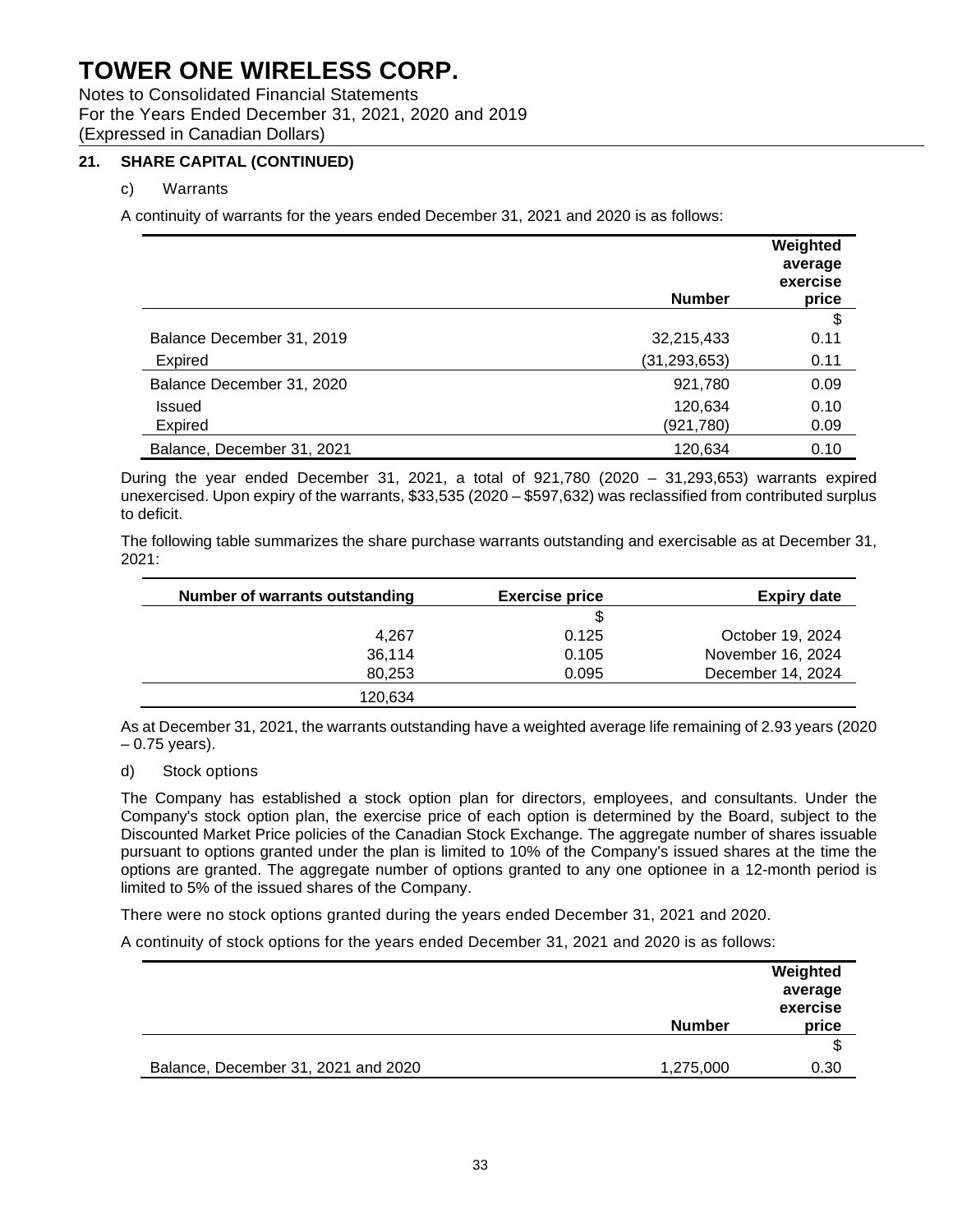Notes to Consolidated Financial Statements For the Years Ended December 31, 2021, 2020 and 2019 (Expressed in Canadian Dollars)

## **21. SHARE CAPITAL (CONTINUED)**

## c) Warrants

A continuity of warrants for the years ended December 31, 2021 and 2020 is as follows:

|                            | <b>Number</b>  | Weighted<br>average<br>exercise<br>price |
|----------------------------|----------------|------------------------------------------|
|                            |                | \$                                       |
| Balance December 31, 2019  | 32,215,433     | 0.11                                     |
| <b>Expired</b>             | (31, 293, 653) | 0.11                                     |
| Balance December 31, 2020  | 921,780        | 0.09                                     |
| <b>Issued</b>              | 120,634        | 0.10                                     |
| Expired                    | (921, 780)     | 0.09                                     |
| Balance, December 31, 2021 | 120,634        | 0.10                                     |

During the year ended December 31, 2021, a total of 921,780 (2020 – 31,293,653) warrants expired unexercised. Upon expiry of the warrants, \$33,535 (2020 – \$597,632) was reclassified from contributed surplus to deficit.

The following table summarizes the share purchase warrants outstanding and exercisable as at December 31, 2021:

| Number of warrants outstanding | <b>Exercise price</b> | Expiry date       |
|--------------------------------|-----------------------|-------------------|
|                                |                       |                   |
| 4.267                          | 0.125                 | October 19, 2024  |
| 36,114                         | 0.105                 | November 16, 2024 |
| 80.253                         | 0.095                 | December 14, 2024 |
| 120,634                        |                       |                   |

As at December 31, 2021, the warrants outstanding have a weighted average life remaining of 2.93 years (2020 – 0.75 years).

## d) Stock options

The Company has established a stock option plan for directors, employees, and consultants. Under the Company's stock option plan, the exercise price of each option is determined by the Board, subject to the Discounted Market Price policies of the Canadian Stock Exchange. The aggregate number of shares issuable pursuant to options granted under the plan is limited to 10% of the Company's issued shares at the time the options are granted. The aggregate number of options granted to any one optionee in a 12-month period is limited to 5% of the issued shares of the Company.

There were no stock options granted during the years ended December 31, 2021 and 2020.

A continuity of stock options for the years ended December 31, 2021 and 2020 is as follows:

|                                     | <b>Number</b> | Weighted<br>average<br>exercise<br>price |
|-------------------------------------|---------------|------------------------------------------|
|                                     |               | \$                                       |
| Balance, December 31, 2021 and 2020 | 1,275,000     | 0.30                                     |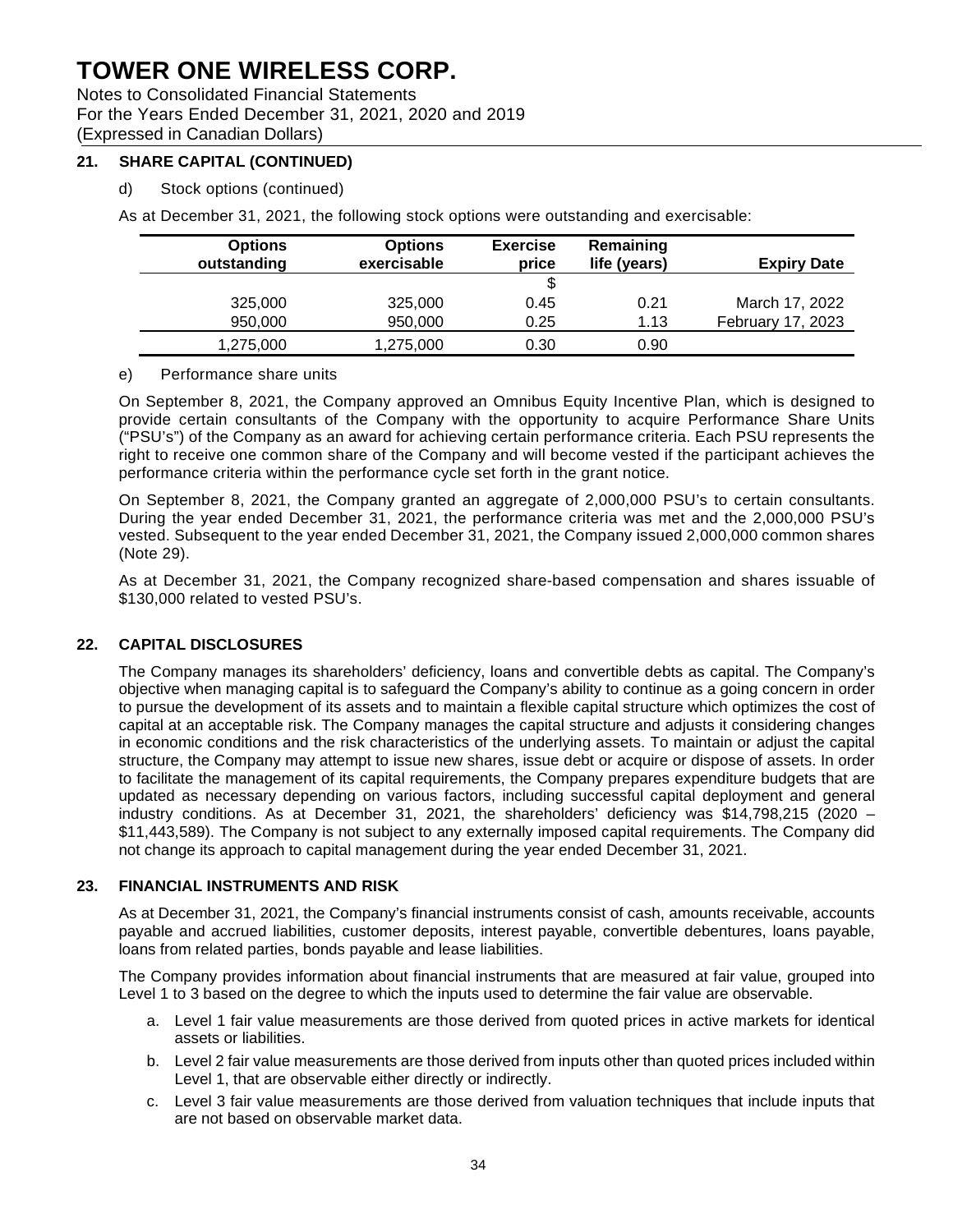Notes to Consolidated Financial Statements For the Years Ended December 31, 2021, 2020 and 2019 (Expressed in Canadian Dollars)

## **21. SHARE CAPITAL (CONTINUED)**

d) Stock options (continued)

As at December 31, 2021, the following stock options were outstanding and exercisable:

| <b>Options</b><br>outstanding | <b>Options</b><br>exercisable | <b>Exercise</b><br>price | Remaining<br>life (years) | <b>Expiry Date</b> |
|-------------------------------|-------------------------------|--------------------------|---------------------------|--------------------|
|                               |                               |                          |                           |                    |
| 325,000                       | 325,000                       | 0.45                     | 0.21                      | March 17, 2022     |
| 950,000                       | 950,000                       | 0.25                     | 1.13                      | February 17, 2023  |
| 1,275,000                     | 1,275,000                     | 0.30                     | 0.90                      |                    |

#### e) Performance share units

On September 8, 2021, the Company approved an Omnibus Equity Incentive Plan, which is designed to provide certain consultants of the Company with the opportunity to acquire Performance Share Units ("PSU's") of the Company as an award for achieving certain performance criteria. Each PSU represents the right to receive one common share of the Company and will become vested if the participant achieves the performance criteria within the performance cycle set forth in the grant notice.

On September 8, 2021, the Company granted an aggregate of 2,000,000 PSU's to certain consultants. During the year ended December 31, 2021, the performance criteria was met and the 2,000,000 PSU's vested. Subsequent to the year ended December 31, 2021, the Company issued 2,000,000 common shares (Note 29).

As at December 31, 2021, the Company recognized share-based compensation and shares issuable of \$130,000 related to vested PSU's.

## **22. CAPITAL DISCLOSURES**

The Company manages its shareholders' deficiency, loans and convertible debts as capital. The Company's objective when managing capital is to safeguard the Company's ability to continue as a going concern in order to pursue the development of its assets and to maintain a flexible capital structure which optimizes the cost of capital at an acceptable risk. The Company manages the capital structure and adjusts it considering changes in economic conditions and the risk characteristics of the underlying assets. To maintain or adjust the capital structure, the Company may attempt to issue new shares, issue debt or acquire or dispose of assets. In order to facilitate the management of its capital requirements, the Company prepares expenditure budgets that are updated as necessary depending on various factors, including successful capital deployment and general industry conditions. As at December 31, 2021, the shareholders' deficiency was \$14,798,215 (2020 – \$11,443,589). The Company is not subject to any externally imposed capital requirements. The Company did not change its approach to capital management during the year ended December 31, 2021.

## **23. FINANCIAL INSTRUMENTS AND RISK**

As at December 31, 2021, the Company's financial instruments consist of cash, amounts receivable, accounts payable and accrued liabilities, customer deposits, interest payable, convertible debentures, loans payable, loans from related parties, bonds payable and lease liabilities.

The Company provides information about financial instruments that are measured at fair value, grouped into Level 1 to 3 based on the degree to which the inputs used to determine the fair value are observable.

- a. Level 1 fair value measurements are those derived from quoted prices in active markets for identical assets or liabilities.
- b. Level 2 fair value measurements are those derived from inputs other than quoted prices included within Level 1, that are observable either directly or indirectly.
- c. Level 3 fair value measurements are those derived from valuation techniques that include inputs that are not based on observable market data.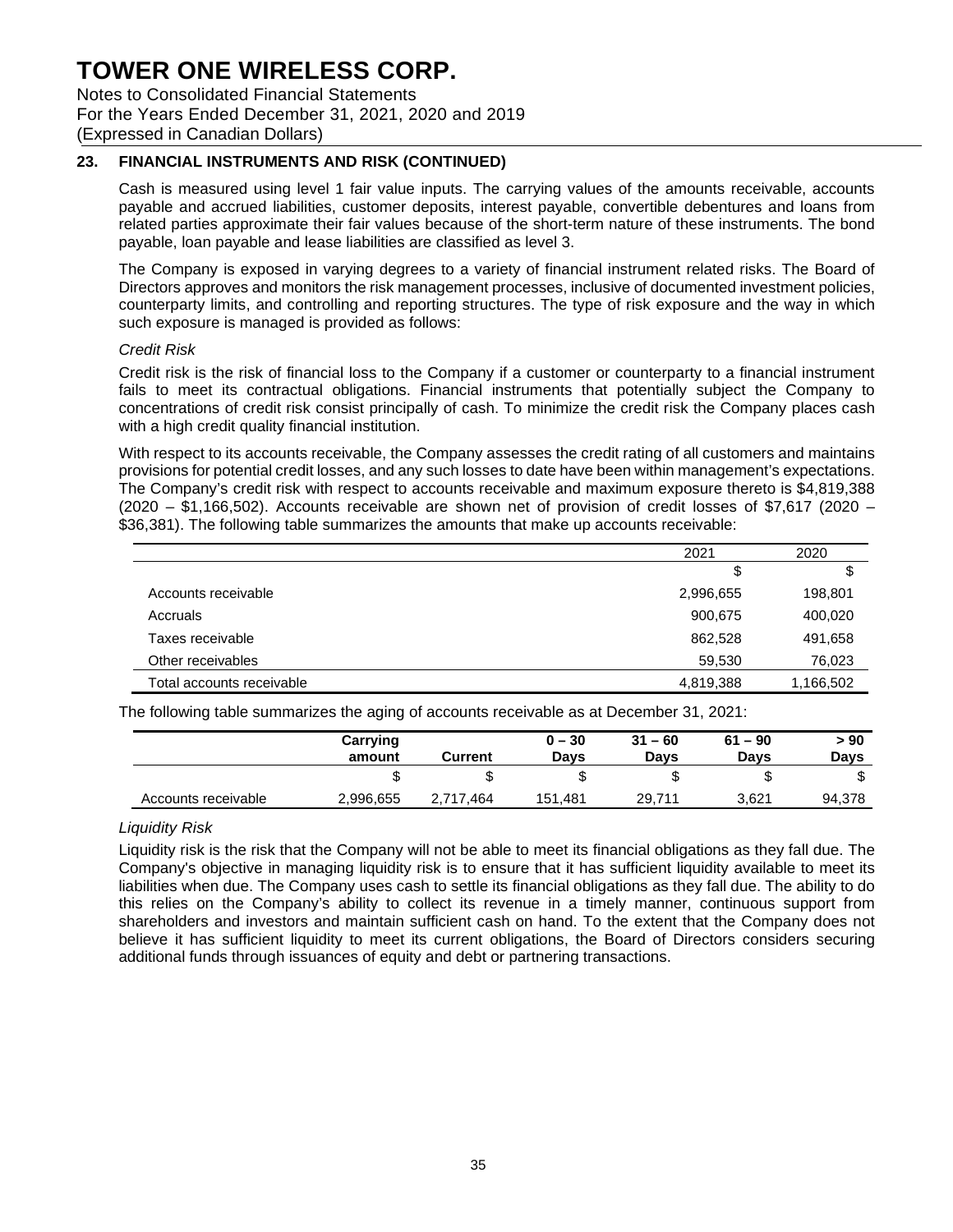Notes to Consolidated Financial Statements For the Years Ended December 31, 2021, 2020 and 2019 (Expressed in Canadian Dollars)

### **23. FINANCIAL INSTRUMENTS AND RISK (CONTINUED)**

Cash is measured using level 1 fair value inputs. The carrying values of the amounts receivable, accounts payable and accrued liabilities, customer deposits, interest payable, convertible debentures and loans from related parties approximate their fair values because of the short-term nature of these instruments. The bond payable, loan payable and lease liabilities are classified as level 3.

The Company is exposed in varying degrees to a variety of financial instrument related risks. The Board of Directors approves and monitors the risk management processes, inclusive of documented investment policies, counterparty limits, and controlling and reporting structures. The type of risk exposure and the way in which such exposure is managed is provided as follows:

#### *Credit Risk*

Credit risk is the risk of financial loss to the Company if a customer or counterparty to a financial instrument fails to meet its contractual obligations. Financial instruments that potentially subject the Company to concentrations of credit risk consist principally of cash. To minimize the credit risk the Company places cash with a high credit quality financial institution.

With respect to its accounts receivable, the Company assesses the credit rating of all customers and maintains provisions for potential credit losses, and any such losses to date have been within management's expectations. The Company's credit risk with respect to accounts receivable and maximum exposure thereto is \$4,819,388  $(2020 - $1,166,502)$ . Accounts receivable are shown net of provision of credit losses of \$7,617 (2020 – \$36,381). The following table summarizes the amounts that make up accounts receivable:

|                           | 2021      | 2020      |
|---------------------------|-----------|-----------|
|                           | \$        | Φ         |
| Accounts receivable       | 2,996,655 | 198,801   |
| Accruals                  | 900,675   | 400,020   |
| Taxes receivable          | 862.528   | 491,658   |
| Other receivables         | 59.530    | 76,023    |
| Total accounts receivable | 4,819,388 | 1,166,502 |

The following table summarizes the aging of accounts receivable as at December 31, 2021:

|                     | Carrying<br>amount | Current   | $0 - 30$<br>Davs | $31 - 60$<br>Davs | $61 - 90$<br>Days | >90<br>Days |
|---------------------|--------------------|-----------|------------------|-------------------|-------------------|-------------|
|                     |                    |           |                  |                   | \$                |             |
| Accounts receivable | 2,996,655          | 2,717,464 | 151,481          | 29.711            | 3.621             | 94,378      |

#### *Liquidity Risk*

Liquidity risk is the risk that the Company will not be able to meet its financial obligations as they fall due. The Company's objective in managing liquidity risk is to ensure that it has sufficient liquidity available to meet its liabilities when due. The Company uses cash to settle its financial obligations as they fall due. The ability to do this relies on the Company's ability to collect its revenue in a timely manner, continuous support from shareholders and investors and maintain sufficient cash on hand. To the extent that the Company does not believe it has sufficient liquidity to meet its current obligations, the Board of Directors considers securing additional funds through issuances of equity and debt or partnering transactions.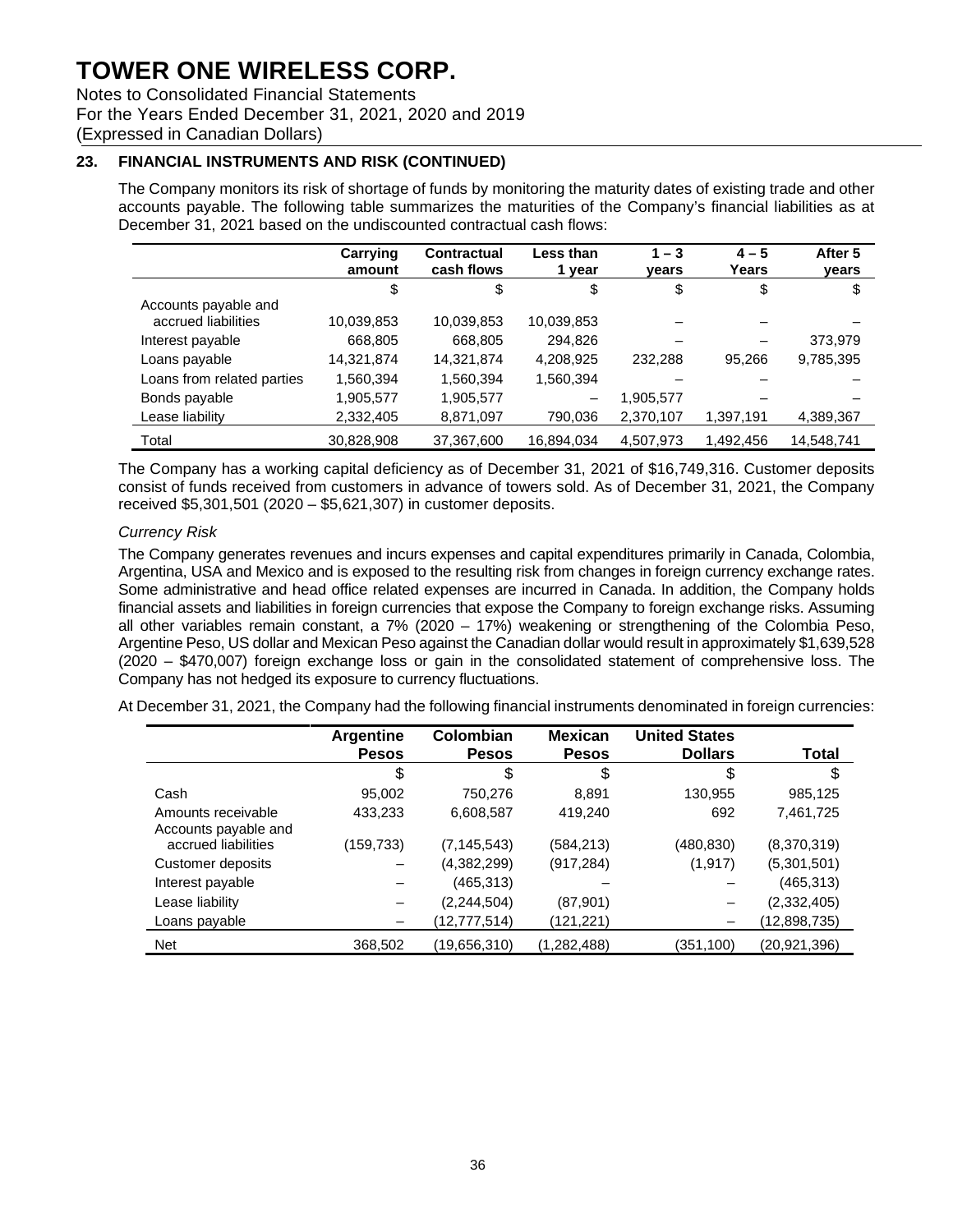Notes to Consolidated Financial Statements For the Years Ended December 31, 2021, 2020 and 2019 (Expressed in Canadian Dollars)

## **23. FINANCIAL INSTRUMENTS AND RISK (CONTINUED)**

The Company monitors its risk of shortage of funds by monitoring the maturity dates of existing trade and other accounts payable. The following table summarizes the maturities of the Company's financial liabilities as at December 31, 2021 based on the undiscounted contractual cash flows:

|                                             | Carrying<br>amount | <b>Contractual</b><br>cash flows | Less than<br>1 year      | $1 - 3$<br>vears | $4 - 5$<br>Years | After 5<br>years |
|---------------------------------------------|--------------------|----------------------------------|--------------------------|------------------|------------------|------------------|
|                                             | \$                 | \$                               | \$                       | \$               | \$               | \$               |
| Accounts payable and<br>accrued liabilities | 10,039,853         | 10,039,853                       | 10,039,853               |                  |                  |                  |
| Interest payable                            | 668,805            | 668,805                          | 294.826                  |                  |                  | 373,979          |
| Loans payable                               | 14,321,874         | 14,321,874                       | 4,208,925                | 232,288          | 95.266           | 9,785,395        |
| Loans from related parties                  | 1,560,394          | 1,560,394                        | 1,560,394                |                  |                  |                  |
| Bonds payable                               | 1,905,577          | 1,905,577                        | $\overline{\phantom{m}}$ | 1,905,577        |                  |                  |
| Lease liability                             | 2,332,405          | 8,871,097                        | 790,036                  | 2,370,107        | 1,397,191        | 4,389,367        |
| Total                                       | 30,828,908         | 37,367,600                       | 16,894,034               | 4,507,973        | 1,492,456        | 14,548,741       |

The Company has a working capital deficiency as of December 31, 2021 of \$16,749,316. Customer deposits consist of funds received from customers in advance of towers sold. As of December 31, 2021, the Company received \$5,301,501 (2020 – \$5,621,307) in customer deposits.

## *Currency Risk*

The Company generates revenues and incurs expenses and capital expenditures primarily in Canada, Colombia, Argentina, USA and Mexico and is exposed to the resulting risk from changes in foreign currency exchange rates. Some administrative and head office related expenses are incurred in Canada. In addition, the Company holds financial assets and liabilities in foreign currencies that expose the Company to foreign exchange risks. Assuming all other variables remain constant, a 7% (2020 – 17%) weakening or strengthening of the Colombia Peso, Argentine Peso, US dollar and Mexican Peso against the Canadian dollar would result in approximately \$1,639,528 (2020 – \$470,007) foreign exchange loss or gain in the consolidated statement of comprehensive loss. The Company has not hedged its exposure to currency fluctuations.

At December 31, 2021, the Company had the following financial instruments denominated in foreign currencies:

|                      | Argentine<br><b>Pesos</b> | Colombian<br><b>Pesos</b> | <b>Mexican</b><br><b>Pesos</b> | <b>United States</b><br><b>Dollars</b> | Total        |
|----------------------|---------------------------|---------------------------|--------------------------------|----------------------------------------|--------------|
|                      |                           |                           |                                |                                        |              |
|                      | \$                        | \$                        | \$                             | \$                                     | \$           |
| Cash                 | 95.002                    | 750,276                   | 8.891                          | 130,955                                | 985,125      |
| Amounts receivable   | 433,233                   | 6,608,587                 | 419,240                        | 692                                    | 7,461,725    |
| Accounts payable and |                           |                           |                                |                                        |              |
| accrued liabilities  | (159, 733)                | (7, 145, 543)             | (584, 213)                     | (480,830)                              | (8,370,319)  |
| Customer deposits    |                           | (4,382,299)               | (917, 284)                     | (1, 917)                               | (5,301,501)  |
| Interest payable     |                           | (465, 313)                |                                |                                        | (465, 313)   |
| Lease liability      |                           | (2, 244, 504)             | (87,901)                       |                                        | (2,332,405)  |
| Loans payable        |                           | (12,777,514)              | (121, 221)                     |                                        | (12,898,735) |
| <b>Net</b>           | 368,502                   | (19,656,310)              | (1,282,488)                    | (351,100)                              | (20.921.396) |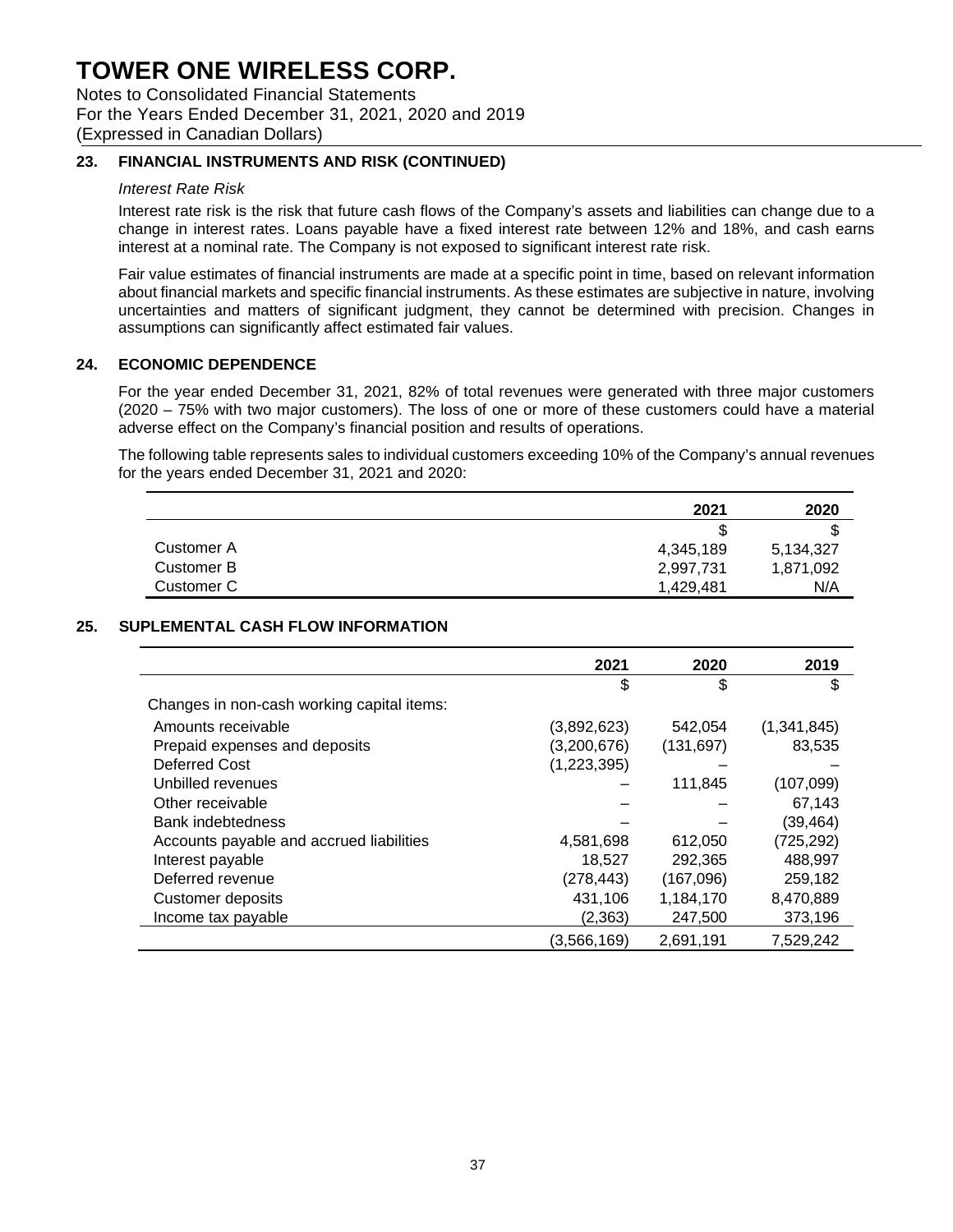Notes to Consolidated Financial Statements For the Years Ended December 31, 2021, 2020 and 2019 (Expressed in Canadian Dollars)

## **23. FINANCIAL INSTRUMENTS AND RISK (CONTINUED)**

#### *Interest Rate Risk*

Interest rate risk is the risk that future cash flows of the Company's assets and liabilities can change due to a change in interest rates. Loans payable have a fixed interest rate between 12% and 18%, and cash earns interest at a nominal rate. The Company is not exposed to significant interest rate risk.

Fair value estimates of financial instruments are made at a specific point in time, based on relevant information about financial markets and specific financial instruments. As these estimates are subjective in nature, involving uncertainties and matters of significant judgment, they cannot be determined with precision. Changes in assumptions can significantly affect estimated fair values.

#### **24. ECONOMIC DEPENDENCE**

For the year ended December 31, 2021, 82% of total revenues were generated with three major customers (2020 – 75% with two major customers). The loss of one or more of these customers could have a material adverse effect on the Company's financial position and results of operations.

The following table represents sales to individual customers exceeding 10% of the Company's annual revenues for the years ended December 31, 2021 and 2020:

|            | 2021      | 2020      |
|------------|-----------|-----------|
|            |           |           |
| Customer A | 4,345,189 | 5,134,327 |
| Customer B | 2,997,731 | 1,871,092 |
| Customer C | 1.429.481 | N/A       |

#### **25. SUPLEMENTAL CASH FLOW INFORMATION**

|                                            | 2021          | 2020       | 2019        |
|--------------------------------------------|---------------|------------|-------------|
|                                            | \$            | \$         | \$          |
| Changes in non-cash working capital items: |               |            |             |
| Amounts receivable                         | (3,892,623)   | 542,054    | (1,341,845) |
| Prepaid expenses and deposits              | (3,200,676)   | (131, 697) | 83,535      |
| Deferred Cost                              | (1, 223, 395) |            |             |
| Unbilled revenues                          |               | 111,845    | (107,099)   |
| Other receivable                           |               |            | 67,143      |
| Bank indebtedness                          |               |            | (39, 464)   |
| Accounts payable and accrued liabilities   | 4,581,698     | 612,050    | (725, 292)  |
| Interest payable                           | 18.527        | 292,365    | 488,997     |
| Deferred revenue                           | (278,443)     | (167,096)  | 259,182     |
| <b>Customer deposits</b>                   | 431,106       | 1,184,170  | 8,470,889   |
| Income tax payable                         | (2,363)       | 247,500    | 373,196     |
|                                            | (3,566,169)   | 2,691,191  | 7,529,242   |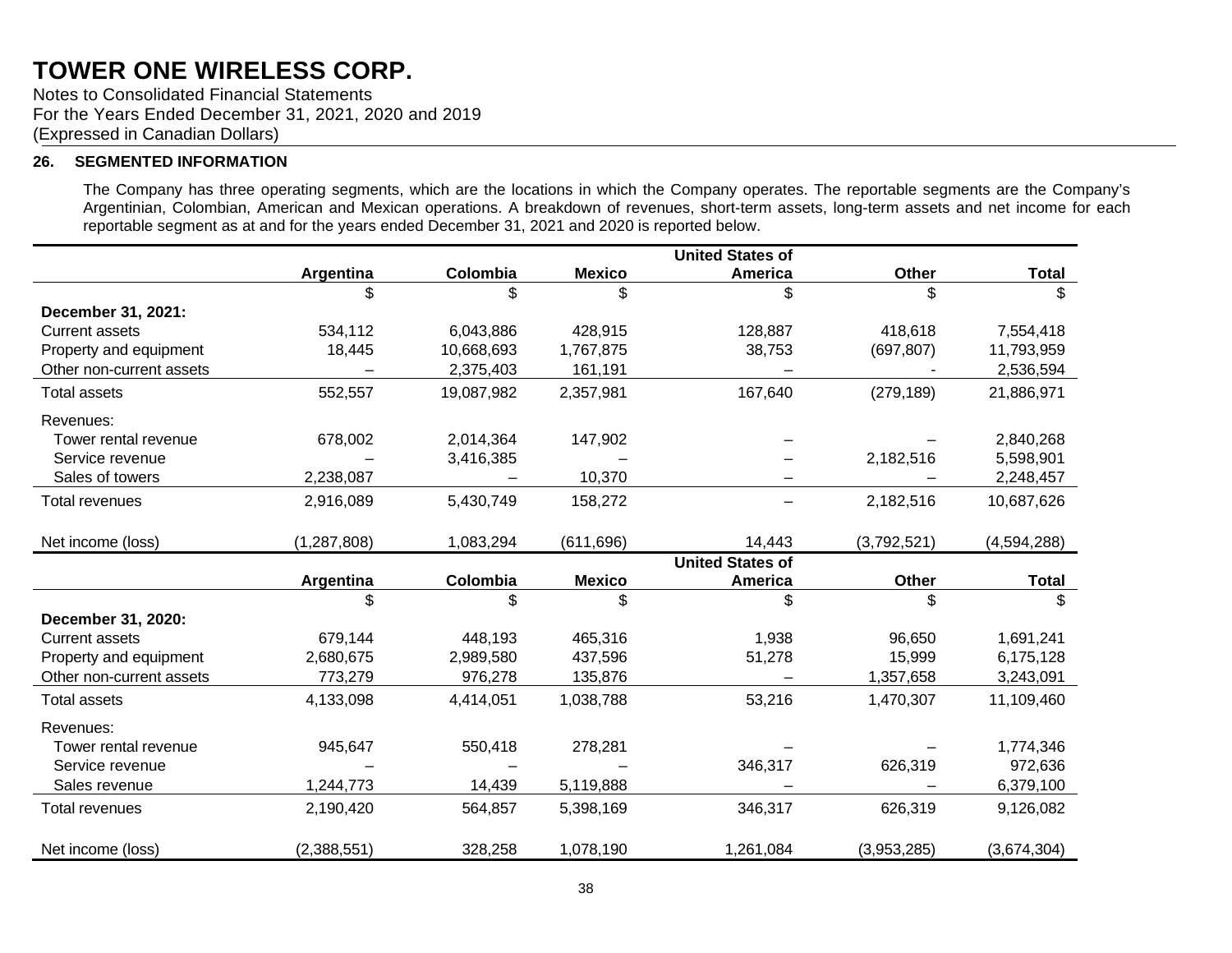Notes to Consolidated Financial Statements For the Years Ended December 31, 2021, 2020 and 2019 (Expressed in Canadian Dollars)

## **26. SEGMENTED INFORMATION**

The Company has three operating segments, which are the locations in which the Company operates. The reportable segments are the Company's Argentinian, Colombian, American and Mexican operations. A breakdown of revenues, short-term assets, long-term assets and net income for each reportable segment as at and for the years ended December 31, 2021 and 2020 is reported below.

|                          |               |            |               | <b>United States of</b> |             |              |
|--------------------------|---------------|------------|---------------|-------------------------|-------------|--------------|
|                          | Argentina     | Colombia   | <b>Mexico</b> | America                 | Other       | Total        |
|                          |               | \$         | \$            | \$                      | \$          | \$           |
| December 31, 2021:       |               |            |               |                         |             |              |
| Current assets           | 534,112       | 6,043,886  | 428,915       | 128,887                 | 418,618     | 7,554,418    |
| Property and equipment   | 18,445        | 10,668,693 | 1,767,875     | 38,753                  | (697, 807)  | 11,793,959   |
| Other non-current assets |               | 2,375,403  | 161,191       |                         |             | 2,536,594    |
| <b>Total assets</b>      | 552,557       | 19,087,982 | 2,357,981     | 167,640                 | (279, 189)  | 21,886,971   |
| Revenues:                |               |            |               |                         |             |              |
| Tower rental revenue     | 678,002       | 2,014,364  | 147,902       |                         |             | 2,840,268    |
| Service revenue          |               | 3,416,385  |               |                         | 2,182,516   | 5,598,901    |
| Sales of towers          | 2,238,087     |            | 10,370        |                         |             | 2,248,457    |
| <b>Total revenues</b>    | 2,916,089     | 5,430,749  | 158,272       |                         | 2,182,516   | 10,687,626   |
|                          |               |            |               |                         |             |              |
| Net income (loss)        | (1, 287, 808) | 1,083,294  | (611, 696)    | 14,443                  | (3,792,521) | (4,594,288)  |
|                          |               |            |               | <b>United States of</b> |             |              |
|                          | Argentina     | Colombia   | <b>Mexico</b> | <b>America</b>          | Other       | <b>Total</b> |
|                          |               | \$.        | \$            |                         | \$          | \$.          |
| December 31, 2020:       |               |            |               |                         |             |              |
| <b>Current assets</b>    | 679,144       | 448,193    | 465,316       | 1,938                   | 96,650      | 1,691,241    |
| Property and equipment   | 2,680,675     | 2,989,580  | 437,596       | 51,278                  | 15,999      | 6,175,128    |
| Other non-current assets | 773,279       | 976,278    | 135,876       |                         | 1,357,658   | 3,243,091    |
| <b>Total assets</b>      | 4,133,098     | 4,414,051  | 1,038,788     | 53,216                  | 1,470,307   | 11,109,460   |
| Revenues:                |               |            |               |                         |             |              |
| Tower rental revenue     | 945,647       | 550,418    | 278,281       |                         |             | 1,774,346    |
| Service revenue          |               |            |               | 346,317                 | 626,319     | 972,636      |
| Sales revenue            | 1,244,773     | 14,439     | 5,119,888     |                         |             | 6,379,100    |
| <b>Total revenues</b>    | 2,190,420     | 564,857    | 5,398,169     | 346,317                 | 626,319     | 9,126,082    |
| Net income (loss)        | (2,388,551)   | 328,258    | 1,078,190     | 1,261,084               | (3,953,285) | (3,674,304)  |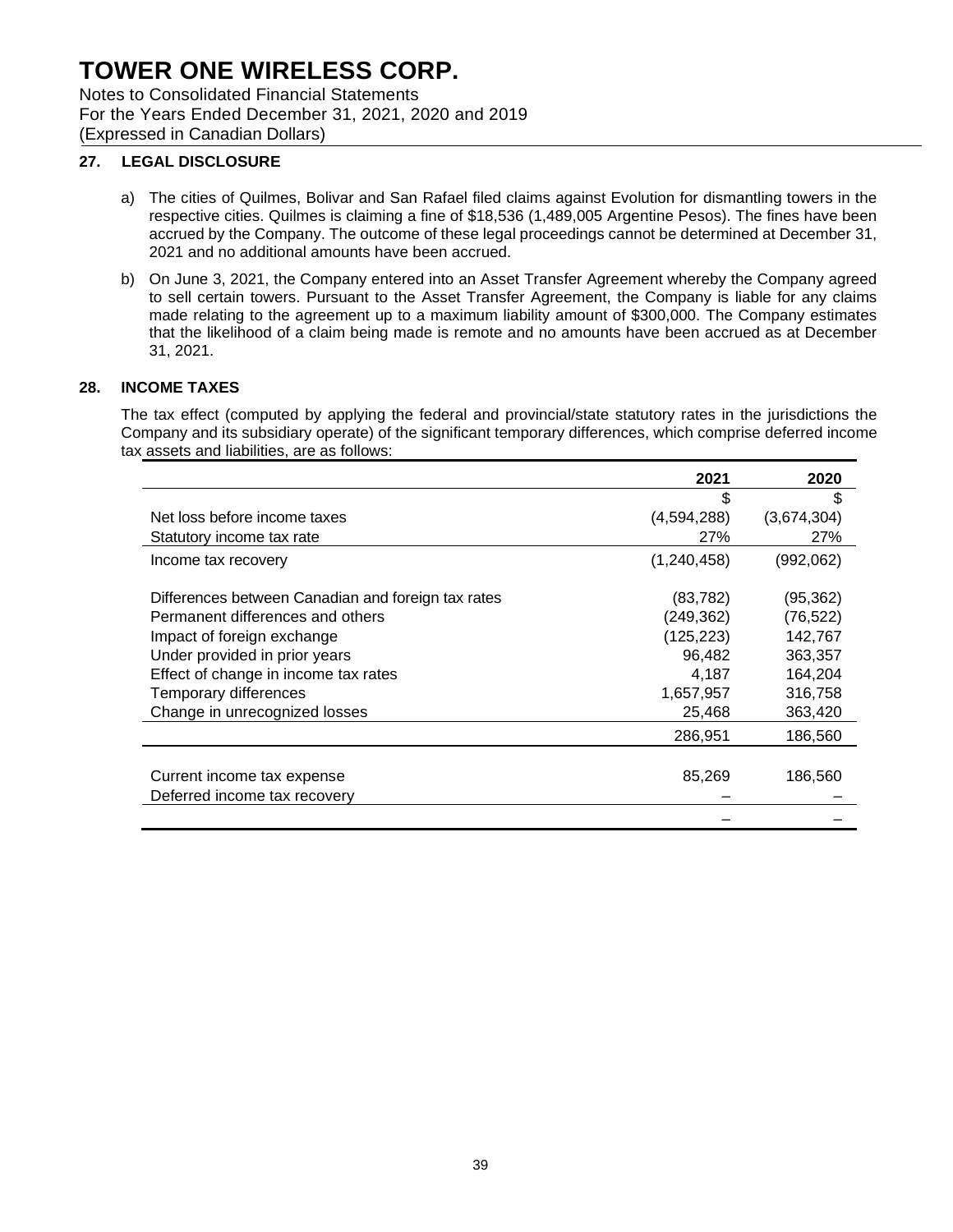Notes to Consolidated Financial Statements For the Years Ended December 31, 2021, 2020 and 2019 (Expressed in Canadian Dollars)

### **27. LEGAL DISCLOSURE**

- a) The cities of Quilmes, Bolivar and San Rafael filed claims against Evolution for dismantling towers in the respective cities. Quilmes is claiming a fine of \$18,536 (1,489,005 Argentine Pesos). The fines have been accrued by the Company. The outcome of these legal proceedings cannot be determined at December 31, 2021 and no additional amounts have been accrued.
- b) On June 3, 2021, the Company entered into an Asset Transfer Agreement whereby the Company agreed to sell certain towers. Pursuant to the Asset Transfer Agreement, the Company is liable for any claims made relating to the agreement up to a maximum liability amount of \$300,000. The Company estimates that the likelihood of a claim being made is remote and no amounts have been accrued as at December 31, 2021.

### **28. INCOME TAXES**

The tax effect (computed by applying the federal and provincial/state statutory rates in the jurisdictions the Company and its subsidiary operate) of the significant temporary differences, which comprise deferred income tax assets and liabilities, are as follows:

|                                                    | 2021        | 2020        |
|----------------------------------------------------|-------------|-------------|
|                                                    | \$          | \$          |
| Net loss before income taxes                       | (4,594,288) | (3,674,304) |
| Statutory income tax rate                          | <b>27%</b>  | 27%         |
| Income tax recovery                                | (1,240,458) | (992,062)   |
| Differences between Canadian and foreign tax rates | (83,782)    | (95, 362)   |
| Permanent differences and others                   | (249,362)   | (76, 522)   |
| Impact of foreign exchange                         | (125, 223)  | 142,767     |
| Under provided in prior years                      | 96,482      | 363,357     |
| Effect of change in income tax rates               | 4,187       | 164,204     |
| Temporary differences                              | 1,657,957   | 316,758     |
| Change in unrecognized losses                      | 25,468      | 363,420     |
|                                                    | 286,951     | 186,560     |
|                                                    |             |             |
| Current income tax expense                         | 85,269      | 186,560     |
| Deferred income tax recovery                       |             |             |
|                                                    |             |             |